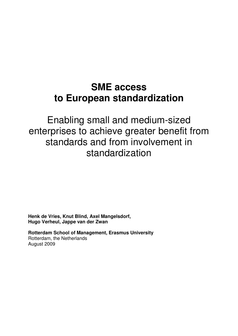# **SME access to European standardization**

Enabling small and medium-sized enterprises to achieve greater benefit from standards and from involvement in standardization

**Henk de Vries, Knut Blind, Axel Mangelsdorf, Hugo Verheul, Jappe van der Zwan** 

**Rotterdam School of Management, Erasmus University**  Rotterdam, the Netherlands August 2009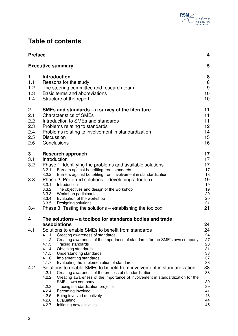

## **Table of contents**

| <b>Preface</b> |                |                                                                                                               |          |  |
|----------------|----------------|---------------------------------------------------------------------------------------------------------------|----------|--|
|                |                | <b>Executive summary</b>                                                                                      | 5        |  |
| 1              |                | <b>Introduction</b>                                                                                           | 8        |  |
| 1.1            |                | Reasons for the study                                                                                         | 8        |  |
| 1.2            |                | The steering committee and research team                                                                      | 9        |  |
| 1.3            |                | Basic terms and abbreviations                                                                                 | 10       |  |
| 1.4            |                | Structure of the report                                                                                       | 10       |  |
| 2              |                | SMEs and standards – a survey of the literature                                                               | 11       |  |
| 2.1            |                | <b>Characteristics of SMEs</b>                                                                                | 11       |  |
| 2.2            |                | Introduction to SMEs and standards                                                                            | 11       |  |
| 2.3            |                | Problems relating to standards                                                                                | 12       |  |
| 2.4            |                | Problems relating to involvement in standardization                                                           | 14       |  |
| 2.5            |                | <b>Discussion</b>                                                                                             | 15       |  |
| 2.6            |                | Conclusions                                                                                                   | 16       |  |
| 3              |                | Research approach                                                                                             | 17       |  |
| 3.1            |                | Introduction                                                                                                  | 17       |  |
| 3.2            |                | Phase 1: Identifying the problems and available solutions                                                     | 17       |  |
|                | 3.2.1<br>3.2.2 | Barriers against benefiting from standards<br>Barriers against benefiting from involvement in standardization | 17<br>18 |  |
| 3.3            |                | Phase 2: Preferred solutions – developing a toolbox                                                           | 19       |  |
|                |                | 3.3.1 Introduction                                                                                            | 19       |  |
|                | 3.3.2          | The objectives and design of the workshop                                                                     | 19       |  |
|                | 3.3.3          | Workshop participants                                                                                         | 20       |  |
|                | 3.3.4<br>3.3.5 | Evaluation of the workshop                                                                                    | 20<br>21 |  |
| 3.4            |                | Designing solutions<br>Phase 3: Testing the solutions - establishing the toolbox                              | 21       |  |
| 4              |                | The solutions – a toolbox for standards bodies and trade                                                      |          |  |
|                |                | associations                                                                                                  | 24       |  |
| 4.1            |                | Solutions to enable SMEs to benefit from standards                                                            | 24       |  |
|                | 4.1.1          | Creating awareness of standards                                                                               | 24       |  |
|                | 4.1.2          | Creating awareness of the importance of standards for the SME's own company                                   | 27       |  |
|                | 4.1.3          | Tracing standards                                                                                             | 28       |  |
|                | 4.1.4<br>4.1.5 | Obtaining standards<br>Understanding standards                                                                | 31<br>33 |  |
|                | 4.1.6          | Implementing standards                                                                                        | 37       |  |
|                | 4.1.7          | Evaluating the implementation of standards                                                                    | 38       |  |
| 4.2            |                | Solutions to enable SMEs to benefit from involvement in standardization                                       |          |  |
|                | 4.2.1          | Creating awareness of the process of standardization                                                          | 38       |  |
|                | 4.2.2          | Creating awareness of the importance of involvement in standardization for the                                |          |  |
|                | 4.2.3          | SME's own company<br>Tracing standardization projects                                                         | 39<br>39 |  |
|                | 4.2.4          | Becoming involved                                                                                             | 41       |  |
|                | 4.2.5          | Being involved effectively                                                                                    | 43       |  |
|                | 4.2.6          | Evaluating                                                                                                    | 44       |  |
|                | 4.2.7          | Initiating new activities                                                                                     | 45       |  |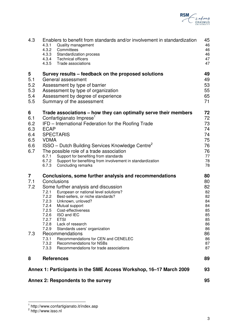

|                                                                    | Annex 2: Respondents to the survey                                                                                                                                                                                                                                                                                                                                                                                                                                                                                    |                                                                                  |  |  |
|--------------------------------------------------------------------|-----------------------------------------------------------------------------------------------------------------------------------------------------------------------------------------------------------------------------------------------------------------------------------------------------------------------------------------------------------------------------------------------------------------------------------------------------------------------------------------------------------------------|----------------------------------------------------------------------------------|--|--|
| Annex 1: Participants in the SME Access Workshop, 16–17 March 2009 |                                                                                                                                                                                                                                                                                                                                                                                                                                                                                                                       |                                                                                  |  |  |
| 8                                                                  | <b>References</b>                                                                                                                                                                                                                                                                                                                                                                                                                                                                                                     | 89                                                                               |  |  |
| 7.2<br>7.3                                                         | Some further analysis and discussion<br>European or national level solutions?<br>7.2.1<br>7.2.2<br>Best-sellers, or niche standards?<br>7.2.3<br>Unknown, unloved?<br>7.2.4<br>Mutual support<br>7.2.5<br>Cost-effectiveness<br>7.2.6<br>ISO and IEC<br>7.2.7<br><b>ETSI</b><br>7.2.8<br>Lack of research<br>7.2.9<br>Standards users' organization<br>Recommendations<br>7.3.1<br>Recommendations for CEN and CENELEC<br>7.3.2<br><b>Recommendations for NSBs</b><br>7.3.3<br>Recommendations for trade associations | 82<br>82<br>82<br>84<br>84<br>85<br>85<br>85<br>86<br>86<br>86<br>86<br>87<br>87 |  |  |
| 7<br>7.1                                                           | Conclusions, some further analysis and recommendations<br>Conclusions                                                                                                                                                                                                                                                                                                                                                                                                                                                 | 78<br>80<br>80                                                                   |  |  |
| 6<br>6.1<br>6.2<br>6.3<br>6.4<br>6.5<br>6.6<br>6.7                 | Trade associations – how they can optimally serve their members<br>Confartigianato Imprese <sup>1</sup><br>IFD - International Federation for the Roofing Trade<br><b>ECAP</b><br><b>SPECTARIS</b><br><b>VDMA</b><br>ISSO - Dutch Building Services Knowledge Centre <sup>2</sup><br>The possible role of a trade association<br>Support for benefiting from standards<br>6.7.1<br>6.7.2<br>Support for benefiting from involvement in standardization<br>6.7.3<br>Concluding remarks                                 |                                                                                  |  |  |
| 5<br>5.1<br>5.2<br>5.3<br>5.4<br>5.5                               | Survey results - feedback on the proposed solutions<br>General assessment<br>Assessment by type of barrier<br>Assessment by type of organization<br>Assessment by degree of experience<br>Summary of the assessment                                                                                                                                                                                                                                                                                                   |                                                                                  |  |  |
| 4.3                                                                | Enablers to benefit from standards and/or involvement in standardization<br>4.3.1<br>Quality management<br>4.3.2<br>Committees<br>4.3.3<br><b>Standardization process</b><br>4.3.4<br><b>Technical officers</b><br>4.3.5<br>Trade associations                                                                                                                                                                                                                                                                        | 45<br>46<br>46<br>46<br>47<br>47                                                 |  |  |

 1 http://www.confartigianato.it/index.asp 2 http://www.isso.nl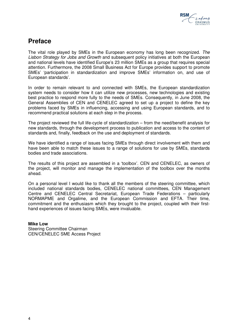

## **Preface**

The vital role played by SMEs in the European economy has long been recognized. The Lisbon Strategy for Jobs and Growth and subsequent policy initiatives at both the European and national levels have identified Europe's 23 million SMEs as a group that requires special attention. Furthermore, the 2008 Small Business Act for Europe provides support to promote SMEs' 'participation in standardization and improve SMEs' information on, and use of European standards'.

In order to remain relevant to and connected with SMEs, the European standardization system needs to consider how it can utilize new processes, new technologies and existing best practice to respond more fully to the needs of SMEs. Consequently, in June 2008, the General Assemblies of CEN and CENELEC agreed to set up a project to define the key problems faced by SMEs in influencing, accessing and using European standards, and to recommend practical solutions at each step in the process.

The project reviewed the full life-cycle of standardization – from the need/benefit analysis for new standards, through the development process to publication and access to the content of standards and, finally, feedback on the use and deployment of standards.

We have identified a range of issues facing SMEs through direct involvement with them and have been able to match these issues to a range of solutions for use by SMEs, standards bodies and trade associations.

The results of this project are assembled in a 'toolbox'. CEN and CENELEC, as owners of the project, will monitor and manage the implementation of the toolbox over the months ahead.

On a personal level I would like to thank all the members of the steering committee, which included national standards bodies, CENELEC national committees, CEN Management Centre and CENELEC Central Secretariat, European Trade Federations – particularly NORMAPME and Orgalime, and the European Commission and EFTA. Their time, commitment and the enthusiasm which they brought to the project, coupled with their firsthand experiences of issues facing SMEs, were invaluable.

### **Mike Low**

Steering Committee Chairman CEN/CENELEC SME Access Project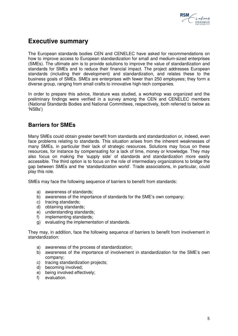

## **Executive summary**

The European standards bodies CEN and CENELEC have asked for recommendations on how to improve access to European standardization for small and medium-sized enterprises (SMEs). The ultimate aim is to provide solutions to improve the value of standardization and standards for SMEs and to reduce their financial impact. The project addresses European standards (including their development) and standardization, and relates these to the business goals of SMEs. SMEs are enterprises with fewer than 250 employees; they form a diverse group, ranging from small crafts to innovative high-tech companies.

In order to prepare this advice, literature was studied, a workshop was organized and the preliminary findings were verified in a survey among the CEN and CENELEC members (National Standards Bodies and National Committees, respectively, both referred to below as 'NSBs')

## **Barriers for SMEs**

Many SMEs could obtain greater benefit from standards and standardization or, indeed, even face problems relating to standards. This situation arises from the inherent weaknesses of many SMEs, in particular their lack of strategic resources. Solutions may focus on these resources, for instance by compensating for a lack of time, money or knowledge. They may also focus on making the 'supply side' of standards and standardization more easily accessible. The third option is to focus on the role of intermediary organizations to bridge the gap between SMEs and the 'standardization world'. Trade associations, in particular, could play this role.

SMEs may face the following sequence of barriers to benefit from standards:

- a) awareness of standards;
- b) awareness of the importance of standards for the SME's own company;
- c) tracing standards;
- d) obtaining standards;
- e) understanding standards;
- f) implementing standards;
- g) evaluating the implementation of standards.

They may, in addition, face the following sequence of barriers to benefit from involvement in standardization:

- a) awareness of the process of standardization;
- b) awareness of the importance of involvement in standardization for the SME's own company;
- c) tracing standardization projects;
- d) becoming involved;
- e) being involved effectively;
- f) evaluation.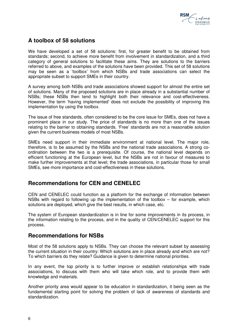

## **A toolbox of 58 solutions**

We have developed a set of 58 solutions: first, for greater benefit to be obtained from standards; second, to achieve more benefit from involvement in standardization, and a third category of general solutions to facilitate these aims. They are solutions to the barriers referred to above, and examples of the solutions have been provided. This set of 58 solutions may be seen as a 'toolbox' from which NSBs and trade associations can select the appropriate subset to support SMEs in their country.

A survey among both NSBs and trade associations showed support for almost the entire set of solutions. Many of the proposed solutions are in place already in a substantial number of NSBs; these NSBs then tend to highlight both their relevance and cost-effectiveness. However, the term 'having implemented' does not exclude the possibility of improving this implementation by using the toolbox.

The issue of free standards, often considered to be the core issue for SMEs, does not have a prominent place in our study. The price of standards is no more than one of the issues relating to the barrier to obtaining standards. 'Free' standards are not a reasonable solution given the current business models of most NSBs.

SMEs need support in their immediate environment at national level. The major role, therefore, is to be assumed by the NSBs and the national trade associations. A strong coordination between the two is a prerequisite. Of course, the national level depends on efficient functioning at the European level, but the NSBs are not in favour of measures to make further improvements at that level; the trade associations, in particular those for small SMEs, see more importance and cost-effectiveness in these solutions.

## **Recommendations for CEN and CENELEC**

CEN and CENELEC could function as a platform for the exchange of information between NSBs with regard to following up the implementation of the toolbox  $-$  for example, which solutions are deployed, which give the best results, in which case, etc.

The system of European standardization is in line for some improvements in its process, in the information relating to the process, and in the quality of CEN/CENELEC support for this process.

## **Recommendations for NSBs**

Most of the 58 solutions apply to NSBs. They can choose the relevant subset by assessing the current situation in their country: Which solutions are in place already and which are not? To which barriers do they relate? Guidance is given to determine national priorities.

In any event, the top priority is to further improve or establish relationships with trade associations, to discuss with them who will take which role, and to provide them with knowledge and materials.

Another priority area would appear to be education in standardization, it being seen as the fundamental starting point for solving the problem of lack of awareness of standards and standardization.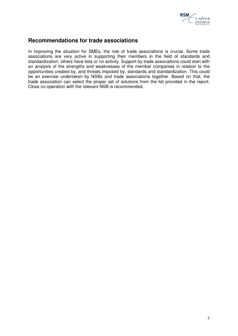

## **Recommendations for trade associations**

In improving the situation for SMEs, the role of trade associations is crucial. Some trade associations are very active in supporting their members in the field of standards and standardization; others have less or no activity. Support by trade associations could start with an analysis of the strengths and weaknesses of the member companies in relation to the opportunities created by, and threats imposed by, standards and standardization. This could be an exercise undertaken by NSBs and trade associations together. Based on that, the trade association can select the proper set of solutions from the list provided in the report. Close co-operation with the relevant NSB is recommended.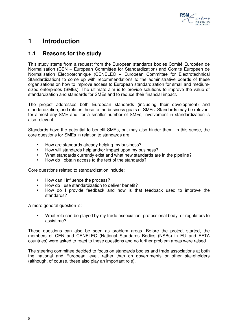

## **1 Introduction**

## **1.1 Reasons for the study**

This study stems from a request from the European standards bodies Comité Européen de Normalisation (CEN – European Committee for Standardization) and Comité Européen de Normalisation Electrotechnique (CENELEC – European Committee for Electrotechnical Standardization) to come up with recommendations to the administrative boards of these organizations on how to improve access to European standardization for small and mediumsized enterprises (SMEs). The ultimate aim is to provide solutions to improve the value of standardization and standards for SMEs and to reduce their financial impact.

The project addresses both European standards (including their development) and standardization, and relates these to the business goals of SMEs. Standards may be relevant for almost any SME and, for a smaller number of SMEs, involvement in standardization is also relevant.

Standards have the potential to benefit SMEs, but may also hinder them. In this sense, the core questions for SMEs in relation to standards are:

- How are standards already helping my business?
- How will standards help and/or impact upon my business?
- What standards currently exist and what new standards are in the pipeline?
- How do I obtain access to the text of the standards?

Core questions related to standardization include:

- How can I influence the process?
- How do I use standardization to deliver benefit?
- How do I provide feedback and how is that feedback used to improve the standards?

A more general question is:

 What role can be played by my trade association, professional body, or regulators to assist me?

These questions can also be seen as problem areas. Before the project started, the members of CEN and CENELEC (National Standards Bodies (NSBs) in EU and EFTA countries) were asked to react to these questions and no further problem areas were raised.

The steering committee decided to focus on standards bodies and trade associations at both the national and European level, rather than on governments or other stakeholders (although, of course, these also play an important role).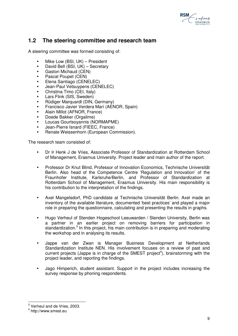

## **1.2 The steering committee and research team**

A steering committee was formed consisting of:

- Mike Low (BSI, UK) President
- David Bell (BSI, UK) Secretary
- Gaston Michaud (CEN)
- Pascal Poupet (CEN)
- Elena Santiago (CENELEC)
- Jean-Paul Vetsuypens (CENELEC)
- Christina Timo (CEI, Italy)
- Lars Flink (SIS, Sweden)
- Rüdiger Marquardt (DIN, Germany)
- Francisco Javier Verdera Marí (AENOR, Spain)
- Alain Millot (AFNOR, France)
- Doede Bakker (Orgalime)
- Loucas Gourtsoyannis (NORMAPME)
- Jean-Pierre Isnard (FIEEC, France)
- Renate Weissenhorn (European Commission).

The research team consisted of:

- Dr Ir Henk J de Vries, Associate Professor of Standardization at Rotterdam School of Management, Erasmus University. Project leader and main author of the report.
- Professor Dr Knut Blind, Professor of Innovation Economics, Technische Universität Berlin. Also head of the Competence Centre 'Regulation and Innovation' of the Fraunhofer Institute, Karlsruhe/Berlin, and Professor of Standardization at Rotterdam School of Management, Erasmus University. His main responsibility is his contribution to the interpretation of the findings.
- Axel Mangelsdorf, PhD candidate at Technische Universität Berlin. Axel made an inventory of the available literature, documented 'best practices' and played a major role in preparing the questionnaire, calculating and presenting the results in graphs.
- Hugo Verheul of Stenden Hogeschool Leeuwarden / Stenden University, Berlin was a partner in an earlier project on removing barriers for participation in standardization.<sup>3</sup> In this project, his main contribution is in preparing and moderating the workshop and in analysing its results.
- Jappe van der Zwan is Manager Business Development at Netherlands Standardization Institute NEN. His involvement focuses on a review of past and current projects (Jappe is in charge of the SMEST project<sup>4</sup>), brainstorming with the project leader, and reporting the findings.
- Jago Himperich, student assistant. Support in the project includes increasing the survey response by phoning respondents.

 3 Verheul and de Vries, 2003.

<sup>4</sup> http://www.smest.eu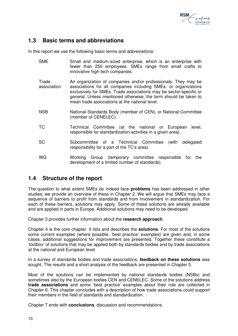

## **1.3 Basic terms and abbreviations**

In this report we use the following basic terms and abbreviations:

- SME Small and medium-sized enterprise, which is an enterprise with fewer than 250 employees. SMEs range from small crafts to innovative high-tech companies.
- **Trade** association An organization of companies and/or professionals. They may be associations for all companies including SMEs, or organizations exclusively for SMEs. Trade associations may be sector-specific or general. Unless mentioned otherwise, the term should be taken to mean trade associations at the national level.
- NSB National Standards Body (member of CEN), or National Committee (member of CENELEC).
- TC Technical Committee (at the national or European level, responsible for standardization activities in a given area).
- SC Subcommittee of a Technical Committee (with delegated responsibility for a part of the TC's area).
- WG Working Group (temporary committee responsible for the development of a limited number of standards).

## **1.4 Structure of the report**

The question to what extent SMEs do indeed face **problems** has been addressed in other studies; we provide an overview of these in Chapter 2. We will argue that SMEs may face a sequence of barriers to profit from standards and from involvement in standardization. For each of these barriers, solutions may apply. Some of these solutions are already available and are applied in parts in Europe. Additional solutions may need to be developed.

Chapter 3 provides further information about the **research approach**.

Chapter 4 is the core chapter. It lists and describes the **solutions**. For most of the solutions some current examples (where possible, 'best practice' examples) are given and, in some cases, additional suggestions for improvement are presented. Together these constitute a 'toolbox' of solutions that may be applied both by standards bodies and by trade associations at the national and European level.

In a survey of standards bodies and trade associations, **feedback on these solutions** was sought. The results and a short analysis of the feedback are presented in Chapter 5.

Most of the solutions can be implemented by national standards bodies (NSBs) and sometimes also by the European bodies CEN and CENELEC. Some of the solutions address **trade associations** and some 'best practice' examples about their role are collected in Chapter 6. This chapter concludes with a description of how trade associations could support their members in the field of standards and standardization.

Chapter 7 ends with **conclusions**, discussion and recommendations.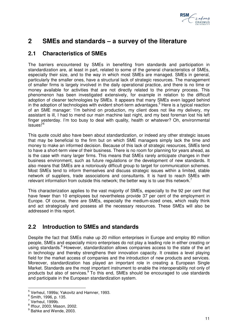

## **2 SMEs and standards – a survey of the literature**

## **2.1 Characteristics of SMEs**

The barriers encountered by SMEs in benefiting from standards and participation in standardization are, at least in part, related to some of the general characteristics of SMEs, especially their size, and to the way in which most SMEs are managed. SMEs in general, particularly the smaller ones, have a structural lack of strategic resources. The management of smaller firms is largely involved in the daily operational practice, and there is no time or money available for activities that are not directly related to the primary process. This phenomenon has been investigated extensively, for example in relation to the difficult adoption of cleaner technologies by SMEs. It appears that many SMEs even lagged behind in the adoption of technologies with evident short-term advantages.<sup>5</sup> Here is a typical reaction of an SME manager: 'I'm behind on production, my client does not like my delivery, my assistant is ill, I had to mend our main machine last night, and my best foreman lost his left finger yesterday. I'm too busy to deal with quality, health or whatever? Oh, environmental issues!'<sup>6</sup>

This quote could also have been about standardization, or indeed any other strategic issues that may be beneficial to the firm but on which SME managers simply lack the time and money to make an informed decision. Because of this lack of strategic resources, SMEs tend to have a short-term view of their business. There is no room for planning for years ahead, as is the case with many larger firms. This means that SMEs rarely anticipate changes in their business environment, such as future regulations or the development of new standards. It also means that SMEs are a notoriously difficult group to target for communication schemes. Most SMEs tend to inform themselves and discuss strategic issues within a limited, stable network of suppliers, trade associations and consultants. It is hard to reach SMEs with relevant information from outside this network; the better way is to use this network.<sup>7</sup>

This characterization applies to the vast majority of SMEs, especially to the 92 per cent that have fewer than 10 employees but nevertheless provide 37 per cent of the employment in Europe. Of course, there are SMEs, especially the medium-sized ones, which really think and act strategically and possess all the necessary resources. These SMEs will also be addressed in this report.

## **2.2 Introduction to SMEs and standards**

Despite the fact that SMEs make up 20 million enterprises in Europe and employ 80 million people, SMEs and especially micro enterprises do not play a leading role in either creating or using standards.<sup>8</sup> However, standardization allows companies access to the state of the art in technology and thereby strengthens their innovation capacity. It creates a level playing field for the market access of companies and the introduction of new products and services. Moreover, standardization has played an important role in creating a European Single Market. Standards are the most important instrument to enable the interoperability not only of products but also of services.<sup>9</sup> To this end, SMEs should be encouraged to use standards and participate in the European standardization system.

 5 Verheul, 1999a; Yakovitz and Hamner, 1993.

<sup>6</sup> Smith, 1996, p. 135.

 $7$  Verheul, 1999b.

<sup>8</sup> Iffour, 2003; Mason, 2002.

<sup>&</sup>lt;sup>9</sup> Bahke and Wende, 2003.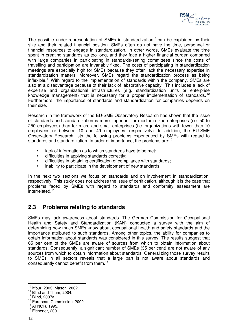

The possible under-representation of SMEs in standardization<sup>10</sup> can be explained by their size and their related financial position. SMEs often do not have the time, personnel or financial resources to engage in standardization. In other words, SMEs evaluate the time spent in creating standards as too long, and they face a higher financial burden compared with large companies in participating in standards-setting committees since the costs of travelling and participation are invariably fixed. The costs of participating in standardization meetings are especially high for SMEs because they often lack the necessary expertise in standardization matters. Moreover, SMEs regard the standardization process as being inflexible.<sup>11</sup> With regard to the implementation of standards within the company, SMEs are also at a disadvantage because of their lack of 'absorptive capacity'. This includes a lack of expertise and organizational infrastructures (e.g. standardization units or enterprise knowledge management) that is necessary for a proper implementation of standards.<sup>12</sup> Furthermore, the importance of standards and standardization for companies depends on their size.

Research in the framework of the EU-SME Observatory Research has shown that the issue of standards and standardization is more important for medium-sized enterprises (i.e. 50 to 250 employees) than for micro and small enterprises (i.e. organizations with fewer than 10 employees or between 10 and 49 employees, respectively). In addition, the EU-SME Observatory Research lists the following problems experienced by SMEs with regard to standards and standardization. In order of importance, the problems are:<sup>13</sup>

- lack of information as to which standards have to be met;
- difficulties in applying standards correctly;
- difficulties in obtaining certification of compliance with standards;
- inability to participate in the development of new standards.

In the next two sections we focus on standards and on involvement in standardization, respectively. This study does not address the issue of certification, although it is the case that problems faced by SMEs with regard to standards and conformity assessment are interrelated.<sup>14</sup>

## **2.3 Problems relating to standards**

SMEs may lack awareness about standards. The German Commission for Occupational Health and Safety and Standardization (KAN) conducted a survey with the aim of determining how much SMEs know about occupational health and safety standards and the importance attributed to such standards. Among other topics, the ability for companies to obtain information about standards was considered in this survey. The results suggest that 65 per cent of the SMEs are aware of sources from which to obtain information about standards. Consequently, a significant number of SMEs (35 per cent) are not aware of any sources from which to obtain information about standards. Generalizing those survey results to SMEs in all sectors reveals that a large part is not aware about standards and consequently cannot benefit from them.<sup>15</sup>

 $\overline{a}$ <sup>10</sup> Iffour, 2003; Mason, 2002.

<sup>&</sup>lt;sup>11</sup> Blind and Thum, 2004.

 $12$  Blind, 2007a.

<sup>&</sup>lt;sup>13</sup> European Commission, 2002.

<sup>14</sup> AFNOR, 1995.

<sup>&</sup>lt;sup>15</sup> Eichener, 2001.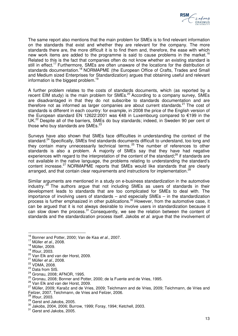

The same report also mentions that the main problem for SMEs is to find relevant information on the standards that exist and whether they are relevant for the company. The more standards there are, the more difficult it is to find them and, therefore, the ease with which new work items are added to the programme is said to cause problems in the market.<sup>16</sup> Related to this is the fact that companies often do not know whether an existing standard is still in effect.<sup>17</sup> Furthermore, SMEs are often unaware of the locations for the distribution of standards documentation.<sup>18</sup> NORMAPME (the European Office of Crafts, Trades and Small and Medium sized Enterprises for Standardization) argues that obtaining useful and relevant information is the biggest problem.<sup>19</sup>

A further problem relates to the costs of standards documents, which (as reported by a recent EIM study) is the main problem for SMEs.<sup>20</sup> According to a company survey, SMEs are disadvantaged in that they do not subscribe to standards documentation and are therefore not as informed as larger companies are about current standards.<sup>21</sup> The cost of standards is different in each country: for example, in 2008 the price of the English version of the European standard EN 12622:2001 was €48 in Luxembourg compared to €199 in the UK.<sup>22</sup> Despite all of the barriers, SMEs do buy standards; indeed, in Sweden 90 per cent of those who buy standards are SMEs.<sup>23</sup>

Surveys have also shown that SMEs face difficulties in understanding the context of the standard.<sup>24</sup> Specifically, SMEs find standards documents difficult to understand, too long and they contain many unnecessarily technical terms. <sup>25</sup> The number of references to other standards is also a problem. A majority of SMEs say that they have had negative experiences with regard to the interpretation of the content of the standard;<sup>26</sup> if standards are not available in the native language, the problems relating to understanding the standard's content increase.<sup>27</sup> NORMAPME reports that SMEs would like standards that are clearly arranged, and that contain clear requirements and instructions for implementation.<sup>28</sup>

Similar arguments are mentioned in a study on e-business standardization in the automotive industry.  $29$  The authors argue that not including SMEs as users of standards in their development leads to standards that are too complicated for SMEs to deal with. The importance of involving users of standards – and especially SMEs – in the standardization process is further emphasized in other publications.<sup>30</sup> However, from the automotive case, it can be argued that it is not always desirable to involve users in standardization because it can slow down the process.<sup>31</sup> Consequently, we see the relation between the content of standards and the standardization process itself. Jakobs et al. argue that the involvement of

 $\overline{a}$ 

 $^{16}$  Bonner and Potter, 2000; Van de Kaa et al., 2007.

 $17$  Müller *et al.*, 2008.

<sup>18</sup> Müller, 2009.

<sup>19</sup> Iffour, 2003.

<sup>&</sup>lt;sup>20</sup> Van Elk and van der Horst, 2009.

 $21$  Müller et al., 2008.

<sup>22</sup> VDMA, 2008.

<sup>&</sup>lt;sup>23</sup> Data from SIS.

<sup>24</sup> Gronau, 2008; AFNOR, 1995.

<sup>&</sup>lt;sup>25</sup> Gronau, 2008; Bonner and Potter, 2000; de la Fuente and de Vries, 1995.

<sup>&</sup>lt;sup>26</sup> Van Elk and van der Horst, 2009.

<sup>&</sup>lt;sup>27</sup> Müller, 2009; Karaöz and de Vries, 2009; Teichmann and de Vries, 2009; Teichmann, de Vries and Feilzer, 2007, Teichmann, de Vries and Feilzer, 2006.

<sup>28</sup> Iffour, 2003.

<sup>&</sup>lt;sup>29</sup> Gerst and Jakobs, 2005.

<sup>30</sup> Jakobs, 2004, 2006; Burrow, 1999; Foray, 1994; Ketchell, 2003.

<sup>&</sup>lt;sup>31</sup> Gerst and Jakobs, 2005.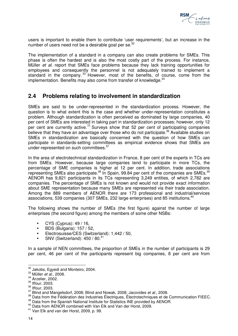

users is important to enable them to contribute 'user requirements', but an increase in the number of users need not be a desirable goal per se.<sup>32</sup>

The implementation of a standard in a company can also create problems for SMEs. This phase is often the hardest and is also the most costly part of the process. For instance, Müller et al. report that SMEs face problems because they lack training opportunities for employees and consequently the personnel is not adequately trained to implement a standard in the company.<sup>33</sup> However, most of the benefits, of course, come from the implementation. Benefits may also come from transfer of knowledge.<sup>34</sup>

## **2.4 Problems relating to involvement in standardization**

SMEs are said to be under-represented in the standardization process. However, the question is to what extent this is the case and whether under-representation constitutes a problem. Although standardization is often perceived as dominated by large companies, 40 per cent of SMEs are interested in taking part in standardization processes; however, only 12 per cent are currently active. $35$  Surveys show that 52 per cent of participating companies believe that they have an advantage over those who do not participate.<sup>36</sup> Available studies on SMEs in standardization are basically concerned with the question of how SMEs can participate in standards-setting committees as empirical evidence shows that SMEs are under-represented on such committees.<sup>37</sup>

In the area of electrotechnical standardization in France, 8 per cent of the experts in TCs are from SMEs. However, because large companies tend to participate in more TCs, the percentage of SME companies is higher at 12 per cent. In addition, trade associations representing SMEs also participate. $^{38}$  In Spain, 99.84 per cent of the companies are SMEs. $^{39}$ AENOR has 9,821 participants in its TCs representing 3,249 entities, of which 2,782 are companies. The percentage of SMEs is not known and would not provide exact information about SME representation because many SMEs are represented via their trade association. Among the 889 members of AENOR there are 173 professional and industrial/services associations, 539 companies (307 SMEs, 232 large enterprises) and 85 institutions.<sup>40</sup>

The following shows the number of SMEs (the first figure) against the number of large enterprises (the second figure) among the members of some other NSBs:

- CYS (Cyprus): 49 / 16,
- BDS (Bulgaria): 157 / 52,
- Electrosuisse/CES (Switzerland): 1,442 / 50,
- SNV (Switzerland):  $450 / 80^{41}$

In a sample of NEN committees, the proportion of SMEs in the number of participants is 29 per cent, 46 per cent of the participants represent big companies, 8 per cent are from

 $\overline{\phantom{a}}$  $32$  Jakobs, Egyedi and Monteiro, 2004.

 $33$  Müller et al., 2008.

<sup>&</sup>lt;sup>34</sup> Arzelier, 2002.

<sup>35</sup> Iffour, 2003.

<sup>36</sup> Iffour, 2003.

<sup>&</sup>lt;sup>37</sup> Blind and Mangelsdorf, 2008; Blind and Nowak, 2008; Jacovides et al., 2008.

<sup>38</sup> Data from the Fédération des Industries Électriques, Électrotechniques et de Communication FIEEC.

<sup>&</sup>lt;sup>39</sup> Data from the Spanish National Institute for Statistics INE provided by AENOR.

<sup>40</sup> Data from AENOR combined with Van Elk and Van der Horst, 2009.

<sup>41</sup> Van Elk and van der Horst, 2009, p. 99.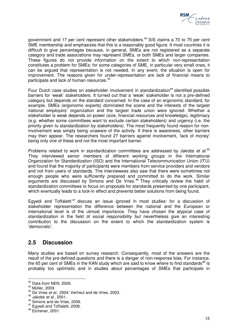

government and 17 per cent represent other stakeholders.<sup>42</sup> SIS claims a 70 to 75 per cent SME membership and emphasizes that this is a reasonably good figure. It most countries it is difficult to give percentages because, in general, SMEs are not registered as a separate category and trade associations may represent SMEs, or both SMEs and larger companies. These figures do not provide information on the extent to which non-representation constitutes a problem for SMEs; for some categories of SME, in particular very small ones, it can be argued that representation is not needed. In any event, the situation is open for improvement. The reasons given for under-representation are lack of financial means to participate and lack of human resources.<sup>43</sup>

Four Dutch case studies on stakeholder involvement in standardization<sup>44</sup> identified possible barriers for 'weak' stakeholders. It turned out that a 'weak' stakeholder is not a pre-defined category but depends on the standard concerned. In the case of an ergonomic standard, for example, SMEs (ergonomic experts) dominated the scene and the interests of the largest national employers' organization and the largest trade union were ignored. Whether a stakeholder is weak depends on power (size, financial resources and knowledge), legitimacy (e.g. whether some committees want to exclude certain stakeholders) and urgency (i.e. the priority given to standardization by stakeholders). The most frequently found reason for noninvolvement was simply being unaware of the activity. If there is awareness, other barriers may then appear. The researchers found 27 barriers against involvement, 'lack of money' being only one of these and not the most important barrier.

Problems related to work in standardization committees are addressed by Jakobs et al.<sup>45</sup> They interviewed senior members of different working groups in the International Organization for Standardization (ISO) and the International Telecommunication Union (ITU) and found that the majority of participants were members from service providers and vendors and not from users of standards. The interviewees also saw that there were sometimes not enough people who were sufficiently prepared and committed to do the work. Similar arguments are discussed by Simons and De Vries. <sup>46</sup> They critically review the habit of standardization committees to focus on proposals for standards presented by one participant, which eventually leads to a lock-in effect and prevents better solutions from being found.

Egyedi and Toffaletti<sup>47</sup> discuss an issue ignored in most studies: for a discussion of stakeholder representation the difference between the national and the European or international level is of the utmost importance. They have chosen the atypical case of standardization in the field of social responsibility but nevertheless give an interesting contribution to the discussion on the extent to which the standardization system is 'democratic'.

## **2.5 Discussion**

Many studies are based on survey research. Consequently, most of the answers are the result of the pre-defined questions and there is a danger of non-response bias. For instance, the 65 per cent of SMEs in the KAN study which are said to know where to find standards<sup>48</sup> is probably too optimistic and in studies about percentages of SMEs that participate in

 $\overline{a}$ 

 $42$  Data from NEN, 2009.

<sup>43</sup> Müller, 2009.

<sup>44</sup> De Vries et al., 2004; Verheul and de Vries, 2003.

 $45$  Jakobs *et al.*, 2001.

<sup>46</sup> Simons and de Vries, 2006.

<sup>47</sup> Egyedi and Toffaletti, 2008.

<sup>48</sup> Eichener, 2001.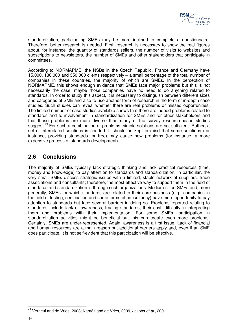

standardization, participating SMEs may be more inclined to complete a questionnaire. Therefore, better research is needed. First, research is necessary to show the real figures about, for instance, the quantity of standards sellers, the number of visits to websites and subscriptions to newsletters, the number of SMEs and other stakeholders that participate in committees.

According to NORMAPME, the NSBs in the Czech Republic, France and Germany have 15,000, 130,000 and 350,000 clients respectively – a small percentage of the total number of companies in these countries, the majority of which are SMEs. In the perception of NORMAPME, this shows enough evidence that SMEs face major problems but this is not necessarily the case; maybe those companies have no need to do anything related to standards. In order to study this aspect, it is necessary to distinguish between different sizes and categories of SME and also to use another form of research in the form of in-depth case studies. Such studies can reveal whether there are real problems or missed opportunities. The limited number of case studies available shows that there are indeed problems related to standards and to involvement in standardization for SMEs and for other stakeholders and that these problems are more diverse than many of the survey research-based studies suggest.<sup>49</sup> For such a combination of problems, simple solutions are not sufficient. Rather, a set of interrelated solutions is needed. It should be kept in mind that some solutions (for instance, providing standards for free) may cause new problems (for instance, a more expensive process of standards development).

## **2.6 Conclusions**

The majority of SMEs typically lack strategic thinking and lack practical resources (time, money and knowledge) to pay attention to standards and standardization. In particular, the very small SMEs discuss strategic issues with a limited, stable network of suppliers, trade associations and consultants; therefore, the most effective way to support them in the field of standards and standardization is through such organizations. Medium-sized SMEs and, more generally, SMEs for which standards are related to their core business (e.g., companies in the field of testing, certification and some forms of consultancy) have more opportunity to pay attention to standards but face several barriers in doing so. Problems reported relating to standards include lack of awareness, tracing standards, their cost, difficulty in interpreting them and problems with their implementation. For some SMEs, participation in standardization activities might be beneficial but this can create even more problems. Certainly, SMEs are under-represented. Again, awareness is a first issue. Lack of financial and human resources are a main reason but additional barriers apply and, even if an SME does participate, it is not self-evident that this participation will be effective.

 $\overline{\phantom{a}}$ <sup>49</sup> Verheul and de Vries, 2003; Karaöz and de Vries, 2009, Jakobs et al., 2001.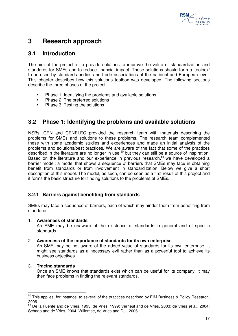

## **3 Research approach**

## **3.1 Introduction**

The aim of the project is to provide solutions to improve the value of standardization and standards for SMEs and to reduce financial impact. These solutions should form a 'toolbox' to be used by standards bodies and trade associations at the national and European level. This chapter describes how this solutions toolbox was developed. The following sections describe the three phases of the project:

- Phase 1: Identifying the problems and available solutions
- Phase 2: The preferred solutions
- Phase 3: Testing the solutions

## **3.2 Phase 1: Identifying the problems and available solutions**

NSBs, CEN and CENELEC provided the research team with materials describing the problems for SMEs and solutions to these problems. The research team complemented these with some academic studies and experiences and made an initial analysis of the problems and solutions/best practices. We are aware of the fact that some of the practices described in the literature are no longer in use,<sup>50</sup> but they can still be a source of inspiration. Based on the literature and our experience in previous research, $51$  we have developed a barrier model: a model that shows a sequence of barriers that SMEs may face in obtaining benefit from standards or from involvement in standardization. Below we give a short description of this model. The model, as such, can be seen as a first result of this project and it forms the basic structure for finding solutions to the problems of SMEs.

## **3.2.1 Barriers against benefiting from standards**

SMEs may face a sequence of barriers, each of which may hinder them from benefiting from standards:

### 1. **Awareness of standards**

An SME may be unaware of the existence of standards in general and of specific standards.

### 2. **Awareness of the importance of standards for its own enterprise**

An SME may be not aware of the added value of standards for its own enterprise. It might see standards as a necessary evil rather than as a powerful tool to achieve its business objectives.

### 3. **Tracing standards**

Once an SME knows that standards exist which can be useful for its company, it may then face problems in finding the relevant standards.

 $\overline{a}$  $^{50}$  This applies, for instance, to several of the practices described by EIM Business & Policy Research, 2006.

 $51$  De la Fuente and de Vries, 1995; de Vries, 1999; Verheul and de Vries, 2003; de Vries et al., 2004; Schaap and de Vries, 2004; Willemse, de Vries and Dul, 2006.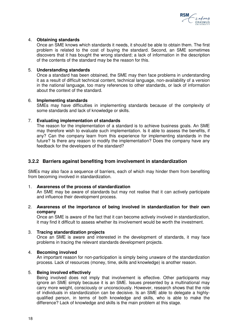

### 4. **Obtaining standards**

Once an SME knows which standards it needs, it should be able to obtain them. The first problem is related to the cost of buying the standard. Second, an SME sometimes discovers that it has bought the wrong standard; a lack of information in the description of the contents of the standard may be the reason for this.

#### 5. **Understanding standards**

Once a standard has been obtained, the SME may then face problems in understanding it as a result of difficult technical content, technical language, non-availability of a version in the national language, too many references to other standards, or lack of information about the context of the standard.

#### 6. **Implementing standards**

SMEs may have difficulties in implementing standards because of the complexity of some standards and lack of knowledge or skills.

### 7. **Evaluating implementation of standards**

The reason for the implementation of a standard is to achieve business goals. An SME may therefore wish to evaluate such implementation. Is it able to assess the benefits, if any? Can the company learn from this experience for implementing standards in the future? Is there any reason to modify the implementation? Does the company have any feedback for the developers of the standard?

### **3.2.2 Barriers against benefiting from involvement in standardization**

SMEs may also face a sequence of barriers, each of which may hinder them from benefiting from becoming involved in standardization.

#### 1. **Awareness of the process of standardization**

An SME may be aware of standards but may not realise that it can actively participate and influence their development process.

### 2. **Awareness of the importance of being involved in standardization for their own company**

Once an SME is aware of the fact that it can become actively involved in standardization, it may find it difficult to assess whether its involvement would be worth the investment.

#### 3. **Tracing standardization projects**

Once an SME is aware and interested in the development of standards, it may face problems in tracing the relevant standards development projects.

### 4. **Becoming involved**

An important reason for non-participation is simply being unaware of the standardization process. Lack of resources (money, time, skills and knowledge) is another reason.

#### 5. **Being involved effectively**

Being involved does not imply that involvement is effective. Other participants may ignore an SME simply because it is an SME. Issues presented by a multinational may carry more weight, consciously or unconsciously. However, research shows that the role of individuals in standardization can be decisive. Is an SME able to delegate a highlyqualified person, in terms of both knowledge and skills, who is able to make the difference? Lack of knowledge and skills is the main problem at this stage.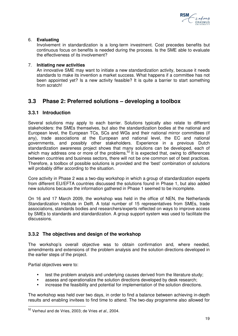

### 6. **Evaluating**

Involvement in standardization is a long-term investment. Cost precedes benefits but continuous focus on benefits is needed during the process. Is the SME able to evaluate the effectiveness of its involvement?

### 7. **Initiating new activities**

An innovative SME may want to initiate a new standardization activity, because it needs standards to make its invention a market success. What happens if a committee has not been appointed yet? Is a new activity feasible? It is quite a barrier to start something from scratch!

## **3.3 Phase 2: Preferred solutions – developing a toolbox**

## **3.3.1 Introduction**

Several solutions may apply to each barrier. Solutions typically also relate to different stakeholders: the SMEs themselves, but also the standardization bodies at the national and European level, the European TCs, SCs and WGs and their national mirror committees (if any), trade associations at the European and national level, the EC and national governments, and possibly other stakeholders. Experience in a previous Dutch standardization awareness project shows that many solutions can be developed, each of which may address one or more of the problems.<sup>52</sup> It is expected that, owing to differences between countries and business sectors, there will not be one common set of best practices. Therefore, a toolbox of possible solutions is provided and the 'best' combination of solutions will probably differ according to the situation.

Core activity in Phase 2 was a two-day workshop in which a group of standardization experts from different EU/EFTA countries discussed the solutions found in Phase 1, but also added new solutions because the information gathered in Phase 1 seemed to be incomplete.

On 16 and 17 March 2009, the workshop was held in the office of NEN, the Netherlands Standardization Institute in Delft. A total number of 15 representatives from SMEs, trade associations, standards bodies and researchers/experts reflected on ways to improve access by SMEs to standards and standardization. A group support system was used to facilitate the discussions.

## **3.3.2 The objectives and design of the workshop**

The workshop's overall objective was to obtain confirmation and, where needed, amendments and extensions of the problem analysis and the solution directions developed in the earlier steps of the project.

Partial objectives were to:

- test the problem analysis and underlying causes derived from the literature study;
- assess and operationalize the solution directions developed by desk research;
- increase the feasibility and potential for implementation of the solution directions.

The workshop was held over two days, in order to find a balance between achieving in-depth results and enabling invitees to find time to attend. The two-day programme also allowed for

 $\overline{a}$  $52$  Verheul and de Vries, 2003; de Vries et al., 2004.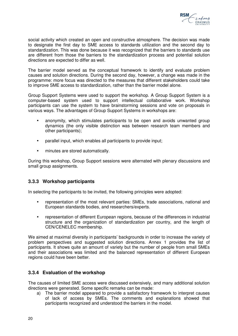

social activity which created an open and constructive atmosphere. The decision was made to designate the first day to SME access to standards utilization and the second day to standardization. This was done because it was recognized that the barriers to standards use are different from those the barriers to the standardization process and potential solution directions are expected to differ as well.

The barrier model served as the conceptual framework to identify and evaluate problem causes and solution directions. During the second day, however, a change was made in the programme: more focus was directed to the measures that different stakeholders could take to improve SME access to standardization, rather than the barrier model alone.

Group Support Systems were used to support the workshop. A Group Support System is a computer-based system used to support intellectual collaborative work. Workshop participants can use the system to have brainstorming sessions and vote on proposals in various ways. The advantages of Group Support Systems in workshops are:

- anonymity, which stimulates participants to be open and avoids unwanted group dynamics (the only visible distinction was between research team members and other participants);
- parallel input, which enables all participants to provide input;
- minutes are stored automatically.

During this workshop, Group Support sessions were alternated with plenary discussions and small group assignments.

## **3.3.3 Workshop participants**

In selecting the participants to be invited, the following principles were adopted:

- representation of the most relevant parties: SMEs, trade associations, national and European standards bodies, and researchers/experts.
- representation of different European regions, because of the differences in industrial structure and the organization of standardization per country, and the length of CEN/CENELEC membership.

We aimed at maximal diversity in participants' backgrounds in order to increase the variety of problem perspectives and suggested solution directions. Annex 1 provides the list of participants. It shows quite an amount of variety but the number of people from small SMEs and their associations was limited and the balanced representation of different European regions could have been better.

## **3.3.4 Evaluation of the workshop**

The causes of limited SME access were discussed extensively, and many additional solution directions were generated. Some specific remarks can be made:

a) The barrier model appeared to provide a satisfactory framework to interpret causes of lack of access by SMEs. The comments and explanations showed that participants recognized and understood the barriers in the model.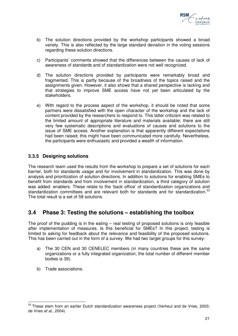

- b) The solution directions provided by the workshop participants showed a broad variety. This is also reflected by the large standard deviation in the voting sessions regarding these solution directions.
- c) Participants' comments showed that the differences between the causes of lack of awareness of standards and of standardization were not well recognized.
- d) The solution directions provided by participants were remarkably broad and fragmented. This is partly because of the broadness of the topics raised and the assignments given. However, it also shows that a shared perspective is lacking and that strategies to improve SME access have not yet been articulated by the stakeholders.
- e) With regard to the process aspect of the workshop, it should be noted that some partners were dissatisfied with the open character of the workshop and the lack of content provided by the researchers to respond to. This latter criticism was related to the limited amount of appropriate literature and materials available; there are still very few systematic descriptions and evaluations of causes and solutions to the issue of SME access. Another explanation is that apparently different expectations had been raised; this might have been communicated more carefully. Nevertheless, the participants were enthusiastic and provided a wealth of information.

## **3.3.5 Designing solutions**

The research team used the results from the workshop to prepare a set of solutions for each barrier, both for standards usage and for involvement in standardization. This was done by analysis and prioritization of solution directions. In addition to solutions for enabling SMEs to benefit from standards and from involvement in standardization, a third category of solution was added: enablers. These relate to the 'back office' of standardization organizations and standardization committees and are relevant both for standards and for standardization.<sup>53</sup> The total result is a set of 58 solutions.

## **3.4 Phase 3: Testing the solutions – establishing the toolbox**

The proof of the pudding is in the eating – real testing of proposed solutions is only feasible after implementation of measures. Is this beneficial for SMEs? In this project, testing is limited to asking for feedback about the relevance and feasibility of the proposed solutions. This has been carried out in the form of a survey. We had two target groups for this survey:

- a) The 30 CEN and 30 CENELEC members (in many countries these are the same organizations or a fully integrated organization, the total number of different member bodies is 39).
- b) Trade associations.

l

<sup>&</sup>lt;sup>53</sup> These stem from an earlier Dutch standardization awareness project (Verheul and de Vries, 2003; de Vries et al., 2004).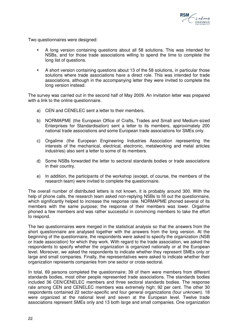

Two questionnaires were designed:

- A long version containing questions about all 58 solutions. This was intended for NSBs, and for those trade associations willing to spend the time to complete the long list of questions.
- A short version containing questions about 13 of the 58 solutions, in particular those solutions where trade associations have a direct role. This was intended for trade associations, although in the accompanying letter they were invited to complete the long version instead.

The survey was carried out in the second half of May 2009. An invitation letter was prepared with a link to the online questionnaire.

- a) CEN and CENELEC sent a letter to their members.
- b) NORMAPME (the European Office of Crafts, Trades and Small and Medium-sized Enterprises for Standardisation) sent a letter to its members, approximately 200 national trade associations and some European trade associations for SMEs only.
- c) Orgalime (the European Engineering Industries Association representing the interests of the mechanical, electrical, electronic, metalworking and metal articles industries) also sent a letter to some of its members.
- d) Some NSBs forwarded the letter to sectoral standards bodies or trade associations in their country.
- e) In addition, the participants of the workshop (except, of course, the members of the research team) were invited to complete the questionnaire.

The overall number of distributed letters is not known, it is probably around 300. With the help of phone calls, the research team asked non-replying NSBs to fill out the questionnaire, which significantly helped to increase the response rate. NORMAPME phoned several of its members with the same purpose; the response of their members was lower. Orgalime phoned a few members and was rather successful in convincing members to take the effort to respond.

The two questionnaires were merged in the statistical analysis so that the answers from the short questionnaire are analysed together with the answers from the long version. At the beginning of the questionnaire, the respondents were asked to specify the organization (NSB or trade association) for which they work. With regard to the trade association, we asked the respondents to specify whether the organization is organized nationally or at the European level. Moreover, we asked the respondents to indicate whether they represent SMEs only or large and small companies. Finally, the representatives were asked to indicate whether their organization represents companies from one sector or cross-sectoral.

In total, 69 persons completed the questionnaire; 39 of them were members from different standards bodies, most other people represented trade associations. The standards bodies included 36 CEN/CENELEC members and three sectoral standards bodies. The response rate among CEN and CENELEC members was extremely high: 92 per cent. The other 30 respondents contained 22 sector-specific and four general organizations (four unknown). 18 were organized at the national level and seven at the European level. Twelve trade associations represent SMEs only and 13 both large and small companies. One organization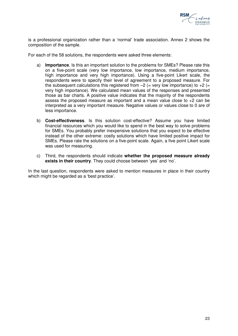

is a professional organization rather than a 'normal' trade association. Annex 2 shows the composition of the sample.

For each of the 58 solutions, the respondents were asked three elements:

- a) **Importance**. Is this an important solution to the problems for SMEs? Please rate this on a five-point scale (very low importance, low importance, medium importance, high importance and very high importance). Using a five-point Likert scale, the respondents were to specify their level of agreement to a proposed measure. For the subsequent calculations this registered from  $-2$  (= very low importance) to  $+2$  (= very high importance). We calculated mean values of the responses and presented those as bar charts. A positive value indicates that the majority of the respondents assess the proposed measure as important and a mean value close to +2 can be interpreted as a very important measure. Negative values or values close to 0 are of less importance.
- b) **Cost-effectiveness**. Is this solution cost-effective? Assume you have limited financial resources which you would like to spend in the best way to solve problems for SMEs. You probably prefer inexpensive solutions that you expect to be effective instead of the other extreme: costly solutions which have limited positive impact for SMEs. Please rate the solutions on a five-point scale. Again, a five point Likert scale was used for measuring.
- c) Third, the respondents should indicate **whether the proposed measure already exists in their country**. They could choose between 'yes' and 'no'.

In the last question, respondents were asked to mention measures in place in their country which might be regarded as a 'best practice'.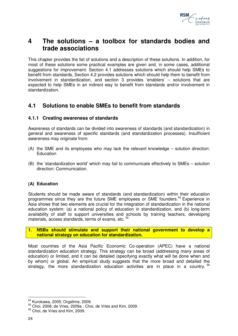

## **4 The solutions – a toolbox for standards bodies and trade associations**

This chapter provides the list of solutions and a description of these solutions. In addition, for most of these solutions some practical examples are given and, in some cases, additional suggestions for improvement. Section 4.1 addresses solutions which should help SMEs to benefit from standards, Section 4.2 provides solutions which should help them to benefit from involvement in standardization, and section 3 provides 'enablers' – solutions that are expected to help SMEs in an indirect way to benefit from standards and/or involvement in standardization.

## **4.1 Solutions to enable SMEs to benefit from standards**

## **4.1.1 Creating awareness of standards**

Awareness of standards can be divided into awareness of standards (and standardization) in general and awareness of specific standards (and standardization processes). Insufficient awareness may originate from:

- (A) the SME and its employees who may lack the relevant knowledge solution direction: **Education**
- (B) the 'standardization world' which may fail to communicate effectively to SMEs solution direction: Communication.

## **(A) Education**

Students should be made aware of standards (and standardization) within their education programmes since they are the future SME employees or SME founders.<sup>54</sup> Experience in Asia shows that two elements are crucial for the integration of standardization in the national education system: (a) a national policy of education in standardization, and (b) long-term availability of staff to support universities and schools by training teachers, developing materials, access standards, terms of exams, etc.<sup>55</sup>

**1. NSBs should stimulate and support their national government to develop a national strategy on education for standardization.** 

Most countries of the Asia Pacific Economic Co-operation (APEC) have a national standardization education strategy. This strategy can be broad (addressing many areas of education) or limited, and it can be detailed (specifying exactly what will be done when and by whom) or global. An empirical study suggests that the more broad and detailed the strategy, the more standardization education activities are in place in a country.<sup>56</sup>

l <sup>54</sup> Kurokawa, 2005; Orgalime, 2009.

<sup>55</sup> Choi, 2008; de Vries, 2009a ; Choi, de Vries and Kim, 2009.

<sup>56</sup> Choi, de Vries and Kim, 2009.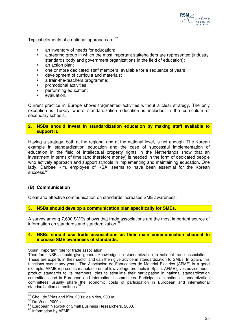

Typical elements of a national approach are:<sup>57</sup>

- an inventory of needs for education;
- a steering group in which the most important stakeholders are represented (industry, standards body and government organizations in the field of education);
- an action plan;
- one or more dedicated staff members, available for a sequence of years;
- development of curricula and materials;
- a train-the-teachers programme;
- promotional activities;
- performing education;
- evaluation.

Current practice in Europe shows fragmented activities without a clear strategy. The only exception is Turkey where standardization education is included in the curriculum of secondary schools.

### **2. NSBs should invest in standardization education by making staff available to support it.**

Having a strategy, both at the regional and at the national level, is not enough. The Korean example in standardization education and the case of successful implementation of education in the field of intellectual property rights in the Netherlands show that an investment in terms of time (and therefore money) is needed in the form of dedicated people who actively approach and support schools in implementing and maintaining education. One lady, Danbee Kim, employee of KSA, seems to have been essential for the Korean success.<sup>58</sup>

### **(B) Communication**

Clear and effective communication on standards increases SME awareness.

**3. NSBs should develop a communication plan specifically for SMEs.** 

A survey among 7,600 SMEs shows that trade associations are the most important source of information on standards and standardization.<sup>59</sup>

#### **4. NSBs should use trade associations as their main communication channel to increase SME awareness of standards.**

#### Spain: Important role for trade association

Therefore, NSBs should give general knowledge on standardization to national trade associations. These are experts in their sector and can then give advice in standardization to SMEs. In Spain, this functions over many years. The Asociacion de Fabricantes de Material Electrico (AFME) is a good example. AFME represents manufacturers of low-voltage products in Spain. AFME gives advice about product standards to its members, tries to stimulate their participation in national standardization committees and in European and international committees. Participants in national standardization committees usually share the economic costs of participation in European and international standardization committees.<sup>60</sup>

 $\overline{a}$  $57$  Choi, de Vries and Kim, 2009; de Vries, 2009a.

<sup>58</sup> De Vries, 2009a.

<sup>59</sup> European Network of Small Business Researchers, 2003.

<sup>&</sup>lt;sup>60</sup> Information by AFME.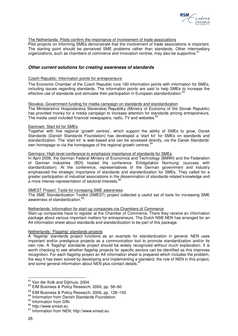

#### The Netherlands: Pilots confirm the importance of involvement of trade associations

Pilot projects on informing SMEs demonstrate that the involvement of trade associations is important. The starting point should be perceived SME problems rather than standards. Other intermediary organizations, such as chambers of commerce and innovation centres, may also be supportive.<sup>6</sup>

#### **Other current solutions for creating awareness of standards**

#### Czech Republic: Information points for entrepreneurs

The Economic Chamber of the Czech Republic runs 160 information points with information for SMEs, including issues regarding standards. The information points are said to help SMEs to increase the effective use of standards and stimulate their participation in European standardization.<sup>6</sup>

#### Slovakia: Government funding for media campaign on standards and standardization

The Ministerstrvo Hospodarstva Slevenskej Republiky (Ministry of Economy of the Slovak Republic) has provided money for a media campaign to increase attention for standards among entrepreneurs. The media used included financial newspapers, radio, TV and websites.<sup>63</sup>

#### Denmark: Start kit for SMEs

Together with five regional 'growth centres', which support the ability of SMEs to grow, Dansk Standards (Danish Standards Foundation) has developed a 'start kit' for SMEs on standards and standardization. The 'start kit' is web-based and can be accessed directly, via the Dansk Standards' own homepage or via the homepages of the regional growth centres.<sup>64</sup>

#### Germany: High-level conference to emphasize importance of standards for SMEs

In April 2008, the German Federal Ministry of Economics and Technology (BMWI) and the Federation of German Industries (BDI) hosted the conference 'Erfolgsfaktor Normung' (success with standardization). At the conference, representatives of the German government and industry emphasized the strategic importance of standards and standardization for SMEs. They called for a greater participation of industrial associations in the dissemination of standards-related knowledge and a more intense representation of sectoral interests. <sup>65</sup>

#### SMEST Project: Tools for increasing SME awareness

The SME Standardization Toolkit (SMEST) project collected a useful set of tools for increasing SME awareness of standardization.<sup>66</sup>

#### Netherlands: Information for start-up companies via Chambers of Commerce

Start-up companies have to register at the Chamber of Commerce. There they receive an information package about various important matters for entrepreneurs. The Dutch NSB NEN has arranged for an A4 information sheet about standards and standardization to be part of this package.

#### Netherlands: 'Flagship' standards projects

A 'flagship' standards project functions as an example for standardization in general. NEN uses important and/or prestigious projects as a communication tool to promote standardization and/or its own role. A 'flagship' standards project should be widely recognized without much explanation. It is worth checking to see whether flagship projects for specific sectors can be identified as this improves recognition. For each flagship project an A4 information sheet is prepared which includes the problem, the way it has been solved by developing and implementing a standard, the role of NEN in this project, and some general information about NEN plus contact details.

 $\overline{\phantom{a}}$ 

<sup>&</sup>lt;sup>61</sup> Van der Kolk and Dijkhuis, 2004.

<sup>62</sup> EIM Business & Policy Research, 2006, pp. 58–60.

<sup>&</sup>lt;sup>63</sup> EIM Business & Policy Research, 2006, pp. 128-130.

<sup>&</sup>lt;sup>64</sup> Information from Danish Standards Foundation.

<sup>&</sup>lt;sup>65</sup> Information from DIN.

<sup>&</sup>lt;sup>66</sup> http://www.smest.eu

<sup>67</sup> Information from NEN; http://www.smest.eu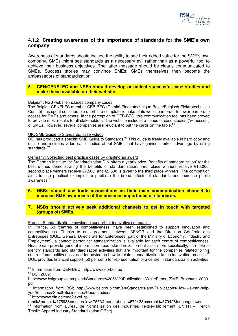

## **4.1.2 Creating awareness of the importance of standards for the SME's own company**

Awareness of standards should include the ability to see their added value for the SME's own company. SMEs might see standards as a necessary evil rather than as a powerful tool to achieve their business objectives. The latter message should be clearly communicated to SMEs. Success stories may convince SMEs; SMEs themselves then become the ambassadors of standardization.

### **5. CEN/CENELEC and NSBs should develop or collect successful case studies and make these available on their website.**

#### Belgium: NSB website includes company cases

The Belgian CENELEC member CEB-BEC (Comité Electrotechnique Belge/Belgisch Elektrotechnisch Comité) has spent considerable effort in a complete remake of its website in order to lower barriers to access for SMEs and others. In the perception of CEB-BEC, this communication tool has been proved to provide most results to all stakeholders. The website includes a series of case studies ('witnesses') of SMEs. However, several companies are reluctant to put the cards on the table.<sup>68</sup>

#### UK: SME Guide to Standards, case videos

BSI has produced a specific SME Guide to Standards.<sup>69</sup> This guide is freely available in hard copy and online and includes video case studies about SMEs that have gained market advantage by using standards.<sup>70</sup>

#### Germany: Collecting best practice cases by granting an award

The German Institute for Standardization DIN offers a yearly prize 'Benefits of standardization' for the best entries demonstrating the benefits of standardization. First place winners receive €15,000, second place winners receive €7,500, and €2,500 is given to the third place winners. The competition aims to use practical examples to publicize the broad effects of standards and increase public awareness.<sup>7</sup>

**6. NSBs should use trade associations as their main communication channel to increase SME awareness of the business importance of standards.** 

### **7. NSBs should actively seek additional channels to get in touch with targeted (groups of) SMEs.**

#### France: Standardization knowledge support for innovative companies

In France, 53 'centres of competitiveness' have been established to support innovation and competitiveness. Thanks to an agreement between AFNOR and the Direction Générale des Entreprises (DGE, General Directorate for Enterprises, part of the Ministry of Economy, Industry and Employment), a contact person for standardization is available for each centre of competitiveness. He/she can provide general information about standardization but also, more specifically, can help to identify standards and standardization activities that are important for the companies related to this centre of competitiveness, and for advice on how to relate standardization to the innovation process.<sup>72</sup> DGE provides financial support (50 per cent) for representation of a centre in standardization activities.

http://www.din.de/cmd?level=tpl-

 $\overline{\phantom{a}}$ <sup>68</sup> Information from CEN-BEC, http://www.ceb-bec.be

<sup>&</sup>lt;sup>69</sup> BSI, 2009;

http://www.bsigroup.com/upload/Standards%20&%20Publications/WhitePapers/SME\_Brochure\_2009. pdf

<sup>&</sup>lt;sup>70</sup> Information from BSI; http://www.bsigroup.com/en/Standards-and-Publications/How-we-can-helpyou/Business/Small-Businesses/Case-studies/

rubrik&menuid=47563&cmsareaid=47563&menurubricid=57942&cmsrubid=57942&languageid=en  $72$  Information from Bureau de Normalisation des Industries Textile-Habillement (BNITH – French Textile-Apparel Industry Standardization Office)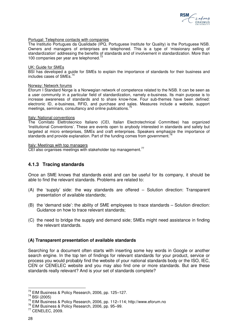

#### Portugal: Telephone contacts with companies

The Institutio Portugues da Qualidade (IPQ, Portuguese Institute for Quality) is the Portuguese NSB. Owners and managers of enterprises are telephoned. This is a type of 'missionary selling of standardization' addressing the benefits of standards and of involvement in standardization. More than 100 companies per year are telephoned.<sup>73</sup>

#### UK: Guide for SMEs

BSI has developed a guide for SMEs to explain the importance of standards for their business and includes cases of SMEs.<sup>7</sup>

#### Norway: Network forums

Eforum I Standard Norge is a Norwegian network of competence related to the NSB. It can be seen as a user community in a particular field of standardization, namely e-business. Its main purpose is to increase awareness of standards and to share know-how. Four sub-themes have been defined: electronic ID, e-business, RFID, and purchase and sales. Measures include a website, support meetings, seminars, consultancy and online publications.<sup>7</sup>

#### Italy: National conventions

The Comitato Elettrotecnico Italiano (CEI, Italian Electrotechnical Committee) has organized 'Institutional Conventions'. These are events open to anybody interested in standards and safety but targeted at micro enterprises, SMEs and craft enterprises. Speakers emphasize the importance of standards and provide explanation. Part of the funding comes from government.<sup>76</sup>

Italy: Meetings with top managers

CEI also organises meetings with stakeholder top management.<sup>77</sup>

### **4.1.3 Tracing standards**

Once an SME knows that standards exist and can be useful for its company, it should be able to find the relevant standards. Problems are related to:

- (A) the 'supply' side: the way standards are offered Solution direction: Transparent presentation of available standards;
- (B) the 'demand side': the ability of SME employees to trace standards Solution direction: Guidance on how to trace relevant standards;
- (C) the need to bridge the supply and demand side; SMEs might need assistance in finding the relevant standards.

#### **(A) Transparent presentation of available standards**

Searching for a document often starts with inserting some key words in Google or another search engine. In the top ten of findings for relevant standards for your product, service or process you would probably find the website of your national standards body or the ISO, IEC, CEN or CENELEC website and you may also find one or more standards. But are these standards really relevant? And is your set of standards complete?

l

<sup>&</sup>lt;sup>73</sup> EIM Business & Policy Research, 2006, pp. 125-127.

<sup>74</sup> BSI (2005)

<sup>75</sup> EIM Business & Policy Research, 2006, pp. 112–114; http://www.eforum.no

<sup>76</sup> EIM Business & Policy Research, 2006, pp. 95–99.

<sup>77</sup> CENELEC, 2009.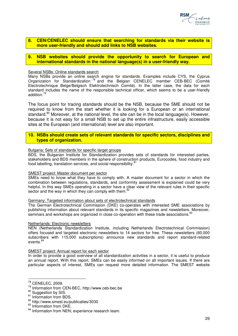

#### **8. CEN/CENELEC should ensure that searching for standards via their website is more user-friendly and should add links to NSB websites.**

#### **9. NSB websites should provide the opportunity to search for European and international standards in the national language(s) in a user-friendly way.**

#### Several NSBs: Online standards search

Many NSBs provide an online search engine for standards. Examples include CYS, the Cyprus Organization for Standardization <sup>78</sup> and the Belgian CENELEC member CEB-BEC (Comité Electrotechnique Belge/Belgisch Elektrotechnisch Comité). In the latter case, the data for each standard includes the name of the responsible technical officer, which seems to be a user-friendly addition.<sup>79</sup>

The focus point for tracing standards should be the NSB, because the SME should not be required to know from the start whether it is looking for a European or an international standard.<sup>80</sup> Moreover, at the national level, the site can be in the local language(s). However, because it is not easy for a small NSB to set up the entire infrastructure, easily accessible sites at the European (and international) level are also important.

#### **10. NSBs should create sets of relevant standards for specific sectors, disciplines and types of organization.**

#### Bulgaria: Sets of standards for specific target groups

BDS, the Bulgarian Institute for Standardization provides sets of standards for interested parties, stakeholders and BDS members in the sphere of construction products, Eurocodes, food industry and food labelling, translation services, and social responsibility.<sup>81</sup>

#### SMEST project: Master document per sector

SMEs need to know what they have to comply with. A master document for a sector in which the combination between regulations, standards, and conformity assessment is explained could be very helpful. In this way SMEs operating in a sector have a clear view of the relevant rules in their specific sector and the way in which they can comply with them.<sup>82</sup>

#### Germany: Targeted information about sets of electrotechnical standards

The German Electrotechnical Commission (DKE) co-operates with interested SME associations by publishing information about relevant standards in its specific magazines and newsletters. Moreover, seminars and workshops are organized in close co-operation with these trade associations.<sup>8</sup>

#### Netherlands: Electronic newsletters

NEN (Netherlands Standardization Institute, including Netherlands Electrotechnical Commission) offers focused and targeted electronic newsletters to 14 sectors for free. These newsletters (60,000 subscribers with 115,000 subscriptions) announce new standards and report standard-related events. $84$ 

#### SMEST project: Annual report for each sector

In order to provide a good overview of all standardization activities in a sector, it is useful to produce an annual report. With this report, SMEs can be easily informed on all important issues. If there are particular aspects of interest, SMEs can request more detailed information. The SMEST website

 $\overline{a}$ 

 $78$  CENELEC, 2009.

<sup>79</sup> Information from CEN-BEC, http://www.ceb-bec.be

<sup>80</sup> Suggestion by SIS.

<sup>81</sup> Information from BDS.

<sup>82</sup> http://www.smest.eu/publicaties/3030

<sup>83</sup> Information from DKE.

<sup>&</sup>lt;sup>84</sup> Information from NEN; experience research team.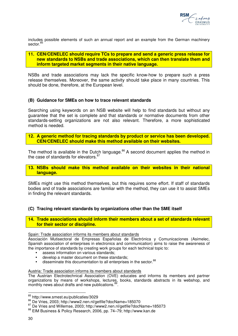

includes possible elements of such an annual report and an example from the German machinery sector.<sup>85</sup>

#### **11. CEN/CENELEC should require TCs to prepare and send a generic press release for new standards to NSBs and trade associations, which can then translate them and inform targeted market segments in their native language.**

NSBs and trade associations may lack the specific know-how to prepare such a press release themselves. Moreover, the same activity should take place in many countries. This should be done, therefore, at the European level.

#### **(B) Guidance for SMEs on how to trace relevant standards**

Searching using keywords on an NSB website will help to find standards but without any guarantee that the set is complete and that standards or normative documents from other standards-setting organizations are not also relevant. Therefore, a more sophisticated method is needed.

### **12. A generic method for tracing standards by product or service has been developed. CEN/CENELEC should make this method available on their websites.**

The method is available in the Dutch language.<sup>86</sup> A second document applies the method in the case of standards for elevators.<sup>87</sup>

#### **13. NSBs should make this method available on their websites in their national language.**

SMEs might use this method themselves, but this requires some effort. If staff of standards bodies and of trade associations are familiar with the method, they can use it to assist SMEs in finding the relevant standards.

### **(C) Tracing relevant standards by organizations other than the SME itself**

**14. Trade associations should inform their members about a set of standards relevant for their sector or discipline.** 

Spain: Trade association informs its members about standards

Asociación Mutisectoral de Empresas Españolas de Electrónica y Comunicaciones (Asimelec, Spanish association of enterprises in electronics and communication) aims to raise the awareness of the importance of standards by creating work groups for each technical topic to:

- assess information on various standards;
- develop a master document on these standards;
- $\cdot$  disseminate this documentation to all enterprises in the sector.  $88$

Austria: Trade association informs its members about standards

The Austrian Electrotechnical Association (OVE) educates and informs its members and partner organizations by means of workshops, lectures, books, standards abstracts in its webshop, and monthly news about drafts and new publications.<sup>8</sup> .

 $\overline{\phantom{a}}$ 

<sup>85</sup> http://www.smest.eu/publicaties/3029

<sup>86</sup> De Vries, 2003; http://www2.nen.nl/getfile?docName=185070

<sup>87</sup> De Vries and Willemse, 2003; http://www2.nen.nl/getfile?docName=185073

<sup>88</sup> EIM Business & Policy Research, 2006, pp. 74–79; http://www.kan.de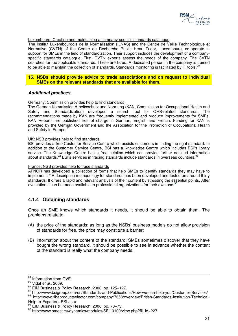

#### Luxembourg: Creating and maintaining a company-specific standards catalogue

The Institut Luxembourgois de la Normalisation (ILNAS) and the Centre de Veille Technologique et Normative (CVTN) of the Centre de Recherche Public Henri Tudor, Luxembourg, co-operate in support for SMEs in the field of standardization. Their support includes the development of a companyspecific standards catalogue. First, CVTN experts assess the needs of the company. The CVTN searches for the applicable standards. These are listed. A dedicated person in the company is trained to be able to maintain the collection of standards. Standards monitoring is facilitated by IT tools.<sup>9</sup>

#### **15. NSBs should provide advice to trade associations and on request to individual SMEs on the relevant standards that are available for them.**

#### **Additional practices**

#### Germany: Commission provides help to find standards

The German Kommission Arbeitsschutz und Normung (KAN, Commission for Occupational Health and Safety and Standardization) developed a search tool for OHS-related standards. The recommendations made by KAN are frequently implemented and produce improvements for SMEs. KAN Reports are published free of charge in German, English and French. Funding for KAN is provided by the German Government and the Association for the Promotion of Occupational Health and Safety in Europe.<sup>91</sup>

#### UK: NSB provides help to find standards

BSI provides a free Customer Service Centre which assists customers in finding the right standard. In addition to the Customer Service Centre, BSI has a Knowledge Centre which includes BSI's library service. The Knowledge Centre has a free helpline which can provide further detailed information about standards.<sup>92</sup> BSI's services in tracing standards include standards in overseas countries.<sup>9</sup>

#### France: NSB provides help to trace standards

AFNOR has developed a collection of forms that help SMEs to identify standards they may have to implement.<sup>94</sup> A description methodology for standards has been developed and tested on around thirty standards. It offers a rapid and relevant analysis of their content by stressing the essential points. After evaluation it can be made available to professional organizations for their own use.<sup>95</sup>

## **4.1.4 Obtaining standards**

Once an SME knows which standards it needs, it should be able to obtain them. The problems relate to:

- (A) the price of the standards: as long as the NSBs' business models do not allow provision of standards for free, the price may constitute a barrier;
- (B) information about the content of the standard: SMEs sometimes discover that they have bought the wrong standard. It should be possible to see in advance whether the content of the standard is really what the company needs.

 $\overline{a}$ 

<sup>&</sup>lt;sup>89</sup> Information from OVE.

<sup>&</sup>lt;sup>90</sup> Vidal et al., 2009.

<sup>91</sup> EIM Business & Policy Research, 2006, pp. 125–127.

<sup>92</sup> http://www.bsigroup.com/en/Standards-and-Publications/How-we-can-help-you/Customer-Services/ 93 http://www.ribaproductselector.com/company/7358/overview/British-Standards-Institution-Technical-Help-to-Exporters-BSI.aspx

<sup>&</sup>lt;sup>94</sup> EIM Business & Policy Research, 2006, pp. 70–73.

<sup>95</sup> http://www.smest.eu/dynamics/modules/SFIL0100/view.php?fil\_Id=227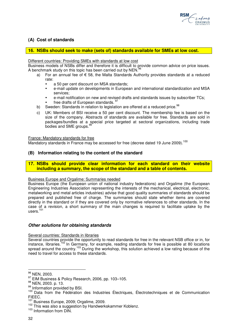

### **(A) Cost of standards**

#### **16. NSBs should seek to make (sets of) standards available for SMEs at low cost.**

Different countries: Providing SMEs with standards at low cost

Business models of NSBs differ and therefore it is difficult to provide common advice on price issues. A benchmark study on this topic has been carried out by NEN.<sup>96</sup>

- a) For an annual fee of  $\epsilon$  58, the Malta Standards Authority provides standards at a reduced rate:
	- a 50 per cent discount on MSA standards;
	- e-mail update on developments in European and international standardization and MSA services;
	- e-mail notification on new and revised drafts and standards issues by subscriber TCs;
	- free drafts of European standards. 97
- b) Sweden: Standards in relation to legislation are offered at a reduced price.<sup>98</sup>
- c) UK: Members of BSI receive a 50 per cent discount. The membership fee is based on the size of the company. Abstracts of standards are available for free. Standards are sold in packages/bundles at a special price targeted at sectoral organizations, including trade bodies and SME groups.<sup>9</sup>

France: Mandatory standards for free

Mandatory standards in France may be accessed for free (decree dated 19 June 2009).<sup>100</sup>

### **(B) Information relating to the content of the standard**

**17. NSBs should provide clear information for each standard on their website including a summary, the scope of the standard and a table of contents.** 

#### Business Europe and Orgalime: Summaries needed

Business Europe (the European union of national industry federations) and Orgalime (the European Engineering Industries Association representing the interests of the mechanical, electrical, electronic, metalworking and metal articles industries) advise that good quality summaries of standards should be prepared and published free of charge. The summaries should state whether items are covered directly in the standard or if they are covered only by normative references to other standards. In the case of a revision, a short summary of the main changes is required to facilitate uptake by the users.<sup>101</sup>

#### **Other solutions for obtaining standards**

#### Several countries: Standards in libraries

Several countries provide the opportunity to read standards for free in the relevant NSB office or in, for instance, libraries.<sup>102</sup> In Germany, for example, reading standards for free is possible at 80 locations spread around the country.<sup>103</sup> During the workshop, this solution achieved a low rating because of the need to travel for access to these standards.

 $\overline{\phantom{a}}$ 

<sup>&</sup>lt;sup>96</sup> NEN, 2003.

<sup>97</sup> EIM Business & Policy Research, 2006, pp. 103-105.

<sup>98</sup> NEN, 2003. p. 13.

<sup>99</sup> Information provided by BSI.

<sup>&</sup>lt;sup>100</sup> Data from the Fédération des Industries Électriques, Électrotechniques et de Communication FIEEC.

<sup>&</sup>lt;sup>101</sup> Business Europe, 2009; Orgalime, 2009.

<sup>102</sup> This was also a suggestion by Handwerkskammer Koblenz.

<sup>&</sup>lt;sup>103</sup> Information from DIN.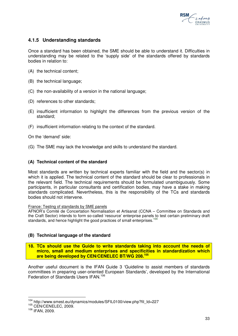

## **4.1.5 Understanding standards**

Once a standard has been obtained, the SME should be able to understand it. Difficulties in understanding may be related to the 'supply side' of the standards offered by standards bodies in relation to:

- (A) the technical content;
- (B) the technical language;
- (C) the non-availability of a version in the national language;
- (D) references to other standards;
- (E) insufficient information to highlight the differences from the previous version of the standard;
- (F) insufficient information relating to the context of the standard.

On the 'demand' side:

(G) The SME may lack the knowledge and skills to understand the standard.

### **(A) Technical content of the standard**

Most standards are written by technical experts familiar with the field and the sector(s) in which it is applied. The technical content of the standard should be clear to professionals in the relevant field. The technical requirements should be formulated unambiguously. Some participants, in particular consultants and certification bodies, may have a stake in making standards complicated. Nevertheless, this is the responsibility of the TCs and standards bodies should not intervene.

#### France: Testing of standards by SME panels

AFNOR's Comité de Concertation Normalisation et Artisanat (CCNA – Committee on Standards and the Craft Sector) intends to form so-called 'resource' enterprise panels to test certain preliminary draft standards, and hence highlight the good practices of small enterprises.<sup>104</sup>

### **(B) Technical language of the standard**

#### **18. TCs should use the Guide to write standards taking into account the needs of micro, small and medium enterprises and specificities in standardization which are being developed by CEN/CENELEC BT/WG 208.<sup>105</sup>**

Another useful document is the IFAN Guide 3 'Guideline to assist members of standards committees in preparing user-oriented European Standards', developed by the International Federation of Standards Users IFAN.<sup>106</sup>

 $\overline{a}$ <sup>104</sup> http://www.smest.eu/dynamics/modules/SFIL0100/view.php?fil\_Id=227

<sup>105</sup> CEN/CENELEC, 2009.

<sup>106</sup> IFAN, 2009.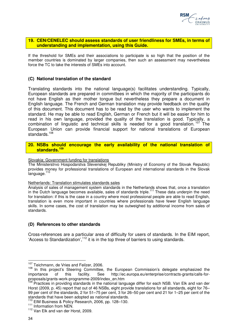

#### **19. CEN/CENELEC should assess standards of user friendliness for SMEs, in terms of understanding and implementation, using this Guide.**

If the threshold for SMEs and their associations to participate is so high that the position of the member countries is dominated by larger companies, then such an assessment may nevertheless force the TC to take the interests of SMEs into account.

### **(C) National translation of the standard**

Translating standards into the national language(s) facilitates understanding. Typically, European standards are prepared in committees in which the majority of the participants do not have English as their mother tongue but nevertheless they prepare a document in English language. The French and German translation may provide feedback on the quality of this document. This document has to be read by the user who wants to implement the standard. He may be able to read English, German or French but it will be easier for him to read in his own language, provided the quality of the translation is good. Typically, a combination of linguistic and technical skills is needed for a good translation.<sup>107</sup> The European Union can provide financial support for national translations of European standards.<sup>108</sup>

#### **20. NSBs should encourage the early availability of the national translation of standards.<sup>109</sup>**

#### Slovakia: Government funding for translations

The Ministerstrvo Hospodarstva Slevenskej Republiky (Ministry of Economy of the Slovak Republic) provides money for professional translations of European and international standards in the Slovak .<br>language.<sup>110</sup>

#### Netherlands: Translation stimulates standards sales

Analysis of sales of management system standards in the Netherlands shows that, once a translation in the Dutch language becomes available, sales of standards triple.<sup>111</sup> These data underpin the need for translation: if this is the case in a country where most professional people are able to read English, translation is even more important in countries where professionals have fewer English language skills. In some cases, the cost of translation may be outweighed by additional income from sales of standards.

#### **(D) References to other standards**

Cross-references are a particular area of difficulty for users of standards. In the EIM report, 'Access to Standardization',<sup>112</sup> it is in the top three of barriers to using standards.

 $\overline{a}$ <sup>107</sup> Teichmann, de Vries and Feilzer, 2006.

<sup>&</sup>lt;sup>108</sup> In this project's Steering Committee, the European Commission's delegate emphasized the importance of this facility. See http://ec.europa.eu/enterprise/contracts-grants/calls-forproposals/grants-work-programme-2009/index\_en.htm

<sup>109</sup> Practices in providing standards in the national language differ for each NSB. Van Elk and van der Horst (2009, p. 45) report that out of 46 NSBs, eight provide translations for all standards, eight for 76– 99 per cent of the standards, 2 for 51–75 per cent, 3 for 26–50 per cent and 21 for 1–25 per cent of the standards that have been adopted as national standards.

<sup>&</sup>lt;sup>110</sup> EIM Business & Policy Research, 2006, pp. 128–130.

<sup>&</sup>lt;sup>111</sup> Information from NEN.

<sup>&</sup>lt;sup>112</sup> Van Elk and van der Horst, 2009.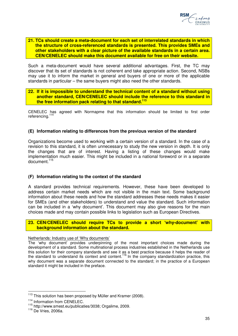#### **21. TCs should create a meta-document for each set of interrelated standards in which the structure of cross-referenced standards is presented. This provides SMEs and other stakeholders with a clear picture of the available standards in a certain area. CEN/CENELEC should make this document available for free on their website.**

Such a meta-document would have several additional advantages. First, the TC may discover that its set of standards is not coherent and take appropriate action. Second, NSBs may use it to inform the market in general and buyers of one or more of the applicable standards in particular – the same buyers might also need the other standards.

### **22. If it is impossible to understand the technical content of a standard without using another standard, CEN/CENELEC should include the reference to this standard in the free information pack relating to that standard. 113**

CENELEC has agreed with Normapme that this information should be limited to first order referencing.<sup>114</sup>

### **(E) Information relating to differences from the previous version of the standard**

Organizations become used to working with a certain version of a standard. In the case of a revision to this standard, it is often unnecessary to study the new version in depth. It is only the changes that are of interest. Having a listing of these changes would make implementation much easier. This might be included in a national foreword or in a separate document.<sup>115</sup>

### **(F) Information relating to the context of the standard**

A standard provides technical requirements. However, these have been developed to address certain market needs which are not visible in the main text. Some background information about these needs and how the standard addresses these needs makes it easier for SMEs (and other stakeholders) to understand and value the standard. Such information can be included in a 'why document'. This document may also give reasons for the main choices made and may contain possible links to legislation such as European Directives.

### **23. CEN/CENELEC should require TCs to provide a short 'why-document' with background information about the standard.**

#### Netherlands: Industry use of 'Why documents'

The 'why document' provides underpinning of the most important choices made during the development of a standard. Some multinational process industries established in the Netherlands use this solution for their company standards and see it as a best practice because it helps the reader of the standard to understand its context and content.<sup>116</sup> In the company standardization practice, this why document was a separate document connected to the standard; in the practice of a European standard it might be included in the preface.

 $\overline{\phantom{a}}$ 

 $113$  This solution has been proposed by Müller and Kramer (2008).

<sup>&</sup>lt;sup>114</sup> Information from CENELEC.

<sup>115</sup> http://www.smest.eu/publicaties/3038; Orgalime, 2009.

<sup>116</sup> De Vries, 2006a.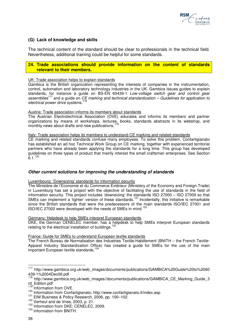

### **(G) Lack of knowledge and skills**

The technical content of the standard should be clear to professionals in the technical field. Nevertheless, additional training could be helpful for some standards.

#### **24. Trade associations should provide information on the content of standards relevant to their members.**

#### UK: Trade association helps to explain standards

Gambica is the British organization representing the interests of companies in the instrumentation, control, automation and laboratory technology industries in the UK. Gambica issues guides to explain standards, for instance a guide on BS-EN 60439-1 Low-voltage switch gear and control gear assemblies<sup>117</sup> and a guide on  $CE$  marking and technical standardization  $-$  Guidelines for application to electrical power drive systems.<sup>118</sup>

#### Austria: Trade association informs its members about standards

The Austrian Electrotechnical Association (OVE) educates and informs its members and partner organizations by means of workshops, lectures, books, standards abstracts in its webshop, and monthly news about drafts and new publications.

#### Italy: Trade association helps its members to understand CE marking and related standards

CE marking and related standards confuse many employees. To solve this problem, Confartigianato has established an ad hoc Technical Work Group on CE marking, together with experienced territorial partners who have already been applying the standards for a long time. This group has developed guidelines on three types of product that mainly interest the small craftsman enterprises. See Section  $6.1^{120}$ 

#### **Other current solutions for improving the understanding of standards**

#### Luxembourg: 'Downsizing' standards for information security

The Ministère de l'Economie et du Commerce Extérieur (Ministery of the Economy and Foreign Trade) in Luxemburg has set a project with the objective of facilitating the use of standards in the field of information security. This project includes 'downsizing' the standards ISO 27000 – ISO 27009 so that SMEs can implement a 'lighter' version of these standards.<sup>121</sup> Incidentally, this initiative is remarkable since the British standards that were the predecessors of the main standards ISO/IEC 27001 and ISO/IEC 27002 were developed with the needs of SMEs in mind.<sup>122</sup>

#### Germany: Helpdesk to help SMEs interpret European standards

DKE, the German CENELEC member, has a helpdesk to help SMEs interpret European standards relating to the electrical installation of buildings.

#### France: Guide for SMEs to understand European textile standards

The French Bureau de Normalisation des Industries Textile-Habillement (BNITH – the French Textile-Apparel Industry Standardization Office) has created a guide for SMEs for the use of the main important European textile standards.<sup>124</sup>

 $\overline{\phantom{a}}$ 

<sup>&</sup>lt;sup>117</sup> http://www.gambica.org.uk/web\_images/documents/publications/GAMBICA%20Guide%20to%2060 439-1%2004Dec06.pdf

<sup>118</sup> http://www.gambica.org.uk/web\_images//documents/publications/GAMBICA\_CE\_Marking\_Guide\_3 rd\_Edition.pdf

<sup>119</sup> Information from OVE.

<sup>120</sup> Information from Confartigianato; http://www.confartigianato.it/index.asp

<sup>&</sup>lt;sup>121</sup> EIM Business & Policy Research, 2006, pp. 100–102.

<sup>&</sup>lt;sup>122</sup> Verheul and de Vries, 2003, p. 21.

<sup>&</sup>lt;sup>123</sup> Information from DKE; CENELEC, 2009.

<sup>124</sup> Information from BNITH.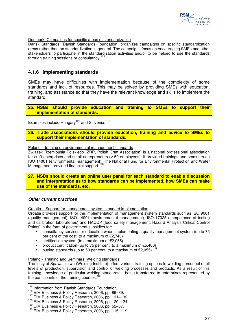

#### Denmark: Campaigns for specific areas of standardization

Dansk Standards (Danish Standards Foundation) organizes campaigns on specific standardization areas rather than on standardization in general. The campaigns focus on encouraging SMEs and other stakeholders to participate in the standardization activities and/or to be helped to use the standards through training sessions or consultancy.<sup>125</sup>

### **4.1.6 Implementing standards**

SMEs may have difficulties with implementation because of the complexity of some standards and lack of resources. This may be solved by providing SMEs with education, training, and assistance so that they have the relevant knowledge and skills to implement the standard.

**25. NSBs should provide education and training to SMEs to support their implementation of standards.** 

Examples include Hungary<sup>126</sup> and Slovenia.<sup>127</sup>

**26. Trade associations should provide education, training and advice to SMEs to support their implementation of standards.** 

#### Poland – training on environmental management standards

Związek Rzemiousia Polskiego (ZRP, Polish Craft Association) is a national professional association for craft enterprises and small entrepreneurs (< 50 employees). It provided trainings and seminars on ISO 14001 (environmental management). The National Fund for Environmental Protection and Water Management provided financial support.<sup>128</sup>

#### **27. NSBs should create an online user panel for each standard to enable discussion and interpretation as to how standards can be implemented, how SMEs can make use of the standards, etc.**

#### **Other current practices**

 $\overline{a}$ 

Croatia – Support for management system standard implementation

Croatia provides support for the implementation of management system standards such as ISO 9001 (quality management), ISO 14001 (environmental management), ISO 17025 (competence of testing and calibration laboratories) and HACCP (food safety management: Hazard Analysis Critical Control Points) in the form of government subsidies for:

- consultancy services or education when implementing a quality management system (up to 75 per cent of the cost, to a maximum of €2,740)
- certification system (to a maximum of  $€2.055$ )
- product certification (up to 75 per cent, to a maximum of €5,480)
- buying standards (up to 50 per cent, to a maximum of €2,055).<sup>129</sup>

#### Poland - Training and Seminars 'Welding standards'

The Instytut Spawalnictwa (Welding Institute) offers various training options to welding personnel of all levels of production, supervision and control of welding processes and products. As a result of this training, knowledge of particular welding standards is being transferred to enterprises represented by the participants of the training courses.<sup>130</sup>

<sup>&</sup>lt;sup>125</sup> Information from Danish Standards Foundation.

<sup>126</sup> EIM Business & Policy Research, 2006, pp. 86–89.

<sup>&</sup>lt;sup>127</sup> EIM Business & Policy Research, 2006, pp. 131-132.

<sup>&</sup>lt;sup>128</sup> EIM Business & Policy Research, 2006, pp. 120-124.

<sup>&</sup>lt;sup>129</sup> EIM Business & Policy Research, 2006, pp. 52-57.

<sup>130</sup> EIM Business & Policy Research, 2006, pp. 115–119.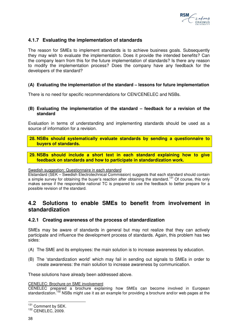

### **4.1.7 Evaluating the implementation of standards**

The reason for SMEs to implement standards is to achieve business goals. Subsequently they may wish to evaluate the implementation. Does it provide the intended benefits? Can the company learn from this for the future implementation of standards? Is there any reason to modify the implementation process? Does the company have any feedback for the developers of the standard?

### **(A) Evaluating the implementation of the standard – lessons for future implementation**

There is no need for specific recommendations for CEN/CENELEC and NSBs.

### **(B) Evaluating the implementation of the standard – feedback for a revision of the standard**

Evaluation in terms of understanding and implementing standards should be used as a source of information for a revision.

**28. NSBs should systematically evaluate standards by sending a questionnaire to buyers of standards.** 

**29. NSBs should include a short text in each standard explaining how to give feedback on standards and how to participate in standardization work.** 

#### Swedish suggestion: Questionnaire in each standard

Elstandard (SEK – Swedish Electrotechnical Commission) suggests that each standard should contain a simple survey for obtaining the buyer's reaction after obtaining the standard.<sup>131</sup> Of course, this only makes sense if the responsible national TC is prepared to use the feedback to better prepare for a possible revision of the standard.

## **4.2 Solutions to enable SMEs to benefit from involvement in standardization**

### **4.2.1 Creating awareness of the process of standardization**

SMEs may be aware of standards in general but may not realize that they can actively participate and influence the development process of standards. Again, this problem has two sides:

- (A) The SME and its employees: the main solution is to increase awareness by education.
- (B) The 'standardization world' which may fail in sending out signals to SMEs in order to create awareness: the main solution to increase awareness by communication.

These solutions have already been addressed above.

#### CENELEC: Brochure on SME involvement

CENELEC prepared a brochure explaining how SMEs can become involved in European standardization.<sup>132</sup> NSBs might use it as an example for providing a brochure and/or web pages at the

 $\overline{a}$ <sup>131</sup> Comment by SEK.

<sup>132</sup> CENELEC, 2009.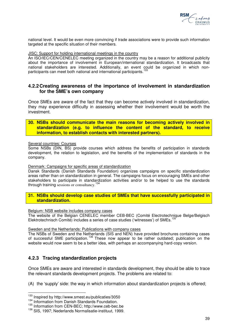

national level. It would be even more convincing if trade associations were to provide such information targeted at the specific situation of their members.

#### JISC: Support for holding international meetings in the country

An ISO/IEC/CEN/CENELEC meeting organized in the country may be a reason for additional publicity about the importance of involvement in European/international standardization. It broadcasts that national stakeholders are interested. Additionally, an event could be organized in which nonparticipants can meet both national and international participants.<sup>133</sup>

### **4.2.2 Creating awareness of the importance of involvement in standardization for the SME's own company**

Once SMEs are aware of the fact that they can become actively involved in standardization, they may experience difficulty in assessing whether their involvement would be worth the investment.

**30. NSBs should communicate the main reasons for becoming actively involved in standardization (e.g. to influence the content of the standard, to receive information, to establish contacts with interested partners).** 

#### Several countries: Courses

Some NSBs (DIN, BS) provide courses which address the benefits of participation in standards development, the relation to legislation, and the benefits of the implementation of standards in the company.

#### Denmark: Campaigns for specific areas of standardization

Dansk Standards (Danish Standards Foundation) organizes campaigns on specific standardization areas rather than on standardization in general. The campaigns focus on encouraging SMEs and other stakeholders to participate in standardization activities and/or to be helped to use the standards through training sessions or consultancy.<sup>134</sup>

### **31. NSBs should develop case studies of SMEs that have successfully participated in standardization.**

#### Belgium: NSB website includes company cases

The website of the Belgian CENELEC member CEB-BEC (Comité Electrotechnique Belge/Belgisch Elektrotechnisch Comité) includes a series of case studies ('witnesses') of SMEs.<sup>1</sup>

#### Sweden and the Netherlands: Publications with company cases

The NSBs of Sweden and the Netherlands (SIS and NEN) have provided brochures containing cases of successful SME participation. <sup>136</sup> These now appear to be rather outdated; publication on the website would now seem to be a better idea, with perhaps an accompanying hard-copy version.

### **4.2.3 Tracing standardization projects**

Once SMEs are aware and interested in standards development, they should be able to trace the relevant standards development projects. The problems are related to:

(A) the 'supply' side: the way in which information about standardization projects is offered;

 $\overline{\phantom{a}}$ 

<sup>&</sup>lt;sup>133</sup> Inspired by http://www.smest.eu/publicaties/3050

<sup>&</sup>lt;sup>134</sup> Information from Danish Standards Foundation.

<sup>135</sup> Information from CEN-BEC; http://www.ceb-bec.be

<sup>136</sup> SIS, 1997; Nederlands Normalisatie-instituut, 1999.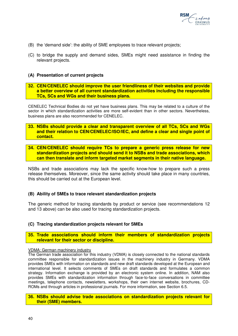

- (B) the 'demand side': the ability of SME employees to trace relevant projects;
- (C) to bridge the supply and demand sides, SMEs might need assistance in finding the relevant projects.

#### **(A) Presentation of current projects**

#### **32. CEN/CENELEC should improve the user friendliness of their websites and provide a better overview of all current standardization activities including the responsible TCs, SCs and WGs and their business plans.**

CENELEC Technical Bodies do not yet have business plans. This may be related to a culture of the sector in which standardization activities are more self-evident than in other sectors. Nevertheless, business plans are also recommended for CENELEC.

- **33. NSBs should provide a clear and transparent overview of all TCs, SCs and WGs and their relation to CEN/CENELEC/ISO/IEC, and define a clear and single point of contact.**
- **34. CEN/CENELEC should require TCs to prepare a generic press release for new standardization projects and should send it to NSBs and trade associations, which can then translate and inform targeted market segments in their native language.**

NSBs and trade associations may lack the specific know-how to prepare such a press release themselves. Moreover, since the same activity should take place in many countries, this should be carried out at the European level.

#### **(B) Ability of SMEs to trace relevant standardization projects**

The generic method for tracing standards by product or service (see recommendations 12 and 13 above) can be also used for tracing standardization projects.

#### **(C) Tracing standardization projects relevant for SMEs**

**35. Trade associations should inform their members of standardization projects relevant for their sector or discipline.** 

#### VDMA: German machinery industry

The German trade association for this industry (VDMA) is closely connected to the national standards committee responsible for standardization issues in the machinery industry in Germany. VDMA provides SMEs with information on standards and new draft standards developed at the European and international level. It selects comments of SMEs on draft standards and formulates a common strategy. Information exchange is provided by an electronic system online. In addition, NAM also provides SMEs with standardization information through face-to-face conversations in committee meetings, telephone contacts, newsletters, workshops, their own internet website, brochures, CD-ROMs and through articles in professional journals. For more information, see Section 6.5.

#### **36. NSBs should advise trade associations on standardization projects relevant for their (SME) members.**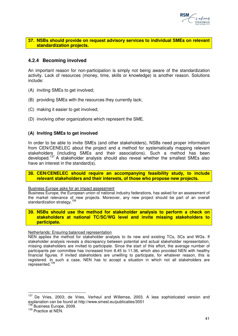

### **37. NSBs should provide on request advisory services to individual SMEs on relevant standardization projects.**

### **4.2.4 Becoming involved**

An important reason for non-participation is simply not being aware of the standardization activity. Lack of resources (money, time, skills or knowledge) is another reason. Solutions include:

- (A) inviting SMEs to get involved;
- (B) providing SMEs with the resources they currently lack;
- (C) making it easier to get involved;
- (D) involving other organizations which represent the SME.

### **(A) Inviting SMEs to get involved**

In order to be able to invite SMEs (and other stakeholders), NSBs need proper information from CEN/CENELEC about the project and a method for systematically mapping relevant stakeholders (including SMEs and their associations). Such a method has been developed.<sup>137</sup> A stakeholder analysis should also reveal whether the smallest SMEs also have an interest in the standard(s).

**38. CEN/CENELEC should require an accompanying feasibility study, to include relevant stakeholders and their interests, of those who propose new projects.** 

Business Europe asks for an impact assessment

Business Europe, the European union of national industry federations, has asked for an assessment of the market relevance of new projects. Moreover, any new project should be part of an overall standardization strategy.<sup>138</sup>

#### **39. NSBs should use the method for stakeholder analysis to perform a check on stakeholders at national TC/SC/WG level and invite missing stakeholders to participate.**

#### Netherlands: Ensuring balanced representation

NEN applies the method for stakeholder analysis to its new and existing TCs, SCs and WGs. If stakeholder analysis reveals a discrepancy between potential and actual stakeholder representation, missing stakeholders are invited to participate. Since the start of this effort, the average number of participants per committee has increased from 8.45 to 11.36, which also provided NEN with healthy financial figures. If invited stakeholders are unwilling to participate, for whatever reason, this is registered. In such a case, NEN has to accept a situation in which not all stakeholders are represented.<sup>139</sup>

 $\overline{\phantom{a}}$ 

<sup>&</sup>lt;sup>137</sup> De Vries, 2003; de Vries, Verheul and Willemse, 2003. A less sophisticated version and explanation can be found at http://www.smest.eu/publicaties/3051

<sup>&</sup>lt;sup>138</sup> Business Europe, 2009.

<sup>&</sup>lt;sup>139</sup> Practice at NEN.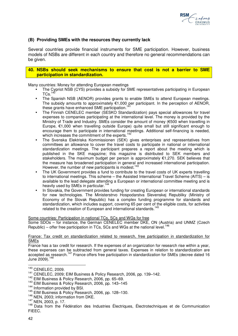

### **(B) Providing SMEs with the resources they currently lack**

Several countries provide financial instruments for SME participation. However, business models of NSBs are different in each country and therefore no general recommendations can be given.

#### **40. NSBs should seek mechanisms to ensure that cost is not a barrier to SME participation in standardization.**

Many countries: Money for attending European meetings

- The Cypriot NSB (CYS) provides a subsidy for SME representatives participating in European  $T$ Cs. $^{140}$
- The Spanish NSB (AENOR) provides grants to enable SMEs to attend European meetings. The subsidy amounts to approximately €1,000 per participant. In the perception of AENOR, these grants have enhanced SME participation.<sup>1</sup>
- The Finnish CENELEC member (SESKO Standardization) pays special allowances for travel expenses to companies participating at the international level. The money is provided by the Ministry of Trade and Industry. SMEs consider the amount of money (€500 when travelling in Europe, €1,000 when travelling outside Europe) quite small but still significant enough to encourage them to participate in international meetings. Additional self-financing is needed, which increases the commitment of the experts.<sup>1</sup>
- The Svenska Elektriska Kommissionen (SEK) gives enterprises and representatives from committees an allowance to cover the travel costs to participate in national or international standardization meetings. The participant prepares a report about the meeting which is published in the SKE magazine; this magazine is distributed to SEK members and stakeholders. The maximum budget per person is approximately €1,270. SEK believes that the measure has broadened participation in general and increased international participation. However, the number of new participants is modest.  $143$
- The UK Government provides a fund to contribute to the travel costs of UK experts travelling to international meetings. This scheme – the Assisted International Travel Scheme (AITS) – is available to the lead delegate attending a European or international committee meeting and is heavily used by SMEs in particular.<sup>144</sup>
- In Slovakia, the Government provides funding for creating European or international standards for new technologies. The Ministerstrvo Hospodarstva Slevenskej Republiky (Ministry of Economy of the Slovak Republic) has a complex funding programme for standards and standardization, which includes support, covering 65 per cent of the eligible costs, for activities related to the creation of European and international standards.<sup>145</sup>

Some countries: Participation in national TCs, SCs and WGs for free

Some SDOs – for instance, the German CENELEC member DKE, ON (Austria) and UNMZ (Czech Republic) – offer free participation in TCs, SCs and WGs at the national level.<sup>1</sup> L

#### France: Tax credit on standardization related to research, free participation in standardization for SMEs

France has a tax credit for research. If the expenses of an organization for research rise within a year, these expenses can be subtracted from general taxes. Expenses in relation to standardization are accepted as research.<sup>147</sup> France offers free participation in standardization for SMEs (decree dated 16 June 2009).<sup>148</sup>

 $\overline{\phantom{a}}$ 

<sup>140</sup> CENELEC, 2009.

<sup>141</sup> CENELEC, 2009; EIM Business & Policy Research, 2006, pp. 139–142.

<sup>142</sup> EIM Business & Policy Research, 2006, pp. 65–69.

<sup>143</sup> EIM Business & Policy Research, 2006, pp. 143–145

<sup>&</sup>lt;sup>144</sup> Information provided by BSI.

<sup>145</sup> EIM Business & Policy Research, 2006, pp. 128–130.

<sup>&</sup>lt;sup>146</sup> NEN, 2003; information from DKE.

<sup>147</sup> NEN, 2003, p. 17.

<sup>&</sup>lt;sup>148</sup> Data from the Fédération des Industries Électriques, Électrotechniques et de Communication FIEEC.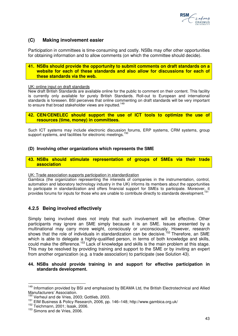

### **(C) Making involvement easier**

Participation in committees is time-consuming and costly. NSBs may offer other opportunities for obtaining information and to allow comments (on which the committee should decide).

#### **41. NSBs should provide the opportunity to submit comments on draft standards on a website for each of these standards and also allow for discussions for each of these standards via the web.**

#### UK: online input on draft standards

New draft British Standards are available online for the public to comment on their content. This facility is currently only available for purely British Standards. Roll-out to European and international standards is foreseen. BSI perceives that online commenting on draft standards will be very important to ensure that broad stakeholder views are inputted.<sup>149</sup>

**42. CEN/CENELEC should support the use of ICT tools to optimize the use of resources (time, money) in committees.** 

Such ICT systems may include electronic discussion forums, ERP systems, CRM systems, group support systems, and facilities for electronic meetings.

### **(D) Involving other organizations which represents the SME**

**43. NSBs should stimulate representation of groups of SMEs via their trade association** 

#### UK: Trade association supports participation in standardization

Gambica (the organization representing the interests of companies in the instrumentation, control, automation and laboratory technology industry in the UK) informs its members about the opportunities to participate in standardization and offers financial support for SMEs to participate. Moreover, it provides forums for inputs for those who are unable to contribute directly to standards development.

### **4.2.5 Being involved effectively**

Simply being involved does not imply that such involvement will be effective. Other participants may ignore an SME simply because it is an SME. Issues presented by a multinational may carry more weight, consciously or unconsciously. However, research shows that the role of individuals in standardization can be decisive.<sup>152</sup> Therefore, an SME which is able to delegate a highly-qualified person, in terms of both knowledge and skills, could make the difference.<sup>153</sup> Lack of knowledge and skills is the main problem at this stage. This may be resolved by providing training and support to the SME or by inviting an expert from another organization (e.g. a trade association) to participate (see Solution 43).

### **44. NSBs should provide training in and support for effective participation in standards development.**

 $\overline{a}$ 

<sup>&</sup>lt;sup>149</sup> Information provided by BSI and emphasized by BEAMA Ltd, the British Electrotechnical and Allied Manufacturers' Association.

<sup>&</sup>lt;sup>150</sup> Verheul and de Vries, 2003; Gottlieb, 2003.

<sup>151</sup> EIM Business & Policy Research, 2006, pp. 146–148; http://www.gambica.org.uk/

<sup>152</sup> Teichmann, 2001; Isaak, 2006.

<sup>&</sup>lt;sup>153</sup> Simons and de Vries, 2006.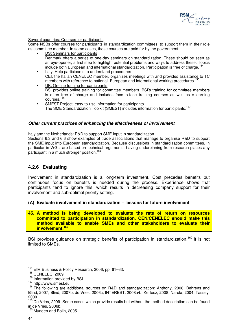

#### Several countries: Courses for participants

Some NSBs offer courses for participants in standardization committees, to support them in their role as committee member. In some cases, these courses are paid for by the government.

- DS: Seminars for participants Denmark offers a series of one-day seminars on standardization. These should be seen as an eye-opener, a first step to highlight potential problems and ways to address these. Topics include both European and international standardization. Participation is free of charge.  $\ddot{\phantom{a}}$
- Italy: Help participants to understand procedures CEI, the Italian CENELEC member, organizes meetings with and provides assistance to TC members with reference to national, European and international working procedures.<sup>1</sup>
- UK: On-line training for participants BSI provides online training for committee members. BSI's training for committee members is often free of charge and includes face-to-face training courses as well as e-learning courses.<sup>156</sup>
- SMEST Project: easy-to-use information for participants The SME Standardization Toolkit (SMEST) includes information for participants.<sup>157</sup>

### **Other current practices of enhancing the effectiveness of involvement**

Italy and the Netherlands: R&D to support SME input in standardization

Sections 6.3 and 6.6 show examples of trade associations that manage to organise R&D to support the SME input into European standardization. Because discussions in standardization committees, in particular in WGs, are based on technical arguments, having underpinning from research places any participant in a much stronger position.<sup>158</sup>

### **4.2.6 Evaluating**

Involvement in standardization is a long-term investment. Cost precedes benefits but continuous focus on benefits is needed during the process. Experience shows that participants tend to ignore this, which results in decreasing company support for their involvement and sub-optimal priority setting.

#### **(A) Evaluate involvement in standardization – lessons for future involvement**

**45. A method is being developed to evaluate the rate of return on resources committed to participation in standardization. CEN/CENELEC should make this method available to enable SMEs and other stakeholders to evaluate their involvement.<sup>159</sup>**

BSI provides guidance on strategic benefits of participation in standardization.<sup>160</sup> It is not limited to SMEs.

 $\overline{\phantom{a}}$ 

<sup>&</sup>lt;sup>154</sup> EIM Business & Policy Research, 2006, pp. 61–63.

<sup>155</sup> CENELEC, 2009.

<sup>&</sup>lt;sup>156</sup> Information provided by BSI.

<sup>157</sup> http://www.smest.eu

<sup>&</sup>lt;sup>158</sup> The following are additional sources on R&D and standardization: Anthony, 2008; Behrens and Blind, 2007; Blind, 2007b; de Vries, 2006c; INTEREST, 2008a/b; Kertesz, 2008; Narula, 2004; Tassey, 2000.

 $159$  De Vries, 2009. Some cases which provide results but without the method description can be found in de Vries, 2006b.

<sup>&</sup>lt;sup>160</sup> Munden and Bolin, 2005.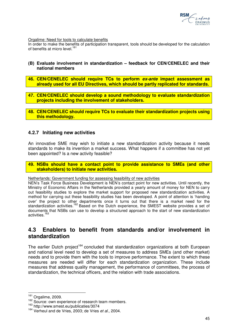

Orgalime: Need for tools to calculate benefits

In order to make the benefits of participation transparent, tools should be developed for the calculation of benefits at micro level.<sup>161</sup>

- **(B) Evaluate involvement in standardization feedback for CEN/CENELEC and their national members**
- **46. CEN/CENELEC should require TCs to perform ex-ante impact assessment as already used for all EU Directives, which should be partly replicated for standards.**
- **47. CEN/CENELEC should develop a sound methodology to evaluate standardization projects including the involvement of stakeholders.**
- **48. CEN/CENELEC should require TCs to evaluate their standardization projects using this methodology.**

### **4.2.7 Initiating new activities**

An innovative SME may wish to initiate a new standardization activity because it needs standards to make its invention a market success. What happens if a committee has not yet been appointed? Is a new activity feasible?

**49. NSBs should have a contact point to provide assistance to SMEs (and other stakeholders) to initiate new activities.** 

Netherlands: Government funding for assessing feasibility of new activities

NEN's Task Force Business Development is NEN's contact point for new activities. Until recently, the Ministry of Economic Affairs in the Netherlands provided a yearly amount of money for NEN to carry out feasibility studies to explore the market support for proposed new standardization activities. A method for carrying out these feasibility studies has been developed. A point of attention is 'handing over' the project to other departments once it turns out that there is a market need for the standardization activities.<sup>162</sup> Based on the Dutch experience, the SMEST website provides a set of documents that NSBs can use to develop a structured approach to the start of new standardization activities.<sup>163</sup>

## **4.3 Enablers to benefit from standards and/or involvement in standardization**

The earlier Dutch project<sup>164</sup> concluded that standardization organizations at both European and national level need to develop a set of measures to address SMEs (and other market) needs and to provide them with the tools to improve performance. The extent to which these measures are needed will differ for each standardization organization. These include measures that address quality management, the performance of committees, the process of standardization, the technical officers, and the relation with trade associations.

 $\overline{\phantom{a}}$ 

 $161$  Orgalime, 2009.

<sup>&</sup>lt;sup>162</sup> Source: own experience of research team members.

<sup>163</sup> http://www.smest.eu/publicaties/3074

<sup>&</sup>lt;sup>164</sup> Verheul and de Vries, 2003; de Vries et al., 2004.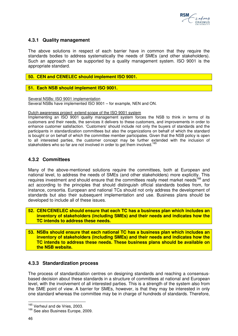

### **4.3.1 Quality management**

The above solutions in respect of each barrier have in common that they require the standards bodies to address systematically the needs of SMEs (and other stakeholders). Such an approach can be supported by a quality management system. ISO 9001 is the appropriate standard.

### **50. CEN and CENELEC should implement ISO 9001.**

### **51. Each NSB should implement ISO 9001.**

Several NSBs: ISO 9001 implementation Several NSBs have implemented ISO 9001 – for example, NEN and ON.

Dutch awareness project: extend scope of the ISO 9001 system

Implementing an ISO 9001 quality management system forces the NSB to think in terms of its customers and their needs, the services it delivers to these customers, and improvements in order to enhance customer satisfaction. 'Customers' should include not only the buyers of standards and the participants in standardization committees but also the organizations on behalf of which the standard is bought or on behalf of which the committee member participates. Given that the NSB policy is open to all interested parties, the customer concept may be further extended with the inclusion of stakeholders who so far are not involved in order to get them involved.<sup>165</sup>

### **4.3.2 Committees**

Many of the above-mentioned solutions require the committees, both at European and national level, to address the needs of SMEs (and other stakeholders) more explicitly. This requires investment and should ensure that the committees really meet market needs<sup>166</sup> and act according to the principles that should distinguish official standards bodies from, for instance, consortia. European and national TCs should not only address the development of standards but also their subsequent implementation and use. Business plans should be developed to include all of these issues.

- **52. CEN/CENELEC should ensure that each TC has a business plan which includes an inventory of stakeholders (including SMEs) and their needs and indicates how the TC intends to address these needs.**
- **53. NSBs should ensure that each national TC has a business plan which includes an inventory of stakeholders (including SMEs) and their needs and indicates how the TC intends to address these needs. These business plans should be available on the NSB website.**

### **4.3.3 Standardization process**

The process of standardization centres on designing standards and reaching a consensusbased decision about these standards in a structure of committees at national and European level, with the involvement of all interested parties. This is a strength of the system also from the SME point of view. A barrier for SMEs, however, is that they may be interested in only one standard whereas the committee may be in charge of hundreds of standards. Therefore,

 $\overline{a}$ 

<sup>&</sup>lt;sup>165</sup> Verheul and de Vries, 2003.

<sup>&</sup>lt;sup>166</sup> See also Business Europe, 2009.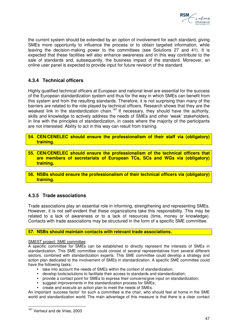

the current system should be extended by an option of involvement for each standard, giving SMEs more opportunity to influence the process or to obtain targeted information, while leaving the decision-making power to the committees (see Solutions 27 and 41). It is expected that these facilities will also enhance awareness and in this way contribute to the sale of standards and, subsequently, the business impact of the standard. Moreover, an online user panel is expected to provide input for future revision of the standard.

### **4.3.4 Technical officers**

Highly qualified technical officers at European and national level are essential for the success of the European standardization system and thus for the way in which SMEs can benefit from this system and from the resulting standards. Therefore, it is not surprising than many of the barriers are related to the role played by technical officers. Research shows that they are the weakest link in the standardization chain.<sup>167</sup> If necessary, they should have the authority, skills and knowledge to actively address the needs of SMEs and other 'weak' stakeholders, in line with the principles of standardization, in cases where the majority of the participants are not interested. Ability to act in this way can result from training.

**54. CEN/CENELEC should ensure the professionalism of their staff via (obligatory) training.** 

- **55. CEN/CENELEC should ensure the professionalism of the technical officers that are members of secretariats of European TCs, SCs and WGs via (obligatory) training.**
- **56. NSBs should ensure the professionalism of their technical officers via (obligatory) training.**

### **4.3.5 Trade associations**

Trade associations play an essential role in informing, strengthening and representing SMEs. However, it is not self-evident that these organizations take this responsibility. This may be related to a lack of awareness or to a lack of resources (time, money or knowledge). Contacts with trade associations may be structured in the form of a specific SME committee.

### **57. NSBs should maintain contacts with relevant trade associations.**

#### SMEST project: SME committee

A specific committee for SMEs can be established to directly represent the interests of SMEs in standardization. This SME committee could consist of several representatives from several different sectors, combined with standardization experts. This SME committee could develop a strategy and action plan dedicated to the involvement of SMEs in standardization. A specific SME committee could have the following tasks:

- take into account the needs of SMEs within the context of standardization;
- develop tools/solutions to facilitate their access to standards and standardization;
- provide a contact point for SMEs to express their concerns/give input on standardization;
- suggest improvements in the standardization process for SMEs;
- create and execute an action plan to meet the needs of SMEs.

An important 'success factor' for such a committee is the chair, who should feel at home in the SME world and standardization world. The main advantage of this measure is that there is a clear contact

 $\overline{a}$ <sup>167</sup> Verheul and de Vries, 2003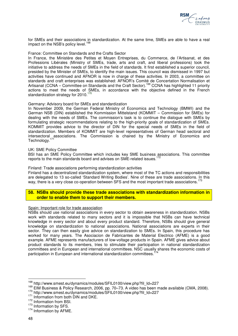

for SMEs and their associations in standardization. At the same time, SMEs are able to have a real impact on the NSB's policy level.<sup>168</sup>

#### France: Committee on Standards and the Crafts Sector

In France, the Ministère des Petites et Moyen Entreprises, du Commerce, de l'Artisanat, et des Professions Libérales (Ministry of SMEs, trade, arts and craft, and liberal professions) took the initiative to address the needs of SMEs in the field of standards. It first established a superior council, presided by the Minister of SMEs, to identify the main issues. This council was dismissed in 1997 but activities have continued and AFNOR is now in charge of these activities. In 2003, a committee on standards and craft enterprises was established: AFNOR's Comité de Concertation Normalisation et Artisanat (CCNA – Committee on Standards and the Craft Sector).<sup>169</sup> CCNA has highlighted 11 priority actions to meet the needs of SMEs, in accordance with the objective defined in the French standardization strategy for 2010.

#### Germany: Advisory board for SMEs and standardization

In November 2009, the German Federal Ministry of Economics and Technology (BMWI) and the German NSB (DIN) established the Kommission Mittelstand (KOMMIT – Commission for SMEs) for dealing with the needs of SMEs. The commission's task is to continue the dialogue with SMEs by formulating strategic recommendations relating to the high-priority goals of standardization of SMEs. KOMMIT provides advice to the director of DIN for the special needs of SMEs in the field of standardization. Members of KOMMIT are high-level representatives of German head sectoral and intersectoral associations. The Commission is chaired by the Ministry of Economics and Technology.<sup>171</sup>

#### UK: SME Policy Committee

BSI has an SME Policy Committee which includes key SME business associations. This committee reports to the main standards board and advises on SME-related issues.<sup>172</sup>

#### Finland: Trade associations performing standardization activities

Finland has a decentralized standardization system, where most of the TC actions and responsibilities are delegated to 13 so-called 'Standard Writing Bodies'. Nine of these are trade associations. In this way, there is a very close co-operation between SFS and the most important trade associations.<sup>173</sup>

#### **58. NSBs should provide these trade associations with standardization information in order to enable them to support their members.**

#### Spain: Important role for trade association

NSBs should use national associations in every sector to obtain awareness in standardization. NSBs work with standards related to many sectors and it is impossible that NSBs can have technical knowledge in every sector and about every product standard. Therefore, NSBs should give general knowledge on standardization to national associations. National associations are experts in their sector. They can then easily give advice on standardization to SMEs. In Spain, this procedure has worked for many years. The Asociacion de Fabricantes de Material Electrico (AFME) is a good example. AFME represents manufacturers of low-voltage products in Spain. AFME gives advice about product standards to its members, tries to stimulate their participation in national standardization committees and in European and international committees. NSC usually shares the economic costs of participation in European and international standardization committees.

 $\overline{\phantom{a}}$ 

<sup>&</sup>lt;sup>168</sup> http://www.smest.eu/dynamics/modules/SFIL0100/view.php?fil\_Id=227

<sup>169</sup> EIM Business & Policy Research, 2006, pp. 70–73. A video has been made available (CMA, 2008).

<sup>170</sup> http://www.smest.eu/dynamics/modules/SFIL0100/view.php?fil\_Id=227

<sup>&</sup>lt;sup>171</sup> Information from both DIN and DKE.

<sup>172</sup> Information from BSI.

<sup>173</sup> Information by SFS.

<sup>174</sup> Information by AFME.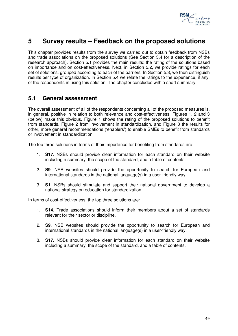

# **5 Survey results – Feedback on the proposed solutions**

This chapter provides results from the survey we carried out to obtain feedback from NSBs and trade associations on the proposed solutions (See Section 3.4 for a description of the research approach). Section 5.1 provides the main results: the rating of the solutions based on importance and on cost-effectiveness. Next, in Section 5.2, we provide ratings for each set of solutions, grouped according to each of the barriers. In Section 5.3, we then distinguish results per type of organization. In Section 5.4 we relate the ratings to the experience, if any, of the respondents in using this solution. The chapter concludes with a short summary.

## **5.1 General assessment**

The overall assessment of all of the respondents concerning all of the proposed measures is, in general, positive in relation to both relevance and cost-effectiveness. Figures 1, 2 and 3 (below) make this obvious. Figure 1 shows the rating of the proposed solutions to benefit from standards, Figure 2 from involvement in standardization, and Figure 3 the results for other, more general recommendations ('enablers') to enable SMEs to benefit from standards or involvement in standardization.

The top three solutions in terms of their importance for benefiting from standards are:

- 1. **S17**. NSBs should provide clear information for each standard on their website including a summary, the scope of the standard, and a table of contents.
- 2. **S9**. NSB websites should provide the opportunity to search for European and international standards in the national language(s) in a user-friendly way.
- 3. **S1**. NSBs should stimulate and support their national government to develop a national strategy on education for standardization.

In terms of cost-effectiveness, the top three solutions are:

- 1. **S14**. Trade associations should inform their members about a set of standards relevant for their sector or discipline.
- 2. **S9**. NSB websites should provide the opportunity to search for European and international standards in the national language(s) in a user-friendly way.
- 3. **S17**. NSBs should provide clear information for each standard on their website including a summary, the scope of the standard, and a table of contents.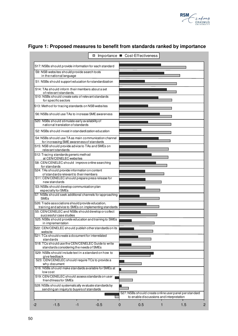

|                                                                                                                                                          | □ Importance ■ Cost-Effectiveness |                |                                          |   |                                                      |  |
|----------------------------------------------------------------------------------------------------------------------------------------------------------|-----------------------------------|----------------|------------------------------------------|---|------------------------------------------------------|--|
| S17: NSBs should provide information for each standard                                                                                                   |                                   |                |                                          |   |                                                      |  |
| S9: NSB websites should provide search tools<br>in the national language                                                                                 |                                   |                |                                          |   |                                                      |  |
| S1: NSBs should support education for standardization                                                                                                    |                                   |                |                                          |   |                                                      |  |
| S14: TAs should inform their members about a set<br>of relevant standards.<br>S10: NSBs should create sets of relevant standards<br>for specific sectors |                                   |                |                                          |   |                                                      |  |
| S13: Method for tracing standards on NSB websites                                                                                                        |                                   |                |                                          |   |                                                      |  |
| S6: NSBs should use TAs to increase SME awareness                                                                                                        |                                   |                |                                          |   |                                                      |  |
| S20: NSBs should stimulate early availability of<br>national translation of standards                                                                    |                                   |                |                                          |   |                                                      |  |
| S2: NSBs should invest in standardization education                                                                                                      |                                   |                |                                          |   |                                                      |  |
| S4: NSBs should use TA as main communication channel<br>for increasing SME awareness of standards                                                        |                                   |                |                                          |   |                                                      |  |
| S15: NSB should provide advice to TAs and SMEs on<br>relevant standards                                                                                  |                                   |                |                                          |   |                                                      |  |
| S12: Tracing standards generic method<br>at CEN/CENELEC websites                                                                                         |                                   |                |                                          |   |                                                      |  |
| S8: CEN/CENELEC should improve online searching<br>for standards                                                                                         |                                   |                |                                          |   |                                                      |  |
| S24: TAs should provide information on content<br>of standards relevant to their members                                                                 |                                   |                |                                          |   |                                                      |  |
| S11: CEN/CENELEC should prepare press release for<br>new standards                                                                                       |                                   |                |                                          |   |                                                      |  |
| S3: NSBs should develop communication plan<br>especially for SMEs                                                                                        |                                   |                |                                          |   |                                                      |  |
| S7: NSBs should seek additional channels for approaching<br><b>SMEs</b>                                                                                  |                                   |                |                                          |   |                                                      |  |
| S26: Trade associations should provide education,<br>training and advice to SMEs on implementing standards                                               |                                   |                |                                          |   |                                                      |  |
| S5: CEN/CENELEC and NSBs should develop or collect<br>successful case studies                                                                            |                                   |                |                                          |   |                                                      |  |
| S25: NSBs should provide education and training to SMEs<br>in implementation                                                                             |                                   |                |                                          |   |                                                      |  |
| S22: CEN/CENELEC should publish other standards on its<br>website                                                                                        |                                   |                |                                          |   |                                                      |  |
| S21: TCs should create a document for interrelated<br>standards                                                                                          |                                   |                |                                          |   |                                                      |  |
| S18: TCs should use the CEN/CENELEC Guide to write<br>standards considering the needs of SMEs                                                            |                                   |                |                                          |   |                                                      |  |
| S29: NSBs should include text in a standard on how to<br>give feedback<br>S23: CEN/CENELEC should require TCs to provide a                               |                                   |                |                                          |   |                                                      |  |
| why-document<br>S16: NSBs should make standards available for SMEs at<br>low cost                                                                        |                                   |                |                                          |   |                                                      |  |
| S19: CEN/CENELEC should assess standards on user<br>friendliness for SMEs                                                                                |                                   |                |                                          |   |                                                      |  |
| S28: NSBs should systematically evaluate standards by<br>sending an inquiry to buyers of standards                                                       |                                   |                |                                          |   |                                                      |  |
|                                                                                                                                                          |                                   |                | to enable discussions and interpretation |   | S27: NSBs should create online userpanel perstandard |  |
| $-1.5$<br>$-1$<br>-2                                                                                                                                     | $-0.5$                            | $\overline{0}$ | 0.5                                      | 1 | 1.5                                                  |  |

# **Figure 1: Proposed measures to benefit from standards ranked by importance**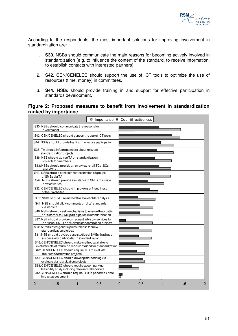

According to the respondents, the most important solutions for improving involvement in standardization are:

- 1. **S30**. NSBs should communicate the main reasons for becoming actively involved in standardization (e.g. to influence the content of the standard, to receive information, to establish contacts with interested partners).
- 2. **S42**. CEN/CENELEC should support the use of ICT tools to optimize the use of resources (time, money) in committees.
- 3. **S44**. NSBs should provide training in and support for effective participation in standards development.

### **Figure 2: Proposed measures to benefit from involvement in standardization ranked by importance**

|                                                                                                                   | □ Importance ■ Cost-Effectiveness |   |     |              |     |                |
|-------------------------------------------------------------------------------------------------------------------|-----------------------------------|---|-----|--------------|-----|----------------|
| S30: NSBs should communicate the reasons for<br>involvement                                                       |                                   |   |     |              |     |                |
| S42: CEN/CENELEC should support the use of ICT tools                                                              |                                   |   |     |              |     |                |
| S44: NSBs should provide training in effective participation                                                      |                                   |   |     |              |     |                |
| S35: TA should inform members about relevant<br>standardization projects                                          |                                   |   |     |              |     |                |
| S36: NSB should advise TA on standardization<br>projects for members                                              |                                   |   |     |              |     |                |
| S33: NSBs should provide an overview of all TCs, SCs<br>and WGs                                                   |                                   |   |     |              |     |                |
| S43: NSBs should stimulate representation of groups<br>of SMEs via TA                                             |                                   |   |     |              |     |                |
| S49: NSBs should provide assistance to SMEs to initiate<br>new activities                                         |                                   |   |     |              |     |                |
| S32: CEN/CENELEC should improve user friendliness<br>of their websites                                            |                                   |   |     |              |     |                |
| S39: NSBs should use method for stakeholder analysis                                                              |                                   |   |     |              |     |                |
| S41: NSB should allow comments on draft standards<br>via website                                                  |                                   |   |     |              |     |                |
| S40: NSBs should seek mechanisms to ensure that cost is<br>not a barrier to SME participation in standardization  |                                   |   |     |              |     |                |
| S37: NSB should provide on request advisory services to<br>individual SMEs on relevant standardization projects   |                                   |   |     |              |     |                |
| S34: A translated generic press release for new<br>standardization projects                                       |                                   |   |     |              |     |                |
| S31: NSB should develop case studies of SMEs that have<br>successfully participated in standardization            |                                   |   |     |              |     |                |
| S45: CEN/CENELEC should make method available to<br>evaluate rate of return on resources used for standardization |                                   |   |     |              |     |                |
| S48: CEN/CENELEC should require TCs to evaluate<br>their standardization projects                                 |                                   |   |     |              |     |                |
| S47: CEN/CENELEC should develop methodology to                                                                    |                                   |   |     |              |     |                |
| evaluate standardization projects<br>S38: CEN/CENELEC should require accompanying                                 |                                   |   |     |              |     |                |
| feasibility study including relevant stakeholders                                                                 |                                   |   |     |              |     |                |
| S46: CEN/CENELEC should require TCs to performex ante                                                             |                                   |   |     |              |     |                |
| impact assessment                                                                                                 |                                   |   |     |              |     |                |
| $-1.5$<br>-2<br>-1                                                                                                | $-0.5$                            | 0 | 0.5 | $\mathbf{1}$ | 1.5 | $\overline{2}$ |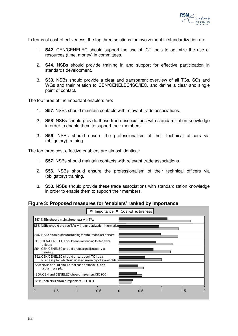

In terms of cost-effectiveness, the top three solutions for involvement in standardization are:

- 1. **S42**. CEN/CENELEC should support the use of ICT tools to optimize the use of resources (time, money) in committees.
- 2. **S44**. NSBs should provide training in and support for effective participation in standards development.
- 3. **S33**. NSBs should provide a clear and transparent overview of all TCs, SCs and WGs and their relation to CEN/CENELEC/ISO/IEC, and define a clear and single point of contact.

The top three of the important enablers are:

- 1. **S57**. NSBs should maintain contacts with relevant trade associations.
- 2. **S58**. NSBs should provide these trade associations with standardization knowledge in order to enable them to support their members.
- 3. **S56**. NSBs should ensure the professionalism of their technical officers via (obligatory) training.

The top three cost-effective enablers are almost identical:

- 1. **S57**. NSBs should maintain contacts with relevant trade associations.
- 2. **S56**. NSBs should ensure the professionalism of their technical officers via (obligatory) training.
- 3. **S58**. NSBs should provide these trade associations with standardization knowledge in order to enable them to support their members.

**Figure 3: Proposed measures for 'enablers' ranked by importance** 

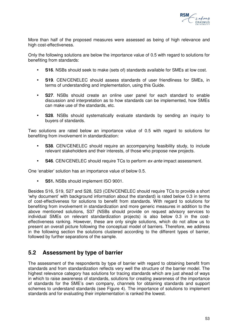

More than half of the proposed measures were assessed as being of high relevance and high cost-effectiveness.

Only the following solutions are below the importance value of 0.5 with regard to solutions for benefiting from standards:

- **S16**. NSBs should seek to make (sets of) standards available for SMEs at low cost.
- **S19**. CEN/CENELEC should assess standards of user friendliness for SMEs, in terms of understanding and implementation, using this Guide.
- **S27**. NSBs should create an online user panel for each standard to enable discussion and interpretation as to how standards can be implemented, how SMEs can make use of the standards, etc.
- **S28**. NSBs should systematically evaluate standards by sending an inquiry to buyers of standards.

Two solutions are rated below an importance value of 0.5 with regard to solutions for benefiting from involvement in standardization:

- **S38**. CEN/CENELEC should require an accompanying feasibility study, to include relevant stakeholders and their interests, of those who propose new projects.
- **S46**. CEN/CENELEC should require TCs to perform ex-ante impact assessment.

One 'enabler' solution has an importance value of below 0.5.

**S51.** NSBs should implement ISO 9001.

Besides S16, S19, S27 and S28, S23 (CEN/CENELEC should require TCs to provide a short 'why document' with background information about the standard) is rated below 0.3 in terms of cost-effectiveness for solutions to benefit from standards. With regard to solutions for benefiting from involvement in standardization and more generic measures in addition to the above mentioned solutions, S37 (NSBs should provide on request advisory services to individual SMEs on relevant standardization projects) is also below 0.3 in the costeffectiveness ranking. However, these are only single solutions, which do not allow us to present an overall picture following the conceptual model of barriers. Therefore, we address in the following section the solutions clustered according to the different types of barrier, followed by further separations of the sample.

## **5.2 Assessment by type of barrier**

The assessment of the respondents by type of barrier with regard to obtaining benefit from standards and from standardization reflects very well the structure of the barrier model. The highest relevance category has solutions for tracing standards which are just ahead of ways in which to raise awareness of standards, solutions for creating awareness of the importance of standards for the SME's own company, channels for obtaining standards and support schemes to understand standards (see Figure 4). The importance of solutions to implement standards and for evaluating their implementation is ranked the lowest.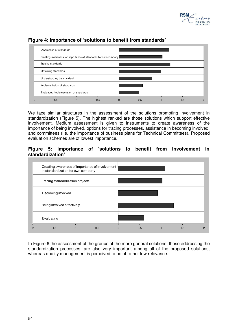



### **Figure 4: Importance of 'solutions to benefit from standards'**

We face similar structures in the assessment of the solutions promoting involvement in standardization (Figure 5). The highest ranked are those solutions which support effective involvement. Medium assessment is given to instruments to create awareness of the importance of being involved, options for tracing processes, assistance in becoming involved, and committees (i.e. the importance of business plans for Technical Committees). Proposed evaluation schemes are of lowest importance.

### **Figure 5: Importance of 'solutions to benefit from involvement in standardization'**



In Figure 6 the assessment of the groups of the more general solutions, those addressing the standardization processes, are also very important among all of the proposed solutions, whereas quality management is perceived to be of rather low relevance.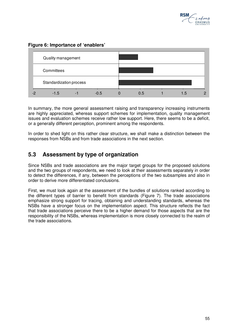

### **Figure 6: Importance of 'enablers'**



In summary, the more general assessment raising and transparency increasing instruments are highly appreciated, whereas support schemes for implementation, quality management issues and evaluation schemes receive rather low support. Here, there seems to be a deficit, or a generally different perception, prominent among the respondents.

In order to shed light on this rather clear structure, we shall make a distinction between the responses from NSBs and from trade associations in the next section.

## **5.3 Assessment by type of organization**

Since NSBs and trade associations are the major target groups for the proposed solutions and the two groups of respondents, we need to look at their assessments separately in order to detect the differences, if any, between the perceptions of the two subsamples and also in order to derive more differentiated conclusions.

First, we must look again at the assessment of the bundles of solutions ranked according to the different types of barrier to benefit from standards (Figure 7). The trade associations emphasize strong support for tracing, obtaining and understanding standards, whereas the NSBs have a stronger focus on the implementation aspect. This structure reflects the fact that trade associations perceive there to be a higher demand for those aspects that are the responsibility of the NSBs, whereas implementation is more closely connected to the realm of the trade associations.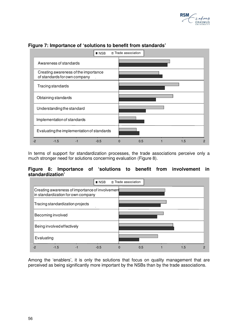



### **Figure 7: Importance of 'solutions to benefit from standards'**

In terms of support for standardization processes, the trade associations perceive only a much stronger need for solutions concerning evaluation (Figure 8).

### **Figure 8: Importance of 'solutions to benefit from involvement in standardization'**



Among the 'enablers', it is only the solutions that focus on quality management that are perceived as being significantly more important by the NSBs than by the trade associations.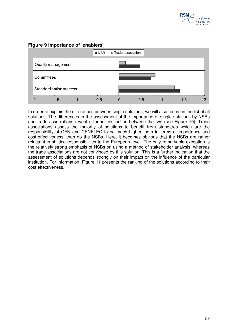



### **Figure 9 Importance of 'enablers'**

In order to explain the differences between single solutions, we will also focus on the list of all solutions. The differences in the assessment of the importance of single solutions by NSBs and trade associations reveal a further distinction between the two (see Figure 10). Trade associations assess the majority of solutions to benefit from standards which are the responsibility of CEN and CENELEC to be much higher, both in terms of importance and cost-effectiveness, than do the NSBs. Here, it becomes obvious that the NSBs are rather reluctant in shifting responsibilities to the European level. The only remarkable exception is the relatively strong emphasis of NSBs on using a method of stakeholder analysis, whereas the trade associations are not convinced by this solution. This is a further indication that the assessment of solutions depends strongly on their impact on the influence of the particular institution. For information, Figure 11 presents the ranking of the solutions according to their cost effectiveness.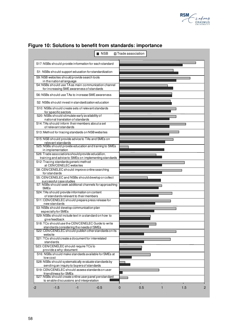

| <b>NSB</b>                                                                                                 | <b>□ Trade association</b> |
|------------------------------------------------------------------------------------------------------------|----------------------------|
| S17: NSBs should provide information for each standard                                                     |                            |
| S1: NSBs should support education for standardization                                                      |                            |
| S9: NSB websites should provide search tools<br>in the national language                                   |                            |
| S4: NSBs should use TA as main communication channel<br>for increasing SME awareness of standards          |                            |
| S6: NSBs should use TAs to increase SME awareness                                                          |                            |
| S2: NSBs should invest in standardization education                                                        |                            |
| S10: NSBs should create sets of relevant standards<br>for specific sectors                                 |                            |
| S20: NSBs should stimulate early availability of<br>national translation of standards                      |                            |
| S14: TAs should inform their members about a set<br>of relevant standards                                  |                            |
| S13: Method for tracing standards on NSB websites                                                          |                            |
| S15: NSB should provide advice to TAs and SMEs on<br>relevant standards                                    |                            |
| S25: NSBs should provide education and training to SMEs<br>in implementation                               |                            |
| S26: Trade associations should provide education,<br>training and advice to SMEs on implementing standards |                            |
| S12: Tracing standards generic method<br>at CEN/CENELEC websites                                           |                            |
| S8: CEN/CENELEC should improve online searching<br>for standards                                           |                            |
| S5: CEN/CENELEC and NSBs should develop or collect<br>successful case studies                              |                            |
| S7: NSBs should seek additional channels for approaching<br><b>SMEs</b>                                    |                            |
| S24: TAs should provide information on content<br>of standards relevant to their members                   |                            |
| S11: CEN/CENELEC should prepare press release for<br>new standards                                         |                            |
| S3: NSBs should develop communication plan<br>especially for SMEs                                          |                            |
| S29: NSBs should include text in a standard on how to<br>give feedback                                     |                            |
| S18: TCs should use the CEN/CENELEC Guide to write<br>standards considering the needs of SMEs              |                            |
| S22: CEN/CENELEC should publish other standards on its<br>website                                          |                            |
| S21: TCs should create a document for interrelated<br>standards                                            |                            |
| S23: CEN/CENELEC should require TCs to<br>provide a why-document                                           |                            |
| S16: NSBs should make standards available for SMEs at<br>low cost                                          |                            |
| S28: NSBs should systematically evaluate standards by<br>sending an inquiry to buyers of standards         |                            |
| S19: CEN/CENELEC should assess standards on user<br>friendliness for SMEs                                  |                            |
| S27: NSBs should create online user panel perstandard<br>to enable discussions and interpretation          |                            |
| $-1.5$<br>$-1$<br>$-0.5$<br>-2                                                                             | 0.5<br>1.5<br>0<br>1       |

# **Figure 10: Solutions to benefit from standards: importance**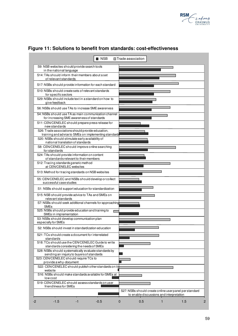



### **Figure 11: Solutions to benefit from standards: cost-effectiveness**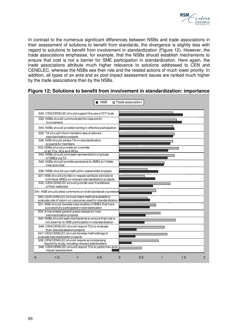

In contrast to the numerous significant differences between NSBs and trade associations in their assessment of solutions to benefit from standards, the divergence is slightly less with regard to solutions to benefit from involvement in standardization (Figure 12). However, the trade associations emphasise, for example, that the NSBs should establish mechanisms to ensure that cost is not a barrier for SME participation in standardization. Here again, the trade associations attribute much higher relevance to solutions addressed to CEN and CENELEC, whereas the NSBs see their role and the related actions of much lower priority. In addition, all types of ex ante and ex post impact assessment issues are ranked much higher by the trade associations than by the NSBs.

| S42: CEN/CENELEC should support the use of ICT tools                                                              |  |  |  |
|-------------------------------------------------------------------------------------------------------------------|--|--|--|
| S30: NSBs should communicate the reasons for<br>involvement                                                       |  |  |  |
| S44: NSBs should provide training in effective participation                                                      |  |  |  |
| S35: TA should inform members about relevant<br>standardization projects                                          |  |  |  |
| S36: NSB should advise TA on standardization<br>projects for members                                              |  |  |  |
| S33: NSBs should provide an overview<br>of all TCs, SCs and WGs                                                   |  |  |  |
| S43: NSBs should stimulate representation of groups<br>of SMEs via TA                                             |  |  |  |
| S49: NSBs should provide assistance to SMEs to initiate<br>new activities                                         |  |  |  |
| S39: NSBs should use method for stakeholder analysis                                                              |  |  |  |
| S37: NSB should provide on request advisory services to<br>individual SMEs on relevant standardization projects   |  |  |  |
| S32: CEN/CENELEC should provide user friendliness<br>of their websites                                            |  |  |  |
| S41: NSB should allow comments on draft standards via website                                                     |  |  |  |
| S45: CEN/CENELEC should make method available to<br>evaluate rate of return on resources used for standardization |  |  |  |
| S31: NSB should develop case studies of SMEs that have<br>successfully participated in standardization            |  |  |  |
| S34: A translated generic press release for new<br>standardization projects                                       |  |  |  |
| S40: NSBs should seek mechanisms to ensure that cost is                                                           |  |  |  |
| not a barrier to SME participation in standardization                                                             |  |  |  |
| S48: CEN/CENELEC should require TCs to evaluate                                                                   |  |  |  |
| their standardization projects                                                                                    |  |  |  |
| S47: CEN/CENELEC should develop methodology to                                                                    |  |  |  |
| evaluate standardization projects<br>S38: CEN/CENELEC should require accompanying                                 |  |  |  |
| feasibility study including relevant stakeholders                                                                 |  |  |  |
| S46: CEN/CENELEC should require TCs to performex ante                                                             |  |  |  |
| impact assessment                                                                                                 |  |  |  |

### **Figure 12: Solutions to benefit from involvement in standardization: importance**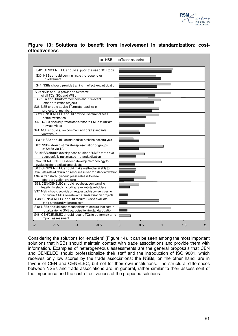

|               |  |  |  | Figure 13: Solutions to benefit from involvement in standardization: cost- |  |
|---------------|--|--|--|----------------------------------------------------------------------------|--|
| effectiveness |  |  |  |                                                                            |  |

|                                                                                                                                                    |                                                                                                   |  | NSB                                                                                                               |  | <b>□ Trade association</b> |  |  |
|----------------------------------------------------------------------------------------------------------------------------------------------------|---------------------------------------------------------------------------------------------------|--|-------------------------------------------------------------------------------------------------------------------|--|----------------------------|--|--|
|                                                                                                                                                    |                                                                                                   |  | S42: CEN/CENELEC should support the use of ICT tools                                                              |  |                            |  |  |
|                                                                                                                                                    | S30: NSBs should communicate the reasons for<br>involvement                                       |  |                                                                                                                   |  |                            |  |  |
|                                                                                                                                                    |                                                                                                   |  | S44: NSBs should provide training in effective participation                                                      |  |                            |  |  |
|                                                                                                                                                    | S33: NSBs should provide an overview<br>of all TCs, SCs and WGs                                   |  |                                                                                                                   |  |                            |  |  |
|                                                                                                                                                    | S35: TA should inform members about relevant<br>stand ardization projects                         |  |                                                                                                                   |  |                            |  |  |
|                                                                                                                                                    | S36: NSB should advise TA on standardization<br>projects for members                              |  |                                                                                                                   |  |                            |  |  |
|                                                                                                                                                    | S32: CEN/CENELEC should provide user friendliness<br>of their websites                            |  |                                                                                                                   |  |                            |  |  |
|                                                                                                                                                    | new activities                                                                                    |  | S49: NSBs should provide assistance to SMEs to initiate                                                           |  |                            |  |  |
|                                                                                                                                                    | S41: NSB should allow comments on draft standards<br>via website                                  |  |                                                                                                                   |  |                            |  |  |
|                                                                                                                                                    |                                                                                                   |  | S39: NSBs should use method for stakeholder analysis                                                              |  |                            |  |  |
|                                                                                                                                                    | S43: NSBs should stimulate representation of groups<br>of SMEs via TA                             |  |                                                                                                                   |  |                            |  |  |
|                                                                                                                                                    | successfully participated in standardization                                                      |  | S31: NSB should develop case studies of SMEs that have                                                            |  |                            |  |  |
|                                                                                                                                                    | S47: CEN/CENELEC should develop methodology to<br>evaluate standardization projects               |  |                                                                                                                   |  |                            |  |  |
|                                                                                                                                                    |                                                                                                   |  | S45: CEN/CENELEC should make method available to<br>evaluate rate of return on resources used for standardization |  |                            |  |  |
|                                                                                                                                                    | S34: A translated generic press release fornew<br>standardization projects                        |  |                                                                                                                   |  |                            |  |  |
|                                                                                                                                                    | S38: CEN/CENELEC should require accompanying<br>feasibility study including relevant stakeholders |  |                                                                                                                   |  |                            |  |  |
|                                                                                                                                                    |                                                                                                   |  | S37: NSB should provide on request advisory services to<br>individual SMEs on relevant standardization projects   |  |                            |  |  |
|                                                                                                                                                    | S48: CEN/CENELEC should require TCs to evaluate                                                   |  |                                                                                                                   |  |                            |  |  |
| their standardization projects<br>S40: NSBs should seek mechanisms to ensure that cost is<br>not a barrier to SME participation in standardization |                                                                                                   |  |                                                                                                                   |  |                            |  |  |
|                                                                                                                                                    |                                                                                                   |  | S46: CEN/CENELEC should require TCs to performex ante                                                             |  |                            |  |  |
|                                                                                                                                                    | impact assessment                                                                                 |  |                                                                                                                   |  |                            |  |  |

Considering the solutions for 'enablers' (Figure 14), it can be seen among the most important solutions that NSBs should maintain contact with trade associations and provide them with information. Examples of heterogeneous assessments are the general proposals that CEN and CENELEC should professionalize their staff and the introduction of ISO 9001, which receives only low scores by the trade associations; the NSBs, on the other hand, are in favour of CEN and CENELEC, but not for their own institutions. The structural differences between NSBs and trade associations are, in general, rather similar to their assessment of the importance and the cost-effectiveness of the proposed solutions.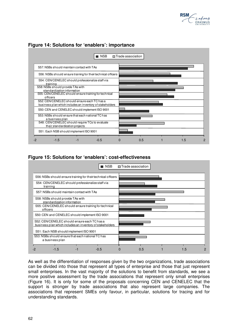



## **Figure 14: Solutions for 'enablers': importance**

### **Figure 15: Solutions for 'enablers': cost-effectiveness**



As well as the differentiation of responses given by the two organizations, trade associations can be divided into those that represent all types of enterprise and those that just represent small enterprises. In the vast majority of the solutions to benefit from standards, we see a more positive assessment by the trade associations that represent only small enterprises (Figure 16). It is only for some of the proposals concerning CEN and CENELEC that the support is stronger by trade associations that also represent large companies. The associations that represent SMEs only favour, in particular, solutions for tracing and for understanding standards.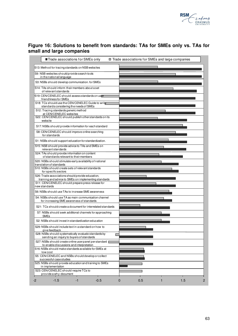

### **Figure 16: Solutions to benefit from standards: TAs for SMEs only vs. TAs for small and large companies**

| ■ Trade associations for SMEs only                                                                         | □ Trade associations for SMEs and large companies |
|------------------------------------------------------------------------------------------------------------|---------------------------------------------------|
| S13: Method for tracing standards on NSB websites                                                          |                                                   |
| S9: NSB websites should provide search tools<br>in the national language                                   |                                                   |
| S3: NSBs should develop communication. for SMEs                                                            |                                                   |
| S14: TAs should inform their members about a set<br>of relevant standards                                  |                                                   |
| S19: CEN/CENELEC should assess standards on user<br>friendliness for SMEs                                  |                                                   |
| S18: TCs should use the CEN/CENELEC Guide to write<br>standards considering the needs of SMEs              |                                                   |
| S12: Tracing standards generic method<br>at CEN/CENELEC websites                                           |                                                   |
| S22: CEN/CENELEC should publish other standards on its<br>website                                          |                                                   |
| S17: NSBs should provide information for each standard                                                     |                                                   |
| S8: CEN/CENELEC should improve online searching<br>for standards                                           |                                                   |
| S1: NSBs should support education for standardization.                                                     |                                                   |
| S15: NSB should provide advice to TAs and SMEs on<br>relevant standards                                    |                                                   |
| S24: TAs should provide information on content<br>of standards relevant to their members                   |                                                   |
| S20: NSBs should stimulate early availability of national<br>translation of standards                      |                                                   |
| S10: NSBs should create sets of relevant standards<br>for specific sectors                                 |                                                   |
| S26: Trade associations should provide education,<br>training and advice to SMEs on implementing standards |                                                   |
| S11: CEN/CENELEC should prepare press release for<br>new standards                                         |                                                   |
| S6: NSBs should use TAs to increase SME awareness                                                          |                                                   |
| S4: NSBs should use TA as main communication channel<br>for increasing SME awareness of standards          |                                                   |
| S21: TCs should create a document for interrelated standards                                               |                                                   |
| S7: NSBs should seek additional channels for approaching<br><b>SMEs</b>                                    |                                                   |
| S2: NSBs should invest in standardization education                                                        |                                                   |
| S29: NSBs should include text in a standard on how to<br>give feedback                                     |                                                   |
| S28: NSBs should systematically evaluate standards by<br>sending an inquiry to buyers of standards         |                                                   |
| S27: NSBs should create online userpanel perstandard [<br>to enable discussions and interpretation         |                                                   |
| S16: NSBs should make standards available for SMEs at<br>low cost                                          |                                                   |
| S5: CEN/CENELEC and NSBs should develop or collect<br>successful case studies                              |                                                   |
| S25: NSBs should provide education and training to SMEs<br>in implementation                               |                                                   |
| S23: CEN/CENELEC should require TCs to<br>provide a why-document                                           |                                                   |
| $-1.5$<br>$-0.5$<br>$-2$<br>-1                                                                             | 0.5<br>1.5<br>$\mathbf 0$<br>1                    |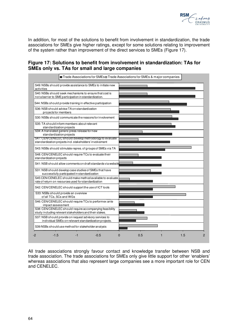

In addition, for most of the solutions to benefit from involvement in standardization, the trade associations for SMEs give higher ratings, except for some solutions relating to improvement of the system rather than improvement of the direct services to SMEs (Figure 17).

### **Figure 17: Solutions to benefit from involvement in standardization: TAs for SMEs only vs. TAs for small and large companies**



All trade associations strongly favour contact and knowledge transfer between NSB and trade association. The trade associations for SMEs only give little support for other 'enablers' whereas associations that also represent large companies see a more important role for CEN and CENELEC.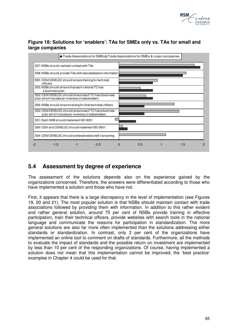

### **Figure 18: Solutions for 'enablers': TAs for SMEs only vs. TAs for small and large companies**



## **5.4 Assessment by degree of experience**

The assessment of the solutions depends also on the experience gained by the organizations concerned. Therefore, the answers were differentiated according to those who have implemented a solution and those who have not.

First, it appears that there is a large discrepancy in the level of implementation (see Figures 19, 20 and 21). The most popular solution is that NSBs should maintain contact with trade associations followed by providing them with information. In addition to this rather evident and rather general solution, around 75 per cent of NSBs provide training in effective participation, train their technical officers, provide websites with search tools in the national language and communicate the reasons for participation in standardization. The more general solutions are also far more often implemented than the solutions addressing either standards or standardization. In contrast, only 2 per cent of the organizations have implemented an online tool to comment on drafts of standards. Furthermore, all the methods to evaluate the impact of standards and the possible return on investment are implemented by less than 10 per cent of the responding organizations. Of course, having implemented a solution does not mean that this implementation cannot be improved; the 'best practice' examples in Chapter 4 could be used for that.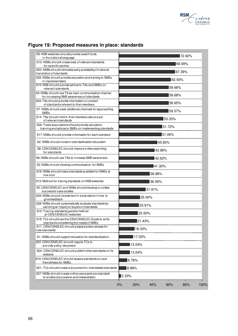

| S9: NSB websites should provide search tools<br>in the national language                                   | 172.92%                                |
|------------------------------------------------------------------------------------------------------------|----------------------------------------|
| S10: NSBs should create sets of relevant standards<br>for specific sectors                                 | 68.09%                                 |
| S20: NSBs should stimulate early availability of national<br>translation of standards                      | 67.39%                                 |
| S25: NSBs should provide education and training to SMEs<br>in implementation                               | 62.50%                                 |
| S15: NSB should provide advice to TAs and SMEs on<br>relevant standards                                    | 59.68%                                 |
| S4: NSBs should use TA as main communication channel<br>for increasing SME awareness of standards          | 59.68%                                 |
| S24: TAs should provide information on content<br>of standards relevant to their members                   | 59.65%                                 |
| S7: NSBs should seek additional channels for approaching<br><b>SMEs</b>                                    | 59.57%                                 |
| S14: TAs should inform theirmembers about a set<br>of relevant standards                                   | 53.33%                                 |
| S26: Trade associations should provide education,<br>training and advice to SMEs on implementing standards | 51.72%                                 |
| S17: NSBs should provide information for each standard                                                     | 51.06%                                 |
| S2: NSBs should invest in standardization education                                                        | 45.83%                                 |
| S8: CEN/CENELEC should improve online searching<br>for standards                                           | 42.86%                                 |
| S6: NSBs should use TAs to increase SME awareness                                                          | 42.62%                                 |
| S3: NSBs should develop communication. for SMEs                                                            | 41.30%                                 |
| S16: NSBs should make standards available for SMEs at<br>low cost                                          | 36.96%                                 |
| S13: Method for tracing standards on NSB websites                                                          | 36.59%                                 |
| S5: CEN/CENELEC and NSBs should develop or collect<br>successful case studies                              | 31.91%                                 |
| S29: NSBs should include text in a standard on how to<br>give feedback                                     | 25.00%                                 |
| S28: NSBs should systematically evaluate standards by<br>sending an inquiry to buyers of standards         | 23.91%                                 |
| S12: Tracing standards generic method<br>at CEN/CENELEC websites                                           | 22.50%                                 |
| S18: TCs should use the CEN/CENELEC Guide to write<br>standards considering the needs of SMEs              | 21.43%                                 |
| S11: CEN/CENELEC should prepare press release for<br>new standards                                         | 18.33%                                 |
| S1: NSBs should support education for standardization.                                                     | 17.02%                                 |
| S23: CEN/CENELEC should require TCs to<br>provide a why-document                                           | 13.04%                                 |
| S22: CEN/CENELEC should publish other standards on its<br>website                                          | 13.04%                                 |
| S19: CEN/CENELEC should assess standards on user<br>friendliness for SMEs                                  | 9.76%                                  |
| S21: TCs should create a document for interrelated standards                                               | 8.89%                                  |
| S27: NSBs should create online userpanel perstandard<br>to enable discussions and interpretation           | 2.33%                                  |
|                                                                                                            | 0%<br>20%<br>40%<br>60%<br>80%<br>100% |

# **Figure 19: Proposed measures in place: standards**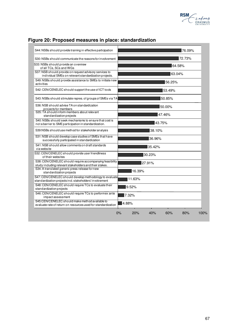

|  | Figure 20: Proposed measures in place: standardization |  |
|--|--------------------------------------------------------|--|
|--|--------------------------------------------------------|--|

| S44: NSBs should provide training in effective participation                                                        | 76.09% |
|---------------------------------------------------------------------------------------------------------------------|--------|
| S30: NSBs should communicate the reasons for involvement                                                            | 72.73% |
| S33: NSBs should provide an overview<br>of all TCs, SCs and WGs                                                     | 64.58% |
| S37: NSB should provide on request advisory services to<br>individual SMEs on relevant standardization projects.    | 63.04% |
| S49: NSBs should provide assistance to SMEs to initiate new<br>activities                                           | 56.25% |
| S42: CEN/CENELEC should support the use of ICT tools                                                                | 53.49% |
| S43: NSBs should stimulate repres. of groups of SMEs via TA                                                         | 50.85% |
| S36: NSB should advise TA on standardization<br>projects for members                                                | 50.00% |
| S35: TA should inform members about relevant<br>standardization projects                                            | 47.46% |
| S40: NSBs should seek mechanisms to ensure that cost is<br>not a barrier to SME participation in standardization.   | 43.75% |
| S39:NSBs should use method for stakeholder an alysis                                                                | 38.10% |
| S31: NSB should develop case studies of SMEs that have<br>successfully participated in standardization              | 36.96% |
| S41: NSB should allow comments on draft standards<br>via website                                                    | 35.42% |
| S32: CEN/CENELEC should provide user friendliness<br>of their websites                                              | 30.23% |
| S38: CEN/CENELEC should require accompanying feasibility<br>study including relevant stakeholders and their stakes. | 27.91% |
| S34: A translated generic press release for new<br>standardization projects                                         | 16.39% |
| S47: CEN/CENELEC should develop methodology to evaluate<br>standardization projects incl. stakeholders' involvement | 11.63% |
| S48: CEN/CENELEC should require TCs to evaluate their<br>standardization projects                                   | 9.52%  |
| S46: CEN/CENELEC should require TCs to performex ante<br>impact assessment                                          | 7.32%  |
| S45:CEN/CENELEC should make method available to<br>evaluate rate of return on resources used for standardization    | 4.88%  |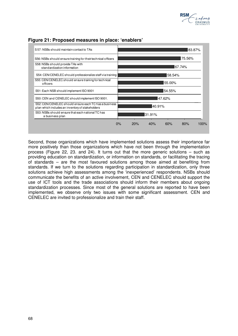



### **Figure 21: Proposed measures in place: 'enablers'**

Second, those organizations which have implemented solutions assess their importance far more positively than those organizations which have not been through the implementation process (Figure 22, 23. and 24). It turns out that the more generic solutions – such as providing education on standardization, or information on standards, or facilitating the tracing of standards – are the most favoured solutions among those aimed at benefiting from standards. If we turn to the solutions regarding participation in standardization, only three solutions achieve high assessments among the 'inexperienced' respondents. NSBs should communicate the benefits of an active involvement, CEN and CENELEC should support the use of ICT tools and the trade associations should inform their members about ongoing standardization processes. Since most of the general solutions are reported to have been implemented, we observe only two issues with some significant assessment. CEN and CENELEC are invited to professionalize and train their staff.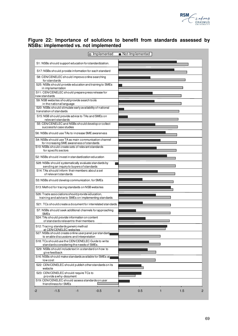

### **Figure 22: Importance of solutions to benefit from standards assessed by NSBs: implemented vs. not implemented**

| □ Implemented                                                                                              | Not-Implemented           |
|------------------------------------------------------------------------------------------------------------|---------------------------|
| S1: NSBs should support education for standardization.                                                     |                           |
| S17: NSBs should provide information for each standard                                                     |                           |
| S8: CEN/CENELEC should improve online searching<br>for standards                                           |                           |
| S25: NSBs should provide education and training to SMEs<br>in implementation                               |                           |
| S11: CEN/CENELEC should prepare press release for<br>new standards                                         |                           |
| S9: NSB websites should provide search tools<br>in the national language                                   |                           |
| S20: NSBs should stimulate early availability of national<br>translation of standards                      |                           |
| S15: NSB should provide advice to TAs and SMEs on<br>relevant standards                                    |                           |
| S5: CEN/CENELEC and NSBs should develop or collect<br>successful case studies                              |                           |
| S6: NSBs should use TAs to increase SME awareness                                                          |                           |
| S4: NSBs should use TA as main communication channel<br>for increasing SME awareness of standards          |                           |
| S10: NSBs should create sets of relevant standards<br>for specific sectors                                 |                           |
| S2: NSBs should invest in standardization education                                                        |                           |
| S28: NSBs should systematically evaluate standards by<br>sending an inquiry to buyers of standards         |                           |
| S14: TAs should inform their members about a set<br>of relevant standards                                  |                           |
| S3: NSBs should develop communication. for SMEs                                                            |                           |
| S13: Method for tracing standards on NSB websites                                                          |                           |
| S26: Trade associations should provide education,<br>training and advice to SMEs on implementing standards |                           |
| S21: TCs should create a document for interrelated standards                                               |                           |
| S7: NSBs should seek additional channels for approaching<br><b>SMEs</b>                                    |                           |
| S24: TAs should provide information on content<br>of standards relevant to their members                   |                           |
| S12: Tracing standards generic method<br>EN/CENELEC websites                                               |                           |
| S27: NSBs should create online userpanel perstandard<br>to enable discussions and interpretation           |                           |
| S18: TCs should use the CEN/CENELEC Guide to write<br>standards considering the needs of SMEs.             |                           |
| S29: NSBs should include text in a standard on how to<br>give feedback                                     |                           |
| S16: NSBs should make standards available for SMEs at<br>low cost                                          |                           |
| S22: CEN/CENELEC should publish other standards on its<br>website                                          |                           |
| S23: CEN/CENELEC should require TCs to<br>provide a why-document                                           |                           |
| S19: CEN/CENELEC should assess standards on user<br>friendliness for SMEs                                  |                           |
| $-1.5$<br>$-0.5$<br>-2<br>-1                                                                               | 0.5<br>1.5<br>0<br>2<br>1 |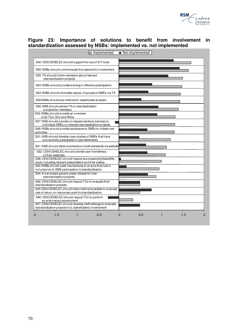

### **Figure 23: Importance of solutions to benefit from involvement in standardization assessed by NSBs: implemented vs. not implemented**

| mplemented                                                                                                                                       | Not-Implemented             |
|--------------------------------------------------------------------------------------------------------------------------------------------------|-----------------------------|
| S42: CEN/CENELEC should support the use of ICT tools                                                                                             |                             |
| S30: NSBs should communicate the reasons for involvement                                                                                         |                             |
| S35: TA should inform members about relevant<br>standardization projects                                                                         |                             |
| S44: NSBs should provide training in effective participation                                                                                     |                             |
| S43: NSBs should stimulate repres. of groups of SMEs via TA                                                                                      |                             |
| S39:NSBs should use method for stakeholder an alysis                                                                                             |                             |
| S36: NSB should advise TA on standardization<br>projects for members                                                                             |                             |
| S33: NSBs should provide an overview<br>of all TCs, SCs and WGs                                                                                  |                             |
| S37: NSB should provide on request advisory services to<br>individual SMEs on relevant standardization projects.                                 |                             |
| S49: NSBs should provide assistance to SMEs to initiate new<br>activities                                                                        |                             |
| S31: NSB should develop case studies of SMEs that have<br>successfully participated in standardization                                           |                             |
| S41: NSB should allow comments on draft standards via website                                                                                    |                             |
| S32: CEN/CENELEC should provide user friendliness<br>of their websites                                                                           |                             |
| S38: CEN/CENELEC should require accompanying feasibility<br>study including relevant stakeholders and their stakes.                              |                             |
| S40: NSBs should seek mechanisms to ensure that cost is<br>not a barrier to SME participation in standardization.                                |                             |
| S34: A translated generic press release for new<br>standardization projects                                                                      |                             |
| S48: CEN/CENELEC should require TCs to evaluate their<br>standardization projects                                                                |                             |
| S45:CEN/CENELEC should make method available to evaluate<br>rate of return on resources used for standardization                                 |                             |
| S46: CEN/CENELEC should require TCs to perform                                                                                                   |                             |
| ex ante impact assessment<br>S47: CEN/CENELEC should develop methodology to evaluate<br>standardization projects incl. stakeholders' involvement |                             |
| $-1.5$<br>$-0.5$<br>-1<br>-2                                                                                                                     | 0.5<br>1.5<br>$\Omega$<br>2 |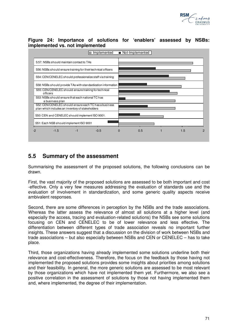

### **Figure 24: Importance of solutions for 'enablers' assessed by NSBs: implemented vs. not implemented**



## **5.5 Summary of the assessment**

Summarising the assessment of the proposed solutions, the following conclusions can be drawn.

First, the vast majority of the proposed solutions are assessed to be both important and cost -effective. Only a very few measures addressing the evaluation of standards use and the evaluation of involvement in standardization, and some generic quality aspects receive ambivalent responses.

Second, there are some differences in perception by the NSBs and the trade associations. Whereas the latter assess the relevance of almost all solutions at a higher level (and especially the access, tracing and evaluation-related solutions) the NSBs see some solutions focusing on CEN and CENELEC to be of lower relevance and less effective. The differentiation between different types of trade association reveals no important further insights. These answers suggest that a discussion on the division of work between NSBs and trade associations – but also especially between NSBs and CEN or CENELEC – has to take place.

Third, those organizations having already implemented some solutions underline both their relevance and cost-effectiveness. Therefore, the focus on the feedback by those having not implemented the proposed solutions provides some insights about priorities among solutions and their feasibility. In general, the more generic solutions are assessed to be most relevant by those organizations which have not implemented them yet. Furthermore, we also see a positive correlation in the assessment of solutions by those not having implemented them and, where implemented, the degree of their implementation.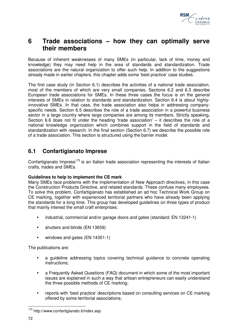

# **6 Trade associations – how they can optimally serve their members**

Because of inherent weaknesses of many SMEs (in particular, lack of time, money and knowledge) they may need help in the area of standards and standardization. Trade associations are the natural organization to offer such help. In addition to the suggestions already made in earlier chapters, this chapter adds some 'best practice' case studies.

The first case study (in Section 6.1) describes the activities of a national trade association, most of the members of which are very small companies. Sections 6.2 and 6.3 describe European trade associations for SMEs. In these three cases the focus is on the general interests of SMEs in relation to standards and standardization. Section 6.4 is about highlyinnovative SMEs. In that case, the trade association also helps in addressing companyspecific needs. Section 6.5 describes the role of a trade association in a powerful business sector in a large country where large companies are among its members. Strictly speaking, Section 6.6 does not fit under the heading 'trade association' – it describes the role of a national knowledge organization which combines support in the field of standards and standardization with research. In the final section (Section 6.7) we describe the possible role of a trade association. This section is structured using the barrier model.

## **6.1 Confartigianato Imprese**

Confartigianato Imprese<sup>175</sup> is an Italian trade association representing the interests of Italian crafts, trades and SMEs.

### **Guidelines to help to implement the CE mark**

Many SMEs face problems with the implementation of New Approach directives, in this case the Construction Products Directive, and related standards. These confuse many employees. To solve this problem, Confartigianato has established an ad hoc Technical Work Group on CE marking, together with experienced territorial partners who have already been applying the standards for a long time. This group has developed guidelines on three types of product that mainly interest the small craft enterprises:

- industrial, commercial and/or garage doors and gates (standard: EN 13241-1)
- shutters and blinds (EN 13659)
- windows and gates (EN 14351-1)

The publications are:

- a guideline addressing topics covering technical guidance to concrete operating instructions;
- a Frequently Asked Questions (FAQ) document in which some of the most important issues are explained in such a way that artisan entrepreneurs can easily understand the three possible methods of CE marking;
- reports with 'best practice' descriptions based on consulting services on CE marking offered by some territorial associations;

 $\overline{a}$ 

<sup>&</sup>lt;sup>175</sup> http://www.confartigianato.it/index.asp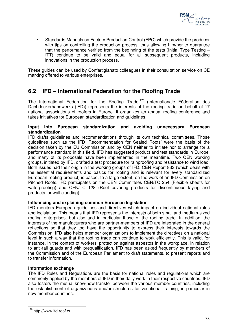

 Standards Manuals on Factory Production Control (FPC) which provide the producer with tips on controlling the production process, thus allowing him/her to guarantee that the performance verified from the beginning of the tests (Initial Type Testing – ITT) continue to be valid and equal for all subsequent products, including innovations in the production process.

These guides can be used by Confartigianato colleagues in their consultation service on CE marking offered to various enterprises.

# **6.2 IFD – International Federation for the Roofing Trade**

The International Federation for the Roofing Trade <sup>176</sup> (Internationale Föderation des Dachdeckerhandwerks (IFD)) represents the interests of the roofing trade on behalf of 17 national associations of roofers in Europe. It organizes an annual roofing conference and takes initiatives for European standardization and guidelines.

## **Input into European standardization and avoiding unnecessary European standardization**

IFD drafts guidelines and recommendations through its own technical committees. Those guidelines such as the IFD 'Recommendation for Sealed Roofs' were the basis of the decision taken by the EU Commission and by CEN neither to initiate nor to arrange for a performance standard in this field. IFD has suggested product and test standards in Europe, and many of its proposals have been implemented in the meantime. Two CEN working groups, initiated by IFD, drafted a test procedure for rainproofing and resistance to wind load. Both issues had their origin in the working groups of IFD. CEN Report 833 (which deals with the essential requirements and basics for roofing and is relevant for every standardized European roofing product) is based, to a large extent, on the work of an IFD Commission on Pitched Roofs. IFD participates on the CEN Committees CEN/TC 254 (Flexible sheets for waterproofing) and CEN/TC 128 (Roof covering products for discontinuous laying and products for wall cladding).

## **Influencing and explaining common European legislation**

IFD monitors European guidelines and directives which impact on individual national rules and legislation. This means that IFD represents the interests of both small and medium-sized roofing enterprises, but also and in particular those of the roofing trade. In addition, the interests of the manufacturers who are partner-members of IFD are integrated in the general reflections so that they too have the opportunity to express their interests towards the Commission. IFD also helps member organizations to implement the directives on a national level in such a way that the roofing trade can continue to work efficiently. This is valid, for instance, in the context of workers' protection against asbestos in the workplace, in relation to anti-fall guards and with prequalification. IFD has been asked frequently by members of the Commission and of the European Parliament to draft statements, to present reports and to transfer information.

## **Information exchange**

The IFD Rules and Regulations are the basis for national rules and regulations which are commonly applied by the members of IFD in their daily work in their respective countries. IFD also fosters the mutual know-how transfer between the various member countries, including the establishment of organizations and/or structures for vocational training, in particular in new member countries.

 $\overline{a}$ <sup>176</sup> http://www.ifd-roof.eu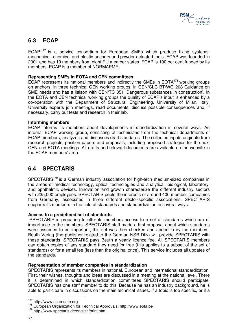

# **6.3 ECAP**

ECAP<sup>177</sup> is a service consortium for European SMEs which produce fixing systems: mechanical, chemical and plastic anchors and powder actuated tools. ECAP was founded in 2001 and has 19 members from eight EU member states. ECAP is 100 per cent funded by its members. ECAP is a member of NORMAPME.

## **Representing SMEs in EOTA and CEN committees**

ECAP represents its national members and indirectly the SMEs in  $EOTA^{178}$  working groups on anchors, in three technical CEN working groups, in CEN/CLC BT/WG 208 Guidance on SME needs and has a liaison with CEN/TC 351 'Dangerous substances in construction'. In the EOTA and CEN technical working groups the quality of ECAP's input is enhanced by a co-operation with the Department of Structural Engineering, University of Milan, Italy. University experts join meetings, read documents, discuss possible consequences and, if necessary, carry out tests and research in their lab.

## **Informing members**

ECAP informs its members about developments in standardization in several ways. An internal ECAP working group, consisting of technicians from the technical departments of ECAP members, analyzes and discusses draft standards. The collected inputs originate from research projects, position papers and proposals, including proposed strategies for the next CEN and EOTA meetings. All drafts and relevant documents are available on the website in the ECAP members' area.

# **6.4 SPECTARIS**

SPECTARIS<sup>179</sup> is a German industry association for high-tech medium-sized companies in the areas of medical technology, optical technologies and analytical, biological, laboratory, and ophthalmic devices. Innovation and growth characterize the different industry sectors with 235,000 employees. SPECTARIS pools the interests of around 400 member companies from Germany, associated in three different sector-specific associations. SPECTARIS supports its members in the field of standards and standardization in several ways.

## **Access to a predefined set of standards**

 SPECTARIS is preparing to offer its members access to a set of standards which are of importance to the members. SPECTARIS staff made a first proposal about which standards were assumed to be important; this set was then checked and added to by the members. Beuth Verlag (the publisher related to the German NSB DIN) will provide SPECTARIS with these standards. SPECTARIS pays Beuth a yearly licence fee. All SPECTARIS members can obtain copies of any standard they need for free (this applies to a subset of the set of standards) or for a small fee (less than the original price). This service includes all updates of the standards.

#### **Representation of member companies in standardization**

SPECTARIS represents its members in national, European and international standardization. First, their wishes, thoughts and ideas are discussed in a meeting at the national level. There it is determined in which standardization committees SPECTARIS should participate. SPECTARIS has one staff member to do this. Because he has an industry background, he is able to participate in discussions on the main technical issues. If a topic is too specific, or if a

 $\overline{a}$ <sup>177</sup> http://www.ecap-sme.org

<sup>178</sup> European Organization for Technical Approvals; http://www.eota.be

<sup>179</sup> http://www.spectaris.de/english/print.html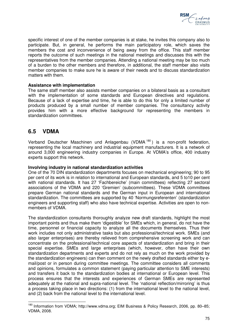

specific interest of one of the member companies is at stake, he invites this company also to participate. But, in general, he performs the main participatory role, which saves the members the cost and inconvenience of being away from the office. This staff member reports the outcome of such meetings in the national meetings and discusses this with the representatives from the member companies. Attending a national meeting may be too much of a burden to the other members and therefore, in additional, the staff member also visits member companies to make sure he is aware of their needs and to discuss standardization matters with them.

## **Assistance with implementation**

The same staff member also assists member companies on a bilateral basis as a consultant with the implementation of some standards and European directives and regulations. Because of a lack of expertise and time, he is able to do this for only a limited number of products produced by a small number of member companies. The consultancy activity provides him with a more effective background for representing the members in standardization committees.

# **6.5 VDMA**

 $\overline{a}$ 

Verband Deutscher Maschinen und Anlagenbau (VDMA <sup>180</sup> ) is a non-profit federation, representing the local machinery and industrial equipment manufacturers. It is a network of around 3,000 engineering industry companies in Europe. At VDMA's office, 400 industry experts support this network.

#### **Involving industry in national standardization activities**

One of the 70 DIN standardization departments focuses on mechanical engineering; 90 to 95 per cent of its work is in relation to international and European standards, and 5 to10 per cent with national standards. It has 27 'Fachbereiche' (main committees) reflecting 27 sectoral associations of the VDMA and 220 'Gremien' (subcommittees). These VDMA committees prepare German national standards and the German input in European and international standardization. The committees are supported by 40 'Normungsreferenten' (standardization engineers and supporting staff) who also have technical expertise. Activities are open to nonmembers of VDMA.

The standardization consultants thoroughly analyze new draft standards, highlight the most important points and thus make them 'digestible' for SMEs which, in general, do not have the time, personnel or financial capacity to analyze all the documents themselves. Thus their work includes not only administrative tasks but also professional/technical work. SMEs (and also larger enterprises) are thereby relieved from comprehensive screening work and can concentrate on the professional/technical core aspects of standardization and bring in their special expertise. SMEs and large enterprises (which, however, often have their own standardization departments and experts and do not rely as much on the work provided by the standardization engineers) can then comment on the newly drafted standards either by email/post or in person during committee meetings. The committee considers all comments and opinions, formulates a common statement (paying particular attention to SME interests) and transfers it back to the standardization bodies at international or European level. This process ensures that the interests and experiences of German SMEs are represented adequately at the national and supra-national level. The 'national reflection/mirroring' is thus a process taking place in two directions: (1) from the international level to the national level, and (2) back from the national level to the international level.

<sup>&</sup>lt;sup>180</sup> Information from VDMA; http://www.vdma.org; EIM Business & Policy Research, 2006, pp. 80-85; VDMA, 2008.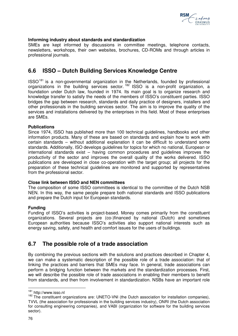

# **Informing industry about standards and standardization**

SMEs are kept informed by discussions in committee meetings, telephone contacts, newsletters, workshops, their own websites, brochures, CD-ROMs and through articles in professional journals.

# **6.6 ISSO – Dutch Building Services Knowledge Centre**

 $ISSO<sup>181</sup>$  is a non-governmental organization in the Netherlands, founded by professional organizations in the building services sector.<sup>182</sup> ISSO is a non-profit organization, a foundation under Dutch law, founded in 1974. Its main goal is to organize research and knowledge transfer to satisfy the needs of the members of ISSO's constituent parties. ISSO bridges the gap between research, standards and daily practice of designers, installers and other professionals in the building services sector. The aim is to improve the quality of the services and installations delivered by the enterprises in this field. Most of these enterprises are SMEs.

## **Publications**

Since 1974, ISSO has published more than 100 technical guidelines, handbooks and other information products. Many of these are based on standards and explain how to work with certain standards – without additional explanation it can be difficult to understand some standards. Additionally, ISO develops guidelines for topics for which no national, European or international standards exist – having common procedures and guidelines improves the productivity of the sector and improves the overall quality of the works delivered. ISSO publications are developed in close co-operation with the target group; all projects for the preparation of these technical guidelines are monitored and supported by representatives from the professional sector.

#### **Close link between ISSO and NEN committees**

The composition of some ISSO committees is identical to the committee of the Dutch NSB NEN. In this way, the same people prepare both national standards and ISSO publications and prepare the Dutch input for European standards.

## **Funding**

Funding of ISSO's activities is project-based. Money comes primarily from the constituent organizations. Several projects are (co-)financed by national (Dutch) and sometimes European authorities because ISSO's activities also support national interests such as energy saving, safety, and health and comfort issues for the users of buildings.

# **6.7 The possible role of a trade association**

By combining the previous sections with the solutions and practices described in Chapter 4, we can make a systematic description of the possible role of a trade association: that of linking the practices and barriers that SMEs may face. In general, trade associations can perform a bridging function between the markets and the standardization processes. First, we will describe the possible role of trade associations in enabling their members to benefit from standards, and then from involvement in standardization. NSBs have an important role

 $\overline{a}$ 181 http://www.isso.nl

<sup>182</sup> The constituent organizations are: UNETO-VNI (the Dutch association for installation companies), TVVL (the association for professionals in the building services industry), ONRI (the Dutch association for consulting engineering companies), and VABI (organization for software for the building services sector).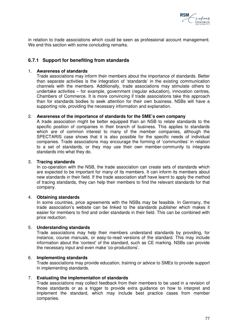

in relation to trade associations which could be seen as professional account management. We end this section with some concluding remarks.

# **6.7.1 Support for benefiting from standards**

#### 1. **Awareness of standards**

Trade associations may inform their members about the importance of standards. Better than separate activities is the integration of 'standards' in the existing communication channels with the members. Additionally, trade associations may stimulate others to undertake activities – for example, government (regular education), innovation centres, Chambers of Commerce. It is more convincing if trade associations take this approach than for standards bodies to seek attention for their own business. NSBs will have a supporting role, providing the necessary information and explanation.

## 2. **Awareness of the importance of standards for the SME's own company**

A trade association might be better equipped than an NSB to relate standards to the specific position of companies in their branch of business. This applies to standards which are of common interest to many of the member companies, although the SPECTARIS case shows that it is also possible for the specific needs of individual companies. Trade associations may encourage the forming of 'communities' in relation to a set of standards, or they may use their own member-community to integrate standards into what they do.

## 3. **Tracing standards**

In co-operation with the NSB, the trade association can create sets of standards which are expected to be important for many of its members. It can inform its members about new standards in their field. If the trade association staff have learnt to apply the method of tracing standards, they can help their members to find the relevant standards for that company.

#### 4. **Obtaining standards**

In some countries, price agreements with the NSBs may be feasible. In Germany, the trade association's website can be linked to the standards publisher which makes it easier for members to find and order standards in their field. This can be combined with price reduction.

#### 5. **Understanding standards**

Trade associations may help their members understand standards by providing, for instance, course manuals, or easy-to-read versions of the standard. This may include information about the 'context' of the standard, such as CE marking. NSBs can provide the necessary input and even make 'co-productions'.

#### 6. **Implementing standards**

Trade associations may provide education, training or advice to SMEs to provide support in implementing standards.

#### 7. **Evaluating the implementation of standards**

Trade associations may collect feedback from their members to be used in a revision of those standards or as a trigger to provide extra guidance on how to interpret and implement the standard, which may include best practice cases from member companies.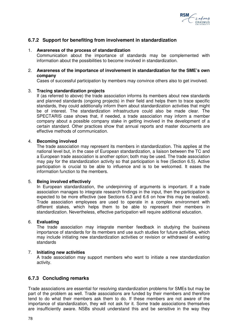

# **6.7.2 Support for benefiting from involvement in standardization**

## 1. **Awareness of the process of standardization**

Communication about the importance of standards may be complemented with information about the possibilities to become involved in standardization.

## 2. **Awareness of the importance of involvement in standardization for the SME's own company**

Cases of successful participation by members may convince others also to get involved.

## 3. **Tracing standardization projects**

If (as referred to above) the trade association informs its members about new standards and planned standards (ongoing projects) in their field and helps them to trace specific standards, they could additionally inform them about standardization activities that might be of interest. The standardization infrastructure could also be made clear. The SPECTARIS case shows that, if needed, a trade association may inform a member company about a possible company stake in getting involved in the development of a certain standard. Other practices show that annual reports and master documents are effective methods of communication.

## 4. **Becoming involved**

The trade association may represent its members in standardization. This applies at the national level but, in the case of European standardization, a liaison between the TC and a European trade association is another option; both may be used. The trade association may pay for the standardization activity so that participation is free (Section 6.5). Active participation is crucial to be able to influence and is to be welcomed. It eases the information function to the members.

#### 5. **Being involved effectively**

In European standardization, the underpinning of arguments is important. If a trade association manages to integrate research findings in the input, then the participation is expected to be more effective (see Sections 6.3 and 6.6 on how this may be realized). Trade association employees are used to operate in a complex environment with different stakes, which helps them to be able to represent their members in standardization. Nevertheless, effective participation will require additional education.

## 6. **Evaluating**

The trade association may integrate member feedback in studying the business importance of standards for its members and use such studies for future activities, which may include initiating new standardization activities or revision or withdrawal of existing standards

## 7. **Initiating new activities**

A trade association may support members who want to initiate a new standardization activity.

# **6.7.3 Concluding remarks**

Trade associations are essential for resolving standardization problems for SMEs but may be part of the problem as well. Trade associations are funded by their members and therefore tend to do what their members ask them to do. If these members are not aware of the importance of standardization, they will not ask for it. Some trade associations themselves are insufficiently aware. NSBs should understand this and be sensitive in the way they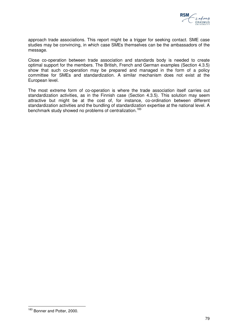

approach trade associations. This report might be a trigger for seeking contact. SME case studies may be convincing, in which case SMEs themselves can be the ambassadors of the message.

Close co-operation between trade association and standards body is needed to create optimal support for the members. The British, French and German examples (Section 4.3.5) show that such co-operation may be prepared and managed in the form of a policy committee for SMEs and standardization. A similar mechanism does not exist at the European level.

The most extreme form of co-operation is where the trade association itself carries out standardization activities, as in the Finnish case (Section 4.3.5). This solution may seem attractive but might be at the cost of, for instance, co-ordination between different standardization activities and the bundling of standardization expertise at the national level. A benchmark study showed no problems of centralization.<sup>183</sup>

 $\overline{a}$ <sup>183</sup> Bonner and Potter, 2000.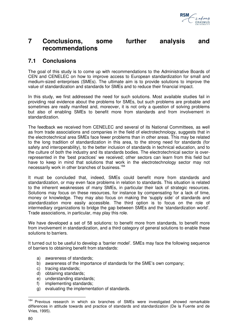

# **7 Conclusions, some further analysis and recommendations**

# **7.1 Conclusions**

The goal of this study is to come up with recommendations to the Administrative Boards of CEN and CENELEC on how to improve access to European standardization for small and medium-sized enterprises (SMEs). The ultimate aim is to provide solutions to improve the value of standardization and standards for SMEs and to reduce their financial impact.

In this study, we first addressed the need for such solutions. Most available studies fail in providing real evidence about the problems for SMEs, but such problems are probable and sometimes are really manifest and, moreover, it is not only a question of solving problems but also of enabling SMEs to benefit more from standards and from involvement in standardization.

The feedback we received from CENELEC and several of its National Committees, as well as from trade associations and companies in the field of electrotechnology, suggests that in the electrotechnical area SMEs face fewer problems than in other areas. This may be related to the long tradition of standardization in this area, to the strong need for standards (for safety and interoperability), to the better inclusion of standards in technical education, and to the culture of both the industry and its standards bodies. The electrotechnical sector is overrepresented in the 'best practices' we received; other sectors can learn from this field but have to keep in mind that solutions that work in the electrotechnology sector may not necessarily work in other branches of business.<sup>184</sup>

It must be concluded that, indeed, SMEs could benefit more from standards and standardization, or may even face problems in relation to standards. This situation is related to the inherent weaknesses of many SMEs, in particular their lack of strategic resources. Solutions may focus on these resources, for instance by compensating for a lack of time, money or knowledge. They may also focus on making the 'supply side' of standards and standardization more easily accessible. The third option is to focus on the role of intermediary organizations to bridge the gap between SMEs and the 'standardization world'. Trade associations, in particular, may play this role.

We have developed a set of 58 solutions: to benefit more from standards, to benefit more from involvement in standardization, and a third category of general solutions to enable these solutions to barriers.

It turned out to be useful to develop a 'barrier model'. SMEs may face the following sequence of barriers to obtaining benefit from standards:

- a) awareness of standards;
- b) awareness of the importance of standards for the SME's own company;
- c) tracing standards;
- d) obtaining standards;
- e) understanding standards;
- f) implementing standards;
- g) evaluating the implementation of standards.

 $\overline{a}$ <sup>184</sup> Previous research in which six branches of SMEs were investigated showed remarkable differences in attitude towards and practice of standards and standardization (De la Fuente and de Vries, 1995).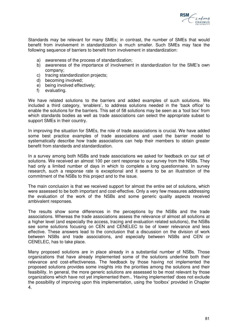

Standards may be relevant for many SMEs; in contrast, the number of SMEs that would benefit from involvement in standardization is much smaller. Such SMEs may face the following sequence of barriers to benefit from involvement in standardization:

- a) awareness of the process of standardization;
- b) awareness of the importance of involvement in standardization for the SME's own company;
- c) tracing standardization projects;
- d) becoming involved;
- e) being involved effectively;
- f) evaluating.

We have related solutions to the barriers and added examples of such solutions. We included a third category, 'enablers', to address solutions needed in the 'back office' to enable the solutions for the barriers. This set of 58 solutions may be seen as a 'tool box' from which standards bodies as well as trade associations can select the appropriate subset to support SMEs in their country.

In improving the situation for SMEs, the role of trade associations is crucial. We have added some best practice examples of trade associations and used the barrier model to systematically describe how trade associations can help their members to obtain greater benefit from standards and standardization.

In a survey among both NSBs and trade associations we asked for feedback on our set of solutions. We received an almost 100 per cent response to our survey from the NSBs. They had only a limited number of days in which to complete a long questionnaire. In survey research, such a response rate is exceptional and it seems to be an illustration of the commitment of the NSBs to this project and to the issue.

The main conclusion is that we received support for almost the entire set of solutions, which were assessed to be both important and cost-effective. Only a very few measures addressing the evaluation of the work of the NSBs and some generic quality aspects received ambivalent responses.

The results show some differences in the perceptions by the NSBs and the trade associations. Whereas the trade associations assess the relevance of almost all solutions at a higher level (and especially the access, tracing and evaluation related solutions), the NSBs see some solutions focusing on CEN and CENELEC to be of lower relevance and less effective. These answers lead to the conclusion that a discussion on the division of work between NSBs and trade associations, and especially between NSBs and CEN or CENELEC, has to take place.

Many proposed solutions are in place already in a substantial number of NSBs. Those organizations that have already implemented some of the solutions underline both their relevance and cost-effectiveness. The feedback by those having not implemented the proposed solutions provides some insights into the priorities among the solutions and their feasibility. In general, the more generic solutions are assessed to be most relevant by those organizations which have not yet implemented them.. 'Having implemented' does not exclude the possibility of improving upon this implementation, using the 'toolbox' provided in Chapter 4.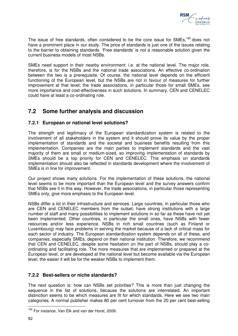

The issue of free standards, often considered to be the core issue for SMEs.<sup>185</sup> does not have a prominent place in our study. The price of standards is just one of the issues relating to the barrier to obtaining standards. 'Free standards' is not a reasonable solution given the current business models of most NSBs.

SMEs need support in their nearby environment: i.e. at the national level. The major role, therefore, is for the NSBs and the national trade associations. An effective co-ordination between the two is a prerequisite. Of course, the national level depends on the efficient functioning of the European level, but the NSBs are not in favour of measures for further improvement at that level; the trade associations, in particular those for small SMEs, see more importance and cost-effectiveness in such solutions. In summary, CEN and CENELEC could have at least a co-ordinating role.

# **7.2 Some further analysis and discussion**

# **7.2.1 European or national level solutions?**

The strength and legitimacy of the European standardization system is related to the involvement of all stakeholders in the system and it should prove its value by the proper implementation of standards and the societal and business benefits resulting from this implementation. Companies are the main parties to implement standards and the vast majority of them are small or medium-sized, so improving implementation of standards by SMEs should be a top priority for CEN and CENELEC. This emphasis on standards implementation should also be reflected in standards development where the involvement of SMEs is in line for improvement.

Our project shows many solutions. For the implementation of these solutions, the national level seems to be more important than the European level and the survey answers confirm that NSBs see it in this way. However, the trade associations, in particular those representing SMEs only, give more emphasis to the European level.

NSBs differ a lot in their infrastructure and services. Large countries, in particular those who are CEN and CENELEC members from the outset, have strong institutions with a large number of staff and many possibilities to implement solutions in so far as these have not yet been implemented. Other countries, in particular the small ones, have NSBs with fewer resources and/or less experience. NSBs in rich small countries (such as Finland or Luxembourg) may face problems in serving the market because of a lack of critical mass for each sector of industry. The European standardization system depends on all of these, and companies, especially SMEs, depend on their national institution. Therefore, we recommend that CEN and CENELEC, despite some hesitation on the part of NSBs, should play a coordinating and facilitating role. The more measures that are implemented or prepared at the European level, or are developed at the national level but become available via the European level, the easier it will be for the weaker NSBs to implement them.

# **7.2.2 Best-sellers or niche standards?**

The next question is: how can NSBs set priorities? This is more than just changing the sequence in the list of solutions, because the solutions are interrelated. An important distinction seems to be which measures are fit for which standards. Here we see two main categories. A normal publisher makes 80 per cent turnover from the 20 per cent best-selling

 $\overline{a}$ <sup>185</sup> For instance, Van Elk and van der Horst, 2009.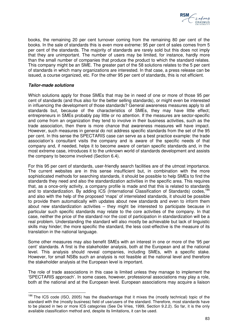

books, the remaining 20 per cent turnover coming from the remaining 80 per cent of the books. In the sale of standards this is even more extreme: 95 per cent of sales comes from 5 per cent of the standards. The majority of standards are rarely sold but this does not imply that they are unimportant. The number of users may be limited, for instance, hardly more than the small number of companies that produce the product to which the standard relates. This company might be an SME. The greater part of the 58 solutions relates to the 5 per cent of standards in which many organizations are interested. In that case, a press release can be issued, a course organized, etc. For the other 95 per cent of standards, this is not efficient.

## **Tailor-made solutions**

Which solutions apply for those SMEs that may be in need of one or more of those 95 per cent of standards (and thus also for the better selling standards), or might even be interested in influencing the development of those standards? General awareness measures apply to all standards but, because of the characteristics of SMEs, they may have little effect; entrepreneurs in SMEs probably pay little or no attention. If the measures are sector-specific and come from an organization they tend to involve in their business activities, such as the trade association, then there is more chance that awareness measures will have impact. However, such measures in general do not address specific standards from the set of the 95 per cent. In this sense the SPECTARIS case can serve as a best practice example: the trade association's consultant visits the company and is aware of the specific needs of that company and, if needed, helps it to become aware of certain specific standards and, in the most extreme case, introduces it to the unknown world of standards development and assists the company to become involved (Section 6.4).

For this 95 per cent of standards, user-friendly search facilities are of the utmost importance. The current websites are in this sense insufficient but, in combination with the more sophisticated methods for searching standards, it should be possible to help SMEs to find the standards they need and also the standardization activities in the specific area. This requires that, as a once-only activity, a company profile is made and that this is related to standards and to standardization. By adding ICS (International Classification of Standards) codes.<sup>186</sup> and also with the help of the proposed 'maps' of interrelated standards, it should be possible to provide them automatically with updates about new standards and even to inform them about new standardization activities – they might be interested to participate because in particular such specific standards may relate to the core activities of the company. In that case, neither the price of the standard nor the cost of participation in standardization will be a real problem. Understanding the standard will also mostly be achievable but lack of linguistic skills may hinder; the more specific the standard, the less cost-effective is the measure of its translation in the national language.

Some other measures may also benefit SMEs with an interest in one or more of the '95 per cent' standards. A first is the stakeholder analysis, both at the European and at the national level. This analysis should reveal companies, including SMEs, with a specific stake. However, for small NSBs such an analysis is not feasible at the national level and therefore the stakeholder analysis at the European level is important.

The role of trade associations in this case is limited unless they manage to implement the 'SPECTARIS approach'. In some cases, however, professional associations may play a role, both at the national and at the European level. European associations may acquire a liaison

 $\overline{\phantom{a}}$  $186$  The ICS code (ISO, 2005) has the disadvantage that it mixes the (mostly technical) topic of the standard with the (mostly business) field of use/users of the standard. Therefore, most standards have to be placed in two or more ICS categories (See De Vries, 1999, Section 9.2.2). So far, it is the only available classification method and, despite its limitations, it can be used.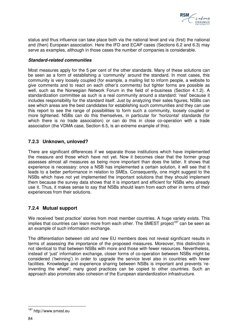

status and thus influence can take place both via the national level and via (first) the national and (then) European association. Here the IFD and ECAP cases (Sections 6.2 and 6.3) may serve as examples, although in those cases the number of companies is considerable.

## **Standard-related communities**

Most measures apply for the 5 per cent of the other standards. Many of these solutions can be seen as a form of establishing a 'community' around the standard. In most cases, this community is very loosely coupled (for example, a mailing list to inform people, a website to give comments and to react on each other's comments) but tighter forms are possible as well, such as the Norwegian Network Forum in the field of e-business (Section 4.1.2). A standardization committee as such is a real community around a standard: 'real' because it includes responsibility for the standard itself. Just by analyzing their sales figures, NSBs can see which areas are the best candidates for establishing such communities and they can use this report to see the range of possibilities to form such a community, loosely coupled or more tightened. NSBs can do this themselves, in particular for 'horizontal' standards (for which there is no trade association) or can do this in close co-operation with a trade association (the VDMA case, Section 6.5, is an extreme example of this).

# **7.2.3 Unknown, unloved?**

There are significant differences if we separate those institutions which have implemented the measure and those which have not yet. Now it becomes clear that the former group assesses almost all measures as being more important than does the latter. It shows that experience is necessary: once a NSB has implemented a certain solution, it will see that it leads to a better performance in relation to SMEs. Consequently, one might suggest to the NSBs which have not yet implemented the important solutions that they should implement them because the survey data shows that it is important and efficient for NSBs who already use it. Thus, it makes sense to say that NSBs should learn from each other in terms of their experiences from their solutions.

# **7.2.4 Mutual support**

We received 'best practice' stories from most member countries. A huge variety exists. This implies that countries can learn more from each other. The SMEST project<sup>187</sup> can be seen as an example of such information exchange.

The differentiation between old and new EU members does not reveal significant results in terms of assessing the importance of the proposed measures. Moreover, this distinction is not identical to that between NSBs with more and those with fewer resources. Nevertheless, instead of 'just' information exchange, closer forms of co-operation between NSBs might be considered ('twinning') in order to upgrade the service level also in countries with fewer facilities. Knowledge and experience sharing between NSBs is important and prevents 'reinventing the wheel'; many good practices can be copied to other countries. Such an approach also promotes also cohesion of the European standardization infrastructure.

 $\overline{a}$ 

<sup>&</sup>lt;sup>187</sup> http://www.smest.eu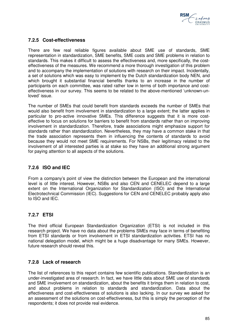

# **7.2.5 Cost-effectiveness**

There are few real reliable figures available about SME use of standards, SME representation in standardization, SME benefits, SME costs and SME problems in relation to standards. This makes it difficult to assess the effectiveness and, more specifically, the costeffectiveness of the measures. We recommend a more thorough investigation of this problem and to accompany the implementation of solutions with research on their impact. Incidentally, a set of solutions which was easy to implement by the Dutch standardization body NEN, and which brought it substantial financial benefits thanks to an increase in the number of participants on each committee, was rated rather low in terms of both importance and costeffectiveness in our survey. This seems to be related to the above-mentioned 'unknown-unloved' issue.

The number of SMEs that could benefit from standards exceeds the number of SMEs that would also benefit from involvement in standardization to a large extent; the latter applies in particular to pro-active innovative SMEs. This difference suggests that it is more costeffective to focus on solutions for barriers to benefit from standards rather than on improving involvement in standardization. Therefore, trade associations might emphasize support for standards rather than standardization. Nevertheless, they may have a common stake in that the trade association represents them in influencing the contents of standards to avoid because they would not meet SME requirements. For NSBs, their legitimacy related to the involvement of all interested parties is at stake so they have an additional strong argument for paying attention to all aspects of the solutions.

# **7.2.6 ISO and IEC**

From a company's point of view the distinction between the European and the international level is of little interest. However, NSBs and also CEN and CENELEC depend to a large extent on the International Organization for Standardization (ISO) and the International Electrotechnical Commission (IEC). Suggestions for CEN and CENELEC probably apply also to ISO and IEC.

# **7.2.7 ETSI**

The third official European Standardization Organization (ETSI) is not included in this research project. We have no data about the problems SMEs may face in terms of benefiting from ETSI standards or from involvement in ETSI standardization activities. ETSI has no national delegation model, which might be a huge disadvantage for many SMEs. However, future research should reveal this.

# **7.2.8 Lack of research**

The list of references to this report contains few scientific publications. Standardization is an under-investigated area of research. In fact, we have little data about SME use of standards and SME involvement on standardization, about the benefits it brings them in relation to cost, and about problems in relation to standards and standardization. Data about the effectiveness and cost-effectiveness of solutions is also lacking. In our survey we asked for an assessment of the solutions on cost-effectiveness, but this is simply the perception of the respondents; it does not provide real evidence.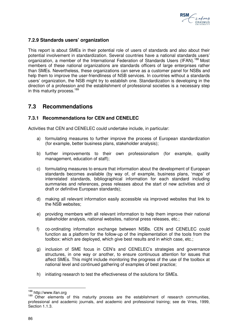

# **7.2.9 Standards users' organization**

This report is about SMEs in their potential role of users of standards and also about their potential involvement in standardization. Several countries have a national standards users' organization, a member of the International Federation of Standards Users (IFAN).<sup>188</sup> Most members of these national organizations are standards officers of large enterprises rather than SMEs. Nevertheless, these organizations can serve as a customer panel for NSBs and help them to improve the user-friendliness of NSB services. In countries without a standards users' organization, the NSB might try to establish one. Standardization is developing in the direction of a profession and the establishment of professional societies is a necessary step in this maturity process.<sup>189</sup>

# **7.3 Recommendations**

# **7.3.1 Recommendations for CEN and CENELEC**

Activities that CEN and CENELEC could undertake include, in particular:

- a) formulating measures to further improve the process of European standardization (for example, better business plans, stakeholder analysis);
- b) further improvements to their own professionalism (for example, quality management, education of staff);
- c) formulating measures to ensure that information about the development of European standards becomes available (by way of, of example, business plans, 'maps' of interrelated standards, bibliographical information for each standard including summaries and references, press releases about the start of new activities and of draft or definitive European standards);
- d) making all relevant information easily accessible via improved websites that link to the NSB websites;
- e) providing members with all relevant information to help them improve their national stakeholder analysis, national websites, national press releases, etc.;
- f) co-ordinating information exchange between NSBs. CEN and CENELEC could function as a platform for the follow-up of the implementation of the tools from the toolbox: which are deployed, which give best results and in which case, etc.;
- g) inclusion of SME focus in CEN's and CENELEC's strategies and governance structures, in one way or another, to ensure continuous attention for issues that affect SMEs. This might include monitoring the progress of the use of the toolbox at national level and continued gathering of examples of best practice;
- h) initiating research to test the effectiveness of the solutions for SMEs.

 $\overline{a}$ 

<sup>188</sup> http://www.ifan.org

<sup>189</sup> Other elements of this maturity process are the establishment of research communities, professional and academic journals, and academic and professional training; see de Vries, 1999, Section 1.1.3.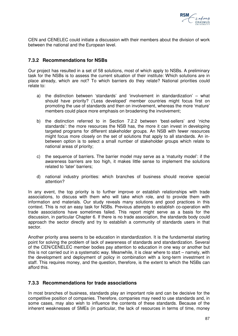

CEN and CENELEC could initiate a discussion with their members about the division of work between the national and the European level.

# **7.3.2 Recommendations for NSBs**

Our project has resulted in a set of 58 solutions, most of which apply to NSBs. A preliminary task for the NSBs is to assess the current situation of their institute: Which solutions are in place already, which are not? To which barriers do they relate? National priorities could relate to:

- a) the distinction between 'standards' and 'involvement in standardization' what should have priority? ('Less developed' member countries might focus first on promoting the use of standards and then on involvement, whereas the more 'mature' members could place more emphasis on broadening the involvement;
- b) the distinction referred to in Section 7.2.2 between 'best-sellers' and 'niche standards': the more resources the NSB has, the more it can invest in developing targeted programs for different stakeholder groups. An NSB with fewer resources might focus more closely on the set of solutions that apply to all standards. An inbetween option is to select a small number of stakeholder groups which relate to national areas of priority;
- c) the sequence of barriers. The barrier model may serve as a 'maturity model': if the awareness barriers are too high, it makes little sense to implement the solutions related to 'later' barriers;
- d) national industry priorities: which branches of business should receive special attention?

In any event, the top priority is to further improve or establish relationships with trade associations, to discuss with them who will take which role, and to provide them with information and materials. Our study reveals many solutions and good practices in this context. This is not an easy task for NSBs. Previous attempts to establish co-operation with trade associations have sometimes failed. This report might serve as a basis for the discussion, in particular Chapter 6. If there is no trade association, the standards body could approach the sector directly and try to establish a community of standards users in that sector.

Another priority area seems to be education in standardization. It is the fundamental starting point for solving the problem of lack of awareness of standards and standardization. Several of the CEN/CENELEC member bodies pay attention to education in one way or another but this is not carried out in a systematic way. Meanwhile, it is clear where to start – namely, with the development and deployment of policy in combination with a long-term investment in staff. This requires money, and the question, therefore, is the extent to which the NSBs can afford this.

# **7.3.3 Recommendations for trade associations**

In most branches of business, standards play an important role and can be decisive for the competitive position of companies. Therefore, companies may need to use standards and, in some cases, may also wish to influence the contents of these standards. Because of the inherent weaknesses of SMEs (in particular, the lack of resources in terms of time, money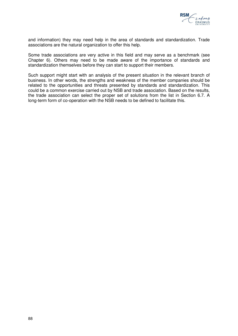

and information) they may need help in the area of standards and standardization. Trade associations are the natural organization to offer this help.

Some trade associations are very active in this field and may serve as a benchmark (see Chapter 6). Others may need to be made aware of the importance of standards and standardization themselves before they can start to support their members.

Such support might start with an analysis of the present situation in the relevant branch of business. In other words, the strengths and weakness of the member companies should be related to the opportunities and threats presented by standards and standardization. This could be a common exercise carried out by NSB and trade association. Based on the results, the trade association can select the proper set of solutions from the list in Section 6.7. A long-term form of co-operation with the NSB needs to be defined to facilitate this.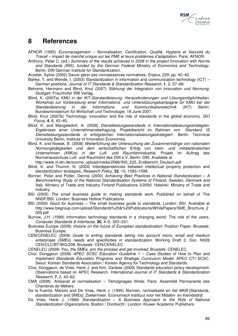

# **8 References**

- AFNOR (1995) Euromanagement Normalisation, Certification, Qualité, Hygiene et Securité du Travail – Impact de marché unique sur les PME et leurs problèmes d'adaptation. Paris: AFNOR.
- Anthony, Peter C. (ed.) Summary of the results achieved in 2008 in the project Innovation with Norms and Standards (INS), funded by the German Federal Ministry of Economics and Technology. Berlin: DIN German Institute for Standardization.
- Arzelier, Sylvie (2002) Savoir gérer ses connaissances normatives. Enjeux, 229, pp. 40–42.
- Bahke, T. and Wende, I. (2003) Standardization in information and communication technology (ICT) German positions. Journal of IT Standards & Standardization Research, **1**, 2, 57–66.
- Behrens, Hermann and Blind, Knut (2007) Stärkung der Integration von Innovation und Normung. Stuttgart: Fraunhofer IRB Verlag.
- Blind, K. (2007a) KMU in der IKT-Standardisierung: Herausforderungen und Lösungsmöglichkeiten, Workshop zur Vorbereitung einer Informations- und Unterstützungskampagne für KMU bei der Standardisierung in der Informations- und Kommunikationstechnik (IKT). Berlin: Bundesministerium für Wirtschaft und Technologie. 18 June 2007.
- Blind, Knut (2007b) Technology, innovation and the role of standards in the global economy. ISO Focus, **4**, 6, 43–45.
- Blind, K. and Mangelsdorf, A. (2008) Dienstleistungsstandards in Internationalisierungsstrategien: Ergebnisse einer Unternehmensbefragung, Projektbericht im Rahmen von: 'Standard: IS Dienstleistungsstandards in erfolgreichen Internationalisierungsstrategien'. Berlin: Technical University Berlin, Institute of Innovation Economics.
- Blind, K. and Nowak, B. (2008) Weiterführung der Untersuchung der Zusammenhänge von nationalen Normungstätigkeiten und dem wirtschaftlichen Erfolg von klein- und mittelständischen Unternehmen (KMUs) in der Luft- und Raumfahrindustrie, Projekt im Auftrag des Normenausschuss Luft- und Raumfahrt des DIN e.V. Berlin: DIN. Available at

http://www.nl.din.de/sixcms\_upload/media/2566/INS\_225\_Endbericht\_Deutsch.pdf

- Blind, K. and Thumm, N. (2004) Interdependencies between intellectual property protection and standardization strategies. Research Policy, **33**, 10, 1583–1598.
- Bonner, Peter and Potter, Dennis (2000) Achieving Best Practices in National Standardization  $-A$ Benchmarking Study of the National Standardisation Systems of Finland, Sweden, Denmark and Italy. Ministry of Trade and Industry Finland Publications 3/2000. Helsinki: Ministry of Trade and Industry.
- BSI (2005) The small business guide to making standards work. Published on behalf of The NNSF/BSI. London: Business Hotline Publications.
- BSI (2009) Good for business The small business guide to standards. London: BSI. Available at http://www.bsigroup.com/upload/Standards%20&%20Publications/WhitePapers/SME\_Brochure\_2 009.pdf
- Burrow, J.H. (1999) Information technology standards in a changing world: The role of the users. Computer Standards & Interfaces, **20**, 4–5, 323–331.
- Business Europe (2009) Visions on the future of European standardization. Position Paper. Brussels: Business Europe.
- CEN/CENELEC (2009) Guide to writing standards taking into account micro, small and medium enterprises (SMEs) needs and specificities in standardization. Working Draft 2. Doc. N028 CEN/CLC/BT/WG/208. Brussels: CEN/CENELEC.
- CENELEC (2009) You, the SMEs, join the process and get involved. Brussels: CENELEC.
- Choi, Donggeun (2008) APEC SCSC Education Guideline 1 Case Studies of How to Plan and Implement Standards Education Programs and Strategic Curriculum Model. APEC CTI SCSC. Seoul: Korean Standards Association / Korean Agency for Technology and Standards.
- Choi, Donggeun, de Vries, Henk J. and Kim, Danbee (2009) Standards education policy development: Observations based on APEC Research. International Journal of IT Standards & Standardization Research, **7**, 2, 43–62.
- CMA (2008). Artisanat et normalisation Témoignages filmés. Paris: Assemblé Permanante des Chambres de Métiers.
- De la Fuente, Manolo and De Vries, Henk J. (1995) Normen, normalisatie en het MKB [Standards, standardization and SMEs]. Zoetermeer: Economisch Instituut voor het Midden- en Kleinbedrijf.
- De Vries, Henk J. (1999) Standardization  $-$  A Business Approach to the Role of National Standardization Organizations. Boston / Dordrecht / London: Kluwer Academic Publishers.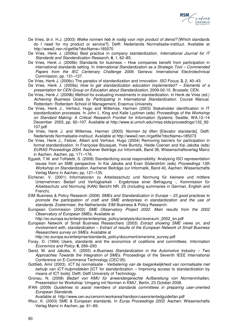

- De Vries, dr.ir. H.J. (2003) Welke normen heb ik nodig voor mijn product of dienst? [Which standards do I need for my product or service?]. Delft: Nederlands Normalisatie-instituut. Available at http://www2.nen.nl/getfile?docName=185070
- De Vries, Henk J. (2006a) Best practice in company standardization. International Journal for IT Standards and Standardization Research, **4**, 1, 62–85.
- De Vries, Henk J. (2006b) Standards for business How companies benefit from participation in international standards setting. In International Standardization as a Strategic Tool – Commended Papers from the IEC Centenary Challenge 2006. Geneva: International Electrotechnical Commission, pp. 131–137.
- De Vries, Henk J. (2006c) The paradox of standardization and innovation. ISO Focus, **3**, 2, 40–43.
- De Vries, Henk J. (2009a) How to get standardization education implemented? Elements of a presentation for CEN Group on Education about Standardization, 2009-02-10. Brussels: CEN.
- De Vries, Henk J. (2009b) Method for evaluating investments in standardization. In Henk de Vries (ed.) Achieving Business Goals by Participating in International Standardization. Course Manual. Rotterdam: Rotterdam School of Management, Erasmus University.
- De Vries, Henk J., Verheul, Hugo and Willemse, Harmen (2003) Stakeholder identification in IT standardization processes. In John L. King and Kalle Lyytinen (eds) Proceedings of the Workshop on Standard Making: A Critical Research Frontier for Information Systems. Seattle, WA,12–14 December 2003, pp. 92–107. Available at http://www.si.umich.edu/misq-stds/proceedings/132\_92- 107.pdf
- De Vries, Henk J. and Willemse, Harmen (2003) Normen bij liften [Elevator standards]. Delft: Nederlands Normalisatie-instituut. Available at http://www2.nen.nl/getfile?docName=185073
- De Vries, Henk J., Feilzer, Albert and Verheul, Hugo (2004) Removing barriers for participation in formal standardization. In Françoise Bousquet, Yves Buntzly, Heide Coenen and Kai Jakobs (eds) EURAS Proceedings 2004. Aachener Beiträge zur Informatik, Band 36, Wissenschaftsverlag Mainz in Aachen, Aachen, pp. 171–176.
- Egyedi, T.M. and Toffaletti, S. (2008) Standardizing social responsibility: Analysing ISO representation issues from an SME perspective. In Kai Jakobs and Evan Söderström (eds) Proceedings 13th Workshop on Standardization. Aachener Beiträge zur Informatik, Band 40, Aachen: Wissenschafts Verlag Mainz in Aachen, pp. 121–135.
- Eichener, V. (2001) Informationen zu Arbeitssschutz und Normung für kleinere und mittlere Unternehmen: Bedarf und Verfügbarkeit - Ergebnisse einer Befragung -, Kommission für Arbeitsschutz und Normung (KAN) Bericht NR. 25 (including summaries in German, English and French).
- EIM Business & Policy Research (2006) SMEs and Standardization in Europe  $-$  23 good practices to promote the participation of craft and SME enterprises in standardization and the use of standards. Zoetermeer, the Netherlands: EIM Business & Policy Research.
- European Commission (2002) SME Observatory Project 2002. Main results from the 2002 Observatory of European SMEs. Available at

http://ec.europa.eu/enterprise/enterprise\_policy/analysis/doc/execsum\_2002\_en.pdf

European Network of Small Business Researchers (2003) Extract showing SME views on, and involvement with, standardization – Extract of results of the European Network of Small Business Researchers survey on SMEs. Available at

http://ec.europa.eu/enterprise/standards\_policy/document/sme/sme\_survey.pdf

- Foray, D. (1994) Users, standards and the economics of coalitions and committees. Information Economics and Policy, **6**, 269–293.
- Gerst, M. and Jakobs, K. (2005) e-Business Standardization in the Automotive Industry Two Approaches Towards the Integration of SMEs. Proceedings of the Seventh IEEE International Conference on E-Commerce Technology (CEC'05).
- Gottlieb, Amir (2003). ICT bij normalisatie Verbetering van de toegankelijkheid van normalisatie met behulp van ICT-hulpmiddelen [ICT for standardization – Improving access to standardization by means of ICT tools]. Delft: Delft University of Technology.
- Gronau, N. (2008) Bedarf von KMU für anwendergerechte Aufbereitung von Normeninhalten, Presentation for Workshop 'Umgang mit Normen in KMU', Berlin, 23 October 2008.
- IFAN (2009) Guidelines to assist members of standards committees in preparing user-oriented European Standards.

Available at http://www.cen.eu/cenorm/workarea/handson/userorientedguideifan.pdf

Iffour, K. (2003) SME & European standards. In Euras Proceedings 2003. Aachen: Wissenschafts Verlag Mainz in Aachen, pp. 61–69.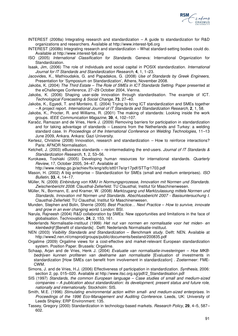

- INTEREST (2008a) Integrating research and standardization A guide to standardization for R&D organizations and researchers. Available at http://www.interest-fp6.org
- INTEREST (2008b) Integrating research and standardization What standard-setting bodies could do. Available at http://www.interest-fp6.org
- ISO (2005) International Classification for Standards. Geneva: International Organization for Standardization.
- Isaak, Jim, (2006) The role of individuals and social capital in POSIX standardization. International Journal for IT Standards and Standardization Research, **4**, 1, 1–23.
- Jacovides, K., Mathioudakis, G. and Papadakos, G. (2008) Use of Standards by Greek Engineers, Presentation for 'Symposium on Standardization', Athens, November 2008.
- Jakobs, K. (2004) The Third Estate The Role of SMEs in ICT Standards Setting. Paper presented at the eChallenges Conference, 27–29 October 2004, Vienna.
- Jakobs, K. (2006) Shaping user-side innovation through standardisation. The example of ICT. Technological Forecasting & Social Change, **73**, 27–40.
- Jakobs, K., Egyedi, T. and Monteiro, E. (2004) Trying to bring ICT standardization and SMEs together – A project report. International Journal of IT Standards and Standardization Research, **2**, 1, 58.
- Jakobs, K., Procter, R. and Williams, R. (2001) The making of standards: Looking inside the work groups. IEEE Communication Magazine, **39**, 4, 102–107.
- Karaöz, Ramazan and de Vries, Henk J. (2009) Removing barriers for participation in standardization and for taking advantage of standards – Lessons from the Netherlands and Turkey: a welding standard case. In Proceedings of the International Conference on Welding Technologies, 11–13 June 2009, Ankara. Ankara: Gazi University.
- Kertesz, Christine (2008) Innovation, research and standardization How to reinforce interactions? Paris: AFNOR Normalisation.
- Ketchell, J. (2003) eBusiness standards re-intermediating the end-users. Journal of IT Standards  $\&$ Standardization Research, **1**, 2, 53–56.
- Kurokawa, Toshiaki (2005) Developing human resources for international standards. Quarterly Review, 17, October 2005, 34–47. Available at
	- http://www.nistep.go.jp/achiev/ftx/eng/stfc/stt017e/qr17pdf/STTqr1703.pdf
- Mason, H. (2002) A big enterprise Standardization for SMEs (small and medium enterprises). ISO Bulletin, **33**, 4, 14–17.
- Müller, N. (2009) Einbindung von KMU in Normungsprozesse, Innovation mit Normen und Standards. Zwischenbericht 2008. Clausthal-Zellerfeld: TU Clausthal, Institut für Maschinenwesen.
- Müller, N., Bormann, E. and Kramer, W. (2008) Marktzugang und Marktzulassung mittels Normen und Standards, Innovation mit Normen und Standards. Abschlussbericht 2007 - Basisuntersuchung I. Clausthal-Zellerfeld: TU Clausthal, Institut für Maschinenwesen.
- Munden, Stephen and Bolin, Sherrie (2005) Best Practice… Next Practice How to survive, innovate and grow in an ever changing world. London: BSI.
- Narula, Rajneesh (2004) R&D collaboration by SMEs: New opportunities and limitations in the face of globalisation. Technovation, **24**, 2, 153, 161.
- Nederlands Normalisatie-instituut (1999) Het nut van normen en normalisatie voor het miden- en kleinbedrijf [Benefit of standards] . Delft: Nederlands Normalisatie-instituut.
- NEN (2003) Visibility Standards and Standardization Benchmark study. Delft: NEN. Available at http://www2.nen.nl/cmsprod/groups/public/documents/bestand/200835.pdf
- Orgalime (2009) Orgalime views for a cost-effective and market-relevant European standardization system. Position Paper. Brussels: Orgalime.
- Schaap, Arjan and de Vries, Henk J. (2004) Evaluatie van normalisatie-investeringen Hoe MKBbedrijven kunnen profiteren van deelname aan normalisatie [Evaluation of investments in standardization [How SMEs can benefit from involvement in standardization] . Zoetermeer: FME-CWM.
- Simons, J. and de Vries, H.J. (2006) Effectiveness of participation in standardization. Synthesis, 2006: section 2, pp. 015–020. Available at http://www.itsc.org.sg/pdf/2\_Standardisation.pdf
- SIS (1997) Standards, the common European language Case studies of small and medium-sized companies – A publication about standardization: its development, present status and future role, nationally and internationally. Stockholm: SIS.
- Smith, M.E. (1996) Stimulating environmental action within small- and medium-sized enterprises. In Proceedings of the 1996 Eco-Management and Auditing Conference. Leeds, UK: University of Leeds Shipley: ERP Environment: 135.
- Tassey, Gregory (2000) Standardization in technology-based markets. Research Policy, **29**, 4–5, 587– 602.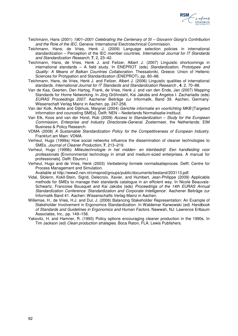

- Teichmann, Hans (2001) 1901–2001 Celebrating the Centenary of SI Giovanni Giorgi's Contribution and the Role of the IEC. Geneva: International Electrotechnical Commission.
- Teichmann, Hans; de Vries, Henk J. (2009) Language selection policies in international standardization - Perception of the IEC member countries. International Journal for IT Standards and Standardization Research, **7**, 2, 23–42.
- Teichmann, Hans, de Vries, Henk J. and Feilzer, Albert J. (2007) Linguistic shortcomings in international standards – A field study. In ENEPROT (eds) Standardization, Prototypes and Quality: A Means of Balkan Countries Collaboration. Thessaloniki, Greece: Union of Hellenic Sciences for Protypation and Standardization (ENEPROT), pp. 80–98.
- Teichmann, Hans, de Vries, Henk J. and Feilzer, Albert J. (2006) Linguistic qualities of international standards. International Journal for IT Standards and Standardization Research , **4**, 2, 70–88.
- Van de Kaa, Geerten, Den Hartog, Frank, de Vries, Henk J. and van den Ende, Jan (2007) Mapping Standards for Home Networking. In Jörg Gröhndahl, Kai Jakobs and Angelos I. Zachariadis (eds) EURAS Proceedings 2007. Aachener Beiträge zur Informatik, Band 39. Aachen, Germany: Wissenschaft Verlag Mainz in Aachen, pp. 247-256.
- Van der Kolk, Arlette and Dijkhuis, Margriet (2004) Gerichte informatie en voorlichting MKB [Targeted information and counceling SMEs]. Delft: NEN – Nederlands Normalisatie-instituut.
- Van Elk, Koos and van der Horst, Rob (2009) Access to Standardization Study for the European Commission, Enterprise and Industry Directorate-General. Zoetermeer, the Netherlands: EIM Business & Policy Research.
- VDMA (2008) A Sustainable Standardization Policy for the Competitiveness of European Industry. Frankfurt am Main: VDMA.
- Verheul, Hugo (1999a) How social networks influence the dissemination of cleaner technologies to SMEs. Journal of Cleaner Production, **7**, 213–219.
- Verheul, Hugo (1999b) Milieutechnologie in het midden- en kleinbedrijf. Een handleiding voor professionals [Environmental technology in small and medium-sized enterprises. A manual for professionals]. Delft: Eburon.)
- Verheul, Hugo and de Vries, Henk (2003) Verbetering formele normalisatieproces. Delft: Centre for Process Management and Simulation.

Available at http://www2.nen.nl/cmsprod/groups/public/documents/bestand/203113.pdf.

- Vidal, Slolenn, Kokll-Stein, Sigrid, Delecroix, Xavier, and Humbert, Jean-Philippe (2009) Applicable methods for SMEs to manage their standards catalogue in an efficient way. In Nicole Beauvais-Schwartz, Francoise Bousquet and Kai Jakobs (eds) Proceedings of the 14th EURAS Annual Standardization Conference 'Standardization and Corporate Intelligence'. Aachener Beiträge zur Informatik Band 41. Aachen: Wissenschafts Verlag Mainz in Aachen.
- Willemse, H., de Vries, H.J. and Dul, J. (2006) Balancing Stakeholder Representation: An Example of Stakeholder Involvement in Ergonomics Standardization. In Waldemar Karwowski (ed) Handbook of Standards and Guidelines in Ergonomics and Human Factors. Nawwah, NJ: Lawrence Erlbaum Associates, Inc., pp. 149–156.
- Yakovitz, H. and Hamner, R. (1993) Policy options encouraging cleaner production in the 1990s. In Tim Jackson (ed) Clean production strategies. Boca Raton, FLA: Lewis Publishers.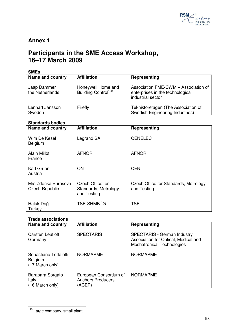

# **Annex 1**

# **Participants in the SME Access Workshop, 16–17 March 2009**

| <b>SMEs</b>                    |                                                       |                                                                                               |
|--------------------------------|-------------------------------------------------------|-----------------------------------------------------------------------------------------------|
| <b>Name and country</b>        | <b>Affiliation</b>                                    | Representing                                                                                  |
| Jaap Dammer<br>the Netherlands | Honeywell Home and<br>Building Control <sup>190</sup> | Association FME-CWM - Association of<br>enterprises in the technological<br>industrial sector |
| Lennart Jansson<br>Sweden      | Firefly                                               | Teknikföretagen (The Association of<br><b>Swedish Engineering Industries)</b>                 |

# **Standards bodies**

| Name and country                             | <b>Affiliation</b>                                             | Representing                                         |
|----------------------------------------------|----------------------------------------------------------------|------------------------------------------------------|
| Wim De Kesel<br><b>Belgium</b>               | Legrand SA                                                     | <b>CENELEC</b>                                       |
| Alain Millot<br>France                       | <b>AFNOR</b>                                                   | <b>AFNOR</b>                                         |
| Karl Gruen<br>Austria                        | <b>ON</b>                                                      | <b>CEN</b>                                           |
| Mrs Zdenka Buresova<br><b>Czech Republic</b> | <b>Czech Office for</b><br>Standards, Metrology<br>and Testing | Czech Office for Standards, Metrology<br>and Testing |
| Haluk Dağ<br>Turkey                          | <b>TSE-SHMB-IG</b>                                             | <b>TSE</b>                                           |

## **Trade associations**

| <b>Name and country</b>                                    | <b>Affiliation</b>                                           | Representing                                                                                             |
|------------------------------------------------------------|--------------------------------------------------------------|----------------------------------------------------------------------------------------------------------|
| Carsten Leutloff<br>Germany                                | <b>SPECTARIS</b>                                             | <b>SPECTARIS - German Industry</b><br>Association for Optical, Medical and<br>Mechatronical Technologies |
| Sebastiano Toffaletti<br><b>Belgium</b><br>(17 March only) | <b>NORMAPME</b>                                              | <b>NORMAPME</b>                                                                                          |
| Barabara Sorgato<br>Italy<br>(16 March only)               | European Consortium of<br><b>Anchors Producers</b><br>(ACEP) | <b>NORMAPME</b>                                                                                          |

 $\overline{a}$ <sup>190</sup> Large company, small plant.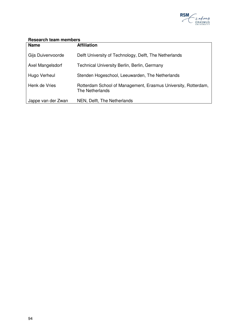

# **Research team members**

| <b>Name</b>        | <b>Affiliation</b>                                                                |
|--------------------|-----------------------------------------------------------------------------------|
| Gijs Duivenvoorde  | Delft University of Technology, Delft, The Netherlands                            |
| Axel Mangelsdorf   | Technical University Berlin, Berlin, Germany                                      |
| Hugo Verheul       | Stenden Hogeschool, Leeuwarden, The Netherlands                                   |
| Henk de Vries      | Rotterdam School of Management, Erasmus University, Rotterdam,<br>The Netherlands |
| Jappe van der Zwan | NEN, Delft, The Netherlands                                                       |